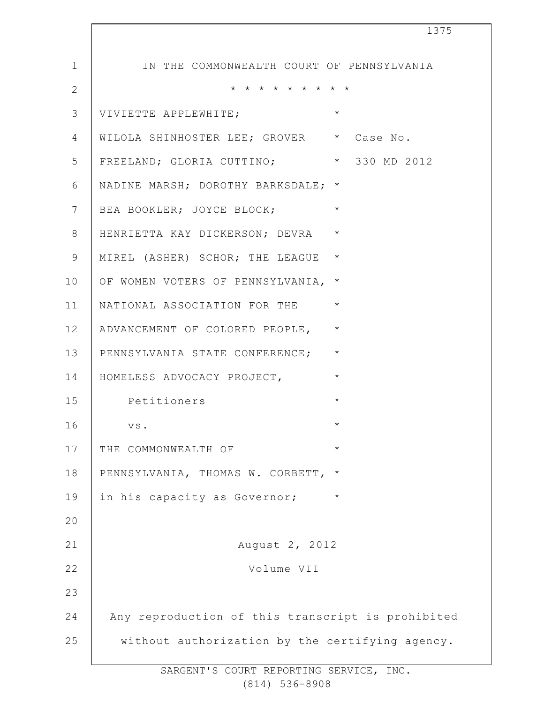| 1375                                              |
|---------------------------------------------------|
| IN THE COMMONWEALTH COURT OF PENNSYLVANIA         |
| * * * * * * * * *                                 |
| $\star$<br>VIVIETTE APPLEWHITE;                   |
| WILOLA SHINHOSTER LEE; GROVER * Case No.          |
| FREELAND; GLORIA CUTTINO; * 330 MD 2012           |
| NADINE MARSH; DOROTHY BARKSDALE; *                |
| $\star$<br>BEA BOOKLER; JOYCE BLOCK;              |
| $\star$<br>HENRIETTA KAY DICKERSON; DEVRA         |
| $\star$<br>MIREL (ASHER) SCHOR; THE LEAGUE        |
| $\star$<br>OF WOMEN VOTERS OF PENNSYLVANIA,       |
| $\star$<br>NATIONAL ASSOCIATION FOR THE           |
| ADVANCEMENT OF COLORED PEOPLE, *                  |
| $\star$<br>PENNSYLVANIA STATE CONFERENCE;         |
| $\star$<br>HOMELESS ADVOCACY PROJECT,             |
| $\star$<br>Petitioners                            |
| ${\tt VS}$ .<br>$^\star$                          |
| $\star$<br>THE COMMONWEALTH OF                    |
| PENNSYLVANIA, THOMAS W. CORBETT,<br>$^\star$      |
| in his capacity as Governor;<br>$\star$           |
|                                                   |
| August 2, 2012                                    |
| Volume VII                                        |
|                                                   |
| Any reproduction of this transcript is prohibited |
| without authorization by the certifying agency.   |
|                                                   |

 $\Gamma$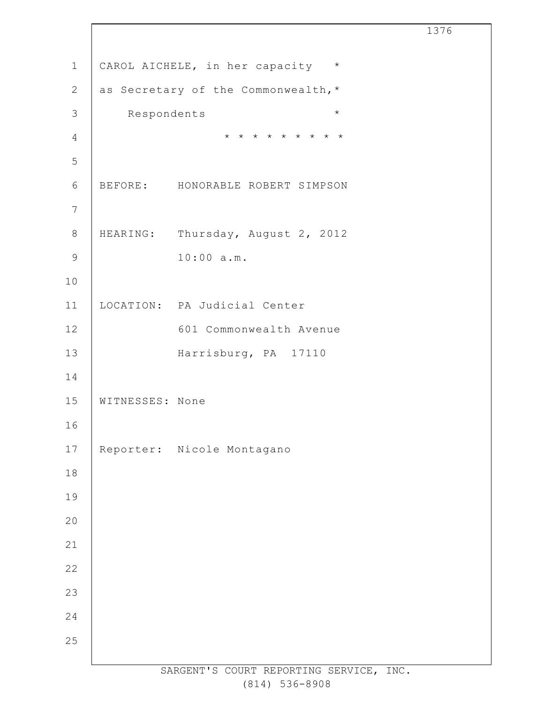| $1\,$<br>CAROL AICHELE, in her capacity *<br>$\mathbf{2}$<br>as Secretary of the Commonwealth, *<br>$\mathcal{S}$<br>$\star$<br>Respondents<br>* * * * * * * * *<br>$\overline{4}$<br>5<br>$\sqrt{6}$<br>BEFORE: HONORABLE ROBERT SIMPSON<br>$\overline{7}$<br>$\,8\,$<br>HEARING: Thursday, August 2, 2012<br>10:00 a.m.<br>$\mathsf 9$<br>10<br>LOCATION: PA Judicial Center<br>11<br>12<br>601 Commonwealth Avenue<br>13<br>Harrisburg, PA 17110<br>14<br>15<br>WITNESSES: None<br>16<br>$17\,$<br>Reporter: Nicole Montagano<br>$1\,8$<br>19<br>$20$<br>21<br>22<br>23<br>24<br>25 |  | 1376 |
|----------------------------------------------------------------------------------------------------------------------------------------------------------------------------------------------------------------------------------------------------------------------------------------------------------------------------------------------------------------------------------------------------------------------------------------------------------------------------------------------------------------------------------------------------------------------------------------|--|------|
|                                                                                                                                                                                                                                                                                                                                                                                                                                                                                                                                                                                        |  |      |
|                                                                                                                                                                                                                                                                                                                                                                                                                                                                                                                                                                                        |  |      |
|                                                                                                                                                                                                                                                                                                                                                                                                                                                                                                                                                                                        |  |      |
|                                                                                                                                                                                                                                                                                                                                                                                                                                                                                                                                                                                        |  |      |
|                                                                                                                                                                                                                                                                                                                                                                                                                                                                                                                                                                                        |  |      |
|                                                                                                                                                                                                                                                                                                                                                                                                                                                                                                                                                                                        |  |      |
|                                                                                                                                                                                                                                                                                                                                                                                                                                                                                                                                                                                        |  |      |
|                                                                                                                                                                                                                                                                                                                                                                                                                                                                                                                                                                                        |  |      |
|                                                                                                                                                                                                                                                                                                                                                                                                                                                                                                                                                                                        |  |      |
|                                                                                                                                                                                                                                                                                                                                                                                                                                                                                                                                                                                        |  |      |
|                                                                                                                                                                                                                                                                                                                                                                                                                                                                                                                                                                                        |  |      |
|                                                                                                                                                                                                                                                                                                                                                                                                                                                                                                                                                                                        |  |      |
|                                                                                                                                                                                                                                                                                                                                                                                                                                                                                                                                                                                        |  |      |
|                                                                                                                                                                                                                                                                                                                                                                                                                                                                                                                                                                                        |  |      |
|                                                                                                                                                                                                                                                                                                                                                                                                                                                                                                                                                                                        |  |      |
|                                                                                                                                                                                                                                                                                                                                                                                                                                                                                                                                                                                        |  |      |
|                                                                                                                                                                                                                                                                                                                                                                                                                                                                                                                                                                                        |  |      |
|                                                                                                                                                                                                                                                                                                                                                                                                                                                                                                                                                                                        |  |      |
|                                                                                                                                                                                                                                                                                                                                                                                                                                                                                                                                                                                        |  |      |
|                                                                                                                                                                                                                                                                                                                                                                                                                                                                                                                                                                                        |  |      |
|                                                                                                                                                                                                                                                                                                                                                                                                                                                                                                                                                                                        |  |      |
|                                                                                                                                                                                                                                                                                                                                                                                                                                                                                                                                                                                        |  |      |
|                                                                                                                                                                                                                                                                                                                                                                                                                                                                                                                                                                                        |  |      |
|                                                                                                                                                                                                                                                                                                                                                                                                                                                                                                                                                                                        |  |      |
|                                                                                                                                                                                                                                                                                                                                                                                                                                                                                                                                                                                        |  |      |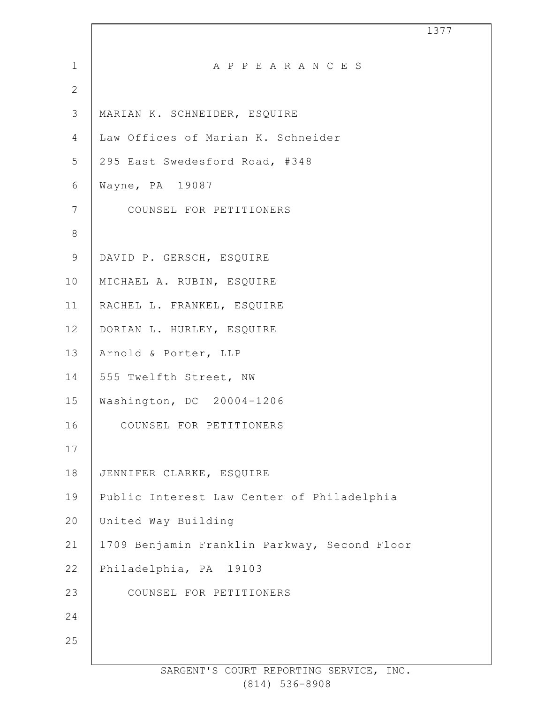| $\mathbf 1$    | A P P E A R A N C E S                        |
|----------------|----------------------------------------------|
| $\overline{2}$ |                                              |
| 3              | MARIAN K. SCHNEIDER, ESQUIRE                 |
| $\overline{4}$ | Law Offices of Marian K. Schneider           |
| 5              | 295 East Swedesford Road, #348               |
| 6              | Wayne, PA 19087                              |
| $\overline{7}$ | COUNSEL FOR PETITIONERS                      |
| $\,8\,$        |                                              |
| $\mathsf 9$    | DAVID P. GERSCH, ESQUIRE                     |
| 10             | MICHAEL A. RUBIN, ESQUIRE                    |
| 11             | RACHEL L. FRANKEL, ESQUIRE                   |
| 12             | DORIAN L. HURLEY, ESQUIRE                    |
| 13             | Arnold & Porter, LLP                         |
| 14             | 555 Twelfth Street, NW                       |
| 15             | Washington, DC 20004-1206                    |
| 16             | COUNSEL FOR PETITIONERS                      |
| 17             |                                              |
| 18             | JENNIFER CLARKE, ESQUIRE                     |
| 19             | Public Interest Law Center of Philadelphia   |
| 20             | United Way Building                          |
| 21             | 1709 Benjamin Franklin Parkway, Second Floor |
| 22             | Philadelphia, PA 19103                       |
| 23             | COUNSEL FOR PETITIONERS                      |
| 24             |                                              |
| 25             |                                              |
|                |                                              |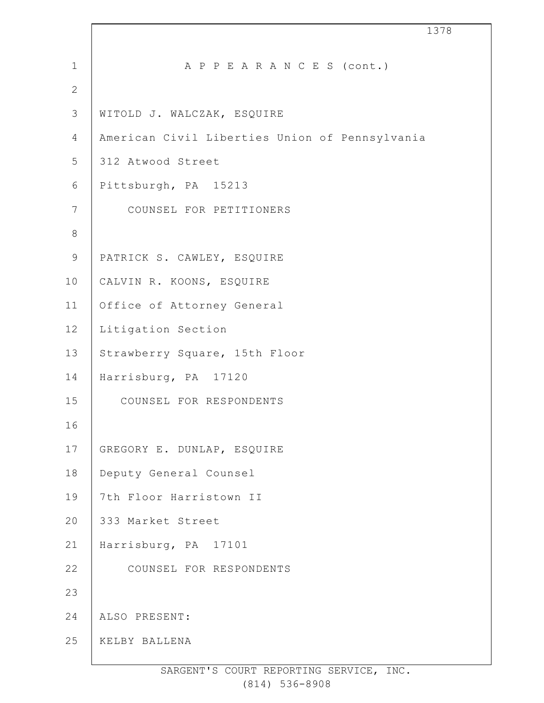| $\mathbf 1$    | A P P E A R A N C E S (cont.)                  |
|----------------|------------------------------------------------|
| $\mathbf{2}$   |                                                |
| $\mathcal{S}$  | WITOLD J. WALCZAK, ESQUIRE                     |
| $\overline{4}$ | American Civil Liberties Union of Pennsylvania |
| 5              | 312 Atwood Street                              |
| 6              | Pittsburgh, PA 15213                           |
| $\overline{7}$ | COUNSEL FOR PETITIONERS                        |
| $\,8\,$        |                                                |
| $\mathsf 9$    | PATRICK S. CAWLEY, ESQUIRE                     |
| 10             | CALVIN R. KOONS, ESQUIRE                       |
| 11             | Office of Attorney General                     |
| 12             | Litigation Section                             |
| 13             | Strawberry Square, 15th Floor                  |
| 14             | Harrisburg, PA 17120                           |
| 15             | COUNSEL FOR RESPONDENTS                        |
| 16             |                                                |
| 17             | GREGORY E. DUNLAP, ESQUIRE                     |
| 18             | Deputy General Counsel                         |
| 19             | 7th Floor Harristown II                        |
| 20             | 333 Market Street                              |
| 21             | Harrisburg, PA 17101                           |
| 22             | COUNSEL FOR RESPONDENTS                        |
| 23             |                                                |
| 24             | ALSO PRESENT:                                  |
| 25             | KELBY BALLENA                                  |
|                |                                                |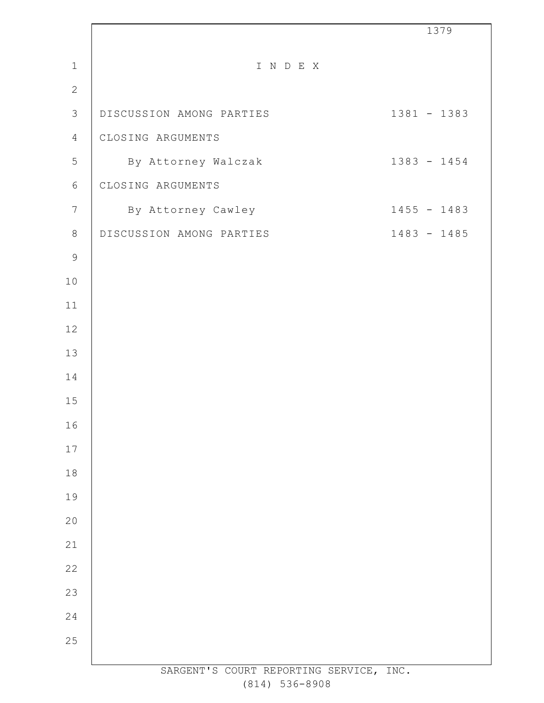|                  |                                         | 1379          |
|------------------|-----------------------------------------|---------------|
| $\mathbf 1$      | I N D E X                               |               |
| $\mathbf{2}$     |                                         |               |
| $\mathsf 3$      | DISCUSSION AMONG PARTIES                | 1381 - 1383   |
| 4                | CLOSING ARGUMENTS                       |               |
| 5                | By Attorney Walczak                     | $1383 - 1454$ |
| $6\,$            | CLOSING ARGUMENTS                       |               |
| $\boldsymbol{7}$ | By Attorney Cawley                      | $1455 - 1483$ |
| $\,8\,$          | DISCUSSION AMONG PARTIES                | $1483 - 1485$ |
| $\mathsf 9$      |                                         |               |
| 10               |                                         |               |
| 11               |                                         |               |
| 12               |                                         |               |
| 13               |                                         |               |
| 14               |                                         |               |
| 15               |                                         |               |
| 16               |                                         |               |
| 17               |                                         |               |
| 18               |                                         |               |
| 19               |                                         |               |
| 20               |                                         |               |
| 21               |                                         |               |
| 22               |                                         |               |
| 23               |                                         |               |
| 24               |                                         |               |
| 25               |                                         |               |
|                  | SARGENT'S COURT REPORTING SERVICE, INC. |               |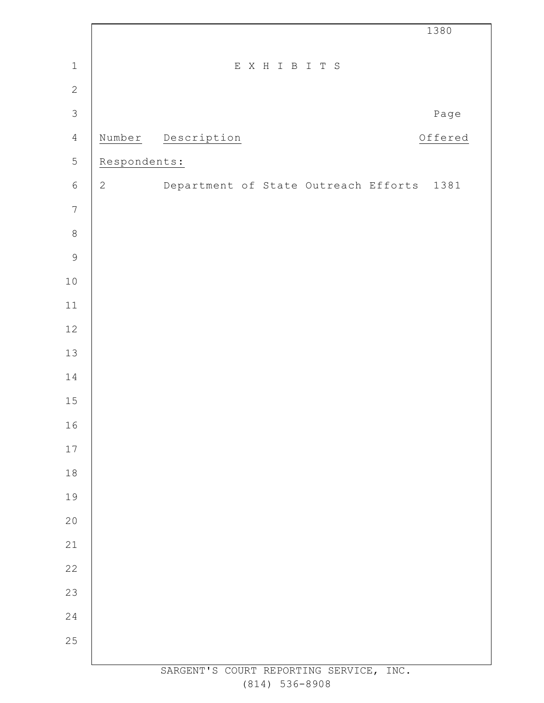|                |                |                                           | 1380    |
|----------------|----------------|-------------------------------------------|---------|
| $\mathbf 1$    |                | EXHIBITS                                  |         |
| $\mathbf{2}$   |                |                                           |         |
| $\mathcal{S}$  |                |                                           | Page    |
| $\overline{4}$ | Number         | Description                               | Offered |
| 5              | Respondents:   |                                           |         |
| $\sqrt{6}$     | $\overline{2}$ | Department of State Outreach Efforts 1381 |         |
| $\overline{7}$ |                |                                           |         |
| $\,8\,$        |                |                                           |         |
| $\mathsf 9$    |                |                                           |         |
| $1\,0$         |                |                                           |         |
| $11$           |                |                                           |         |
| $12\,$         |                |                                           |         |
| 13             |                |                                           |         |
| 14             |                |                                           |         |
| $15\,$         |                |                                           |         |
| 16             |                |                                           |         |
| $17$           |                |                                           |         |
| $1\,8$         |                |                                           |         |
| 19             |                |                                           |         |
| $20$           |                |                                           |         |
| 21             |                |                                           |         |
| 22             |                |                                           |         |
| 23             |                |                                           |         |
| 24             |                |                                           |         |
| 25             |                |                                           |         |
|                |                | SARGENT'S COURT REPORTING SERVICE, INC.   |         |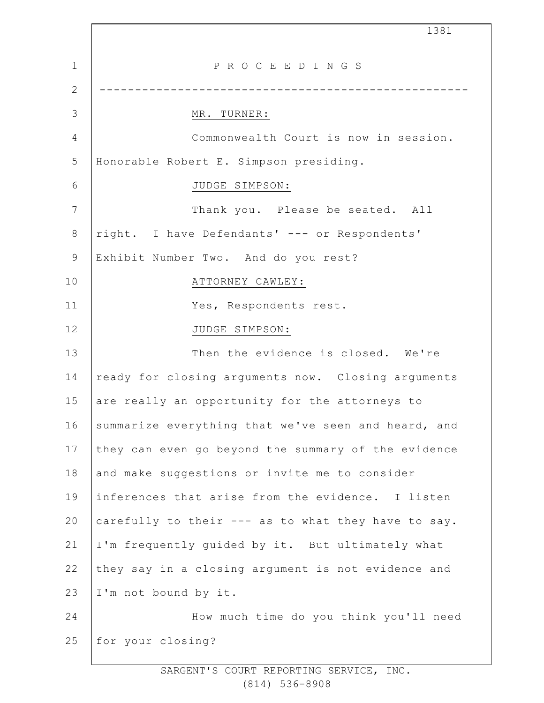1 2 3 4 5 6 7 8 9 10 11 12 13 14 15 16 17 18 19 20 21 22 23 24 25 1381 P R O C E E D I N G S ---------------------------------------------------- MR. TURNER: Commonwealth Court is now in session. Honorable Robert E. Simpson presiding. JUDGE SIMPSON: Thank you. Please be seated. All right. I have Defendants' --- or Respondents' Exhibit Number Two. And do you rest? ATTORNEY CAWLEY: Yes, Respondents rest. JUDGE SIMPSON: Then the evidence is closed. We're ready for closing arguments now. Closing arguments are really an opportunity for the attorneys to summarize everything that we've seen and heard, and they can even go beyond the summary of the evidence and make suggestions or invite me to consider inferences that arise from the evidence. I listen carefully to their --- as to what they have to say. I'm frequently guided by it. But ultimately what they say in a closing argument is not evidence and I'm not bound by it. How much time do you think you'll need for your closing?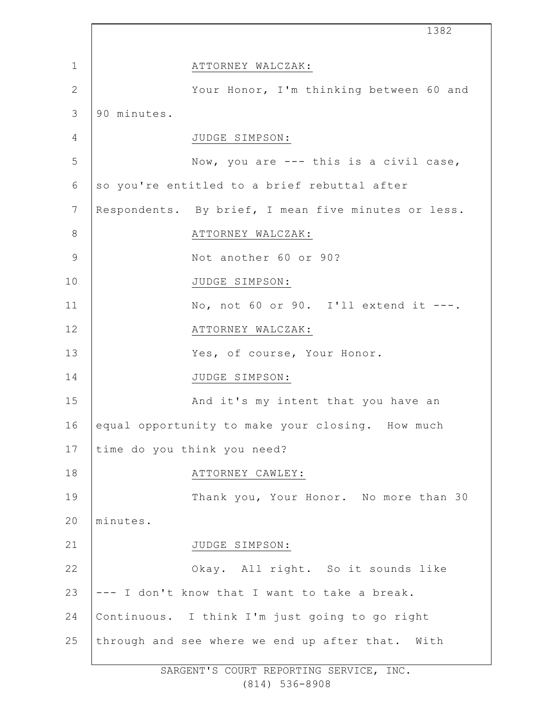|               |             | 1382                                                |  |
|---------------|-------------|-----------------------------------------------------|--|
| $\mathbf{1}$  |             | ATTORNEY WALCZAK:                                   |  |
| $\mathbf{2}$  |             | Your Honor, I'm thinking between 60 and             |  |
| 3             | 90 minutes. |                                                     |  |
| 4             |             | JUDGE SIMPSON:                                      |  |
| 5             |             | Now, you are --- this is a civil case,              |  |
| 6             |             | so you're entitled to a brief rebuttal after        |  |
| 7             |             | Respondents. By brief, I mean five minutes or less. |  |
| 8             |             | ATTORNEY WALCZAK:                                   |  |
| $\mathcal{G}$ |             | Not another 60 or 90?                               |  |
| 10            |             | JUDGE SIMPSON:                                      |  |
| 11            |             | No, not 60 or 90. I'll extend it ---.               |  |
| 12            |             | ATTORNEY WALCZAK:                                   |  |
| 13            |             | Yes, of course, Your Honor.                         |  |
| 14            |             | JUDGE SIMPSON:                                      |  |
| 15            |             | And it's my intent that you have an                 |  |
| 16            |             | equal opportunity to make your closing. How much    |  |
| 17            |             | time do you think you need?                         |  |
| 18            |             | ATTORNEY CAWLEY:                                    |  |
| 19            |             | Thank you, Your Honor. No more than 30              |  |
| 20            | minutes.    |                                                     |  |
| 21            |             | JUDGE SIMPSON:                                      |  |
| 22            |             | Okay. All right. So it sounds like                  |  |
| 23            |             | --- I don't know that I want to take a break.       |  |
| 24            |             | Continuous. I think I'm just going to go right      |  |
| 25            |             | through and see where we end up after that. With    |  |
|               |             |                                                     |  |

Ť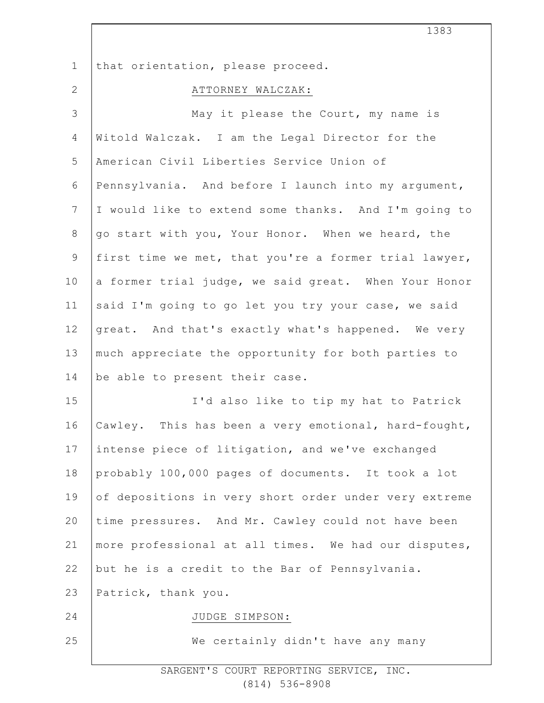| $\mathbf 1$    | that orientation, please proceed.                     |
|----------------|-------------------------------------------------------|
| $\mathbf{2}$   | ATTORNEY WALCZAK:                                     |
| $\mathcal{S}$  | May it please the Court, my name is                   |
| 4              | Witold Walczak. I am the Legal Director for the       |
| 5              | American Civil Liberties Service Union of             |
| 6              | Pennsylvania. And before I launch into my argument,   |
| $7\phantom{.}$ | I would like to extend some thanks. And I'm going to  |
| $8\,$          | go start with you, Your Honor. When we heard, the     |
| $\mathsf 9$    | first time we met, that you're a former trial lawyer, |
| 10             | a former trial judge, we said great. When Your Honor  |
| 11             | said I'm going to go let you try your case, we said   |
| 12             | great. And that's exactly what's happened. We very    |
| 13             | much appreciate the opportunity for both parties to   |
| 14             | be able to present their case.                        |
| 15             | I'd also like to tip my hat to Patrick                |
| 16             | Cawley. This has been a very emotional, hard-fought,  |
| 17             | intense piece of litigation, and we've exchanged      |
| 18             | probably 100,000 pages of documents. It took a lot    |
| 19             | of depositions in very short order under very extreme |
| 20             | time pressures. And Mr. Cawley could not have been    |
| 21             | more professional at all times. We had our disputes,  |
| 22             | but he is a credit to the Bar of Pennsylvania.        |
| 23             | Patrick, thank you.                                   |
| 24             | JUDGE SIMPSON:                                        |
| 25             | We certainly didn't have any many                     |
|                |                                                       |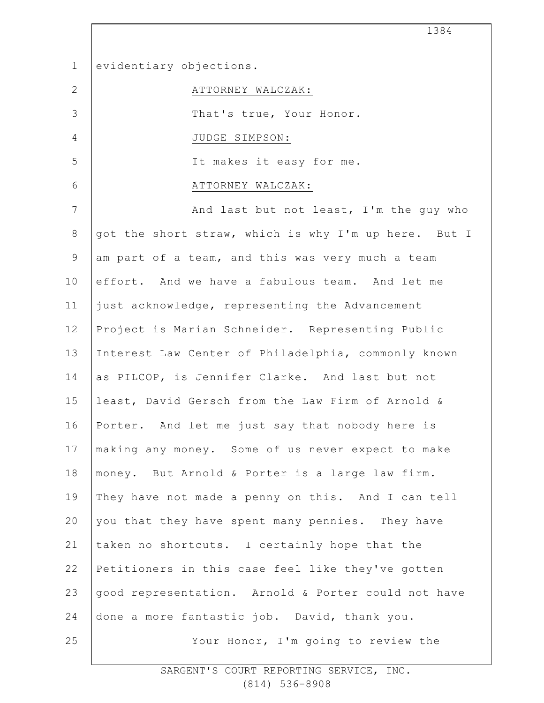1 2 3 4 5 6 7 8 9 10 11 12 13 14 15 16 17 18 19 20 21 22 23 24 25 evidentiary objections. ATTORNEY WALCZAK: That's true, Your Honor. JUDGE SIMPSON: It makes it easy for me. ATTORNEY WALCZAK: And last but not least, I'm the guy who got the short straw, which is why I'm up here. But I am part of a team, and this was very much a team effort. And we have a fabulous team. And let me just acknowledge, representing the Advancement Project is Marian Schneider. Representing Public Interest Law Center of Philadelphia, commonly known as PILCOP, is Jennifer Clarke. And last but not least, David Gersch from the Law Firm of Arnold & Porter. And let me just say that nobody here is making any money. Some of us never expect to make money. But Arnold & Porter is a large law firm. They have not made a penny on this. And I can tell you that they have spent many pennies. They have taken no shortcuts. I certainly hope that the Petitioners in this case feel like they've gotten good representation. Arnold & Porter could not have done a more fantastic job. David, thank you. Your Honor, I'm going to review the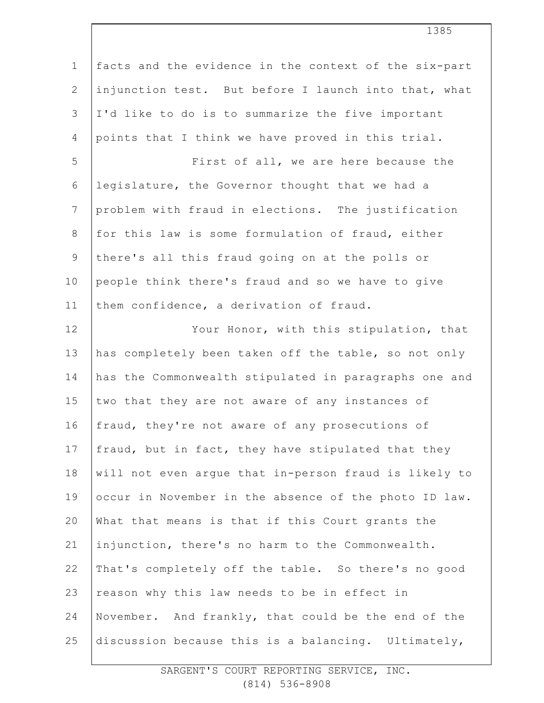| $\mathbf 1$    | facts and the evidence in the context of the six-part |
|----------------|-------------------------------------------------------|
| $\mathbf{2}$   | injunction test. But before I launch into that, what  |
| $\mathfrak{Z}$ | I'd like to do is to summarize the five important     |
| $\overline{4}$ | points that I think we have proved in this trial.     |
| 5              | First of all, we are here because the                 |
| 6              | legislature, the Governor thought that we had a       |
| $\overline{7}$ | problem with fraud in elections. The justification    |
| $8\,$          | for this law is some formulation of fraud, either     |
| $\mathsf 9$    | there's all this fraud going on at the polls or       |
| 10             | people think there's fraud and so we have to give     |
| 11             | them confidence, a derivation of fraud.               |
| 12             | Your Honor, with this stipulation, that               |
| 13             | has completely been taken off the table, so not only  |
| 14             | has the Commonwealth stipulated in paragraphs one and |
| 15             | two that they are not aware of any instances of       |
| 16             | fraud, they're not aware of any prosecutions of       |
| 17             | fraud, but in fact, they have stipulated that they    |
| $18\,$         | will not even argue that in-person fraud is likely to |
| 19             | occur in November in the absence of the photo ID law. |
| 20             | What that means is that if this Court grants the      |
| 21             | injunction, there's no harm to the Commonwealth.      |
| 22             | That's completely off the table. So there's no good   |
| 23             | reason why this law needs to be in effect in          |
| 24             | November. And frankly, that could be the end of the   |
| 25             | discussion because this is a balancing. Ultimately,   |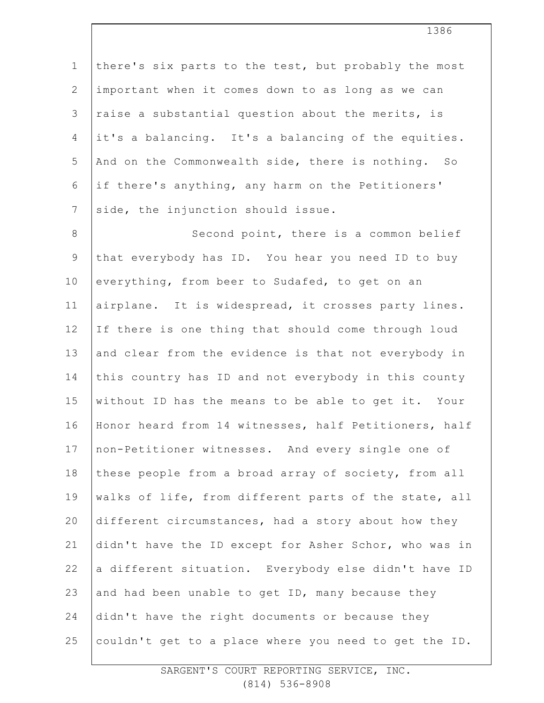1 2 3 4 5 6 7 there's six parts to the test, but probably the most important when it comes down to as long as we can raise a substantial question about the merits, is it's a balancing. It's a balancing of the equities. And on the Commonwealth side, there is nothing. So if there's anything, any harm on the Petitioners' side, the injunction should issue.

8 9 10 11 12 13 14 15 16 17 18 19 20 21 22 23 24 25 Second point, there is a common belief that everybody has ID. You hear you need ID to buy everything, from beer to Sudafed, to get on an airplane. It is widespread, it crosses party lines. If there is one thing that should come through loud and clear from the evidence is that not everybody in this country has ID and not everybody in this county without ID has the means to be able to get it. Your Honor heard from 14 witnesses, half Petitioners, half non-Petitioner witnesses. And every single one of these people from a broad array of society, from all walks of life, from different parts of the state, all different circumstances, had a story about how they didn't have the ID except for Asher Schor, who was in a different situation. Everybody else didn't have ID and had been unable to get ID, many because they didn't have the right documents or because they couldn't get to a place where you need to get the ID.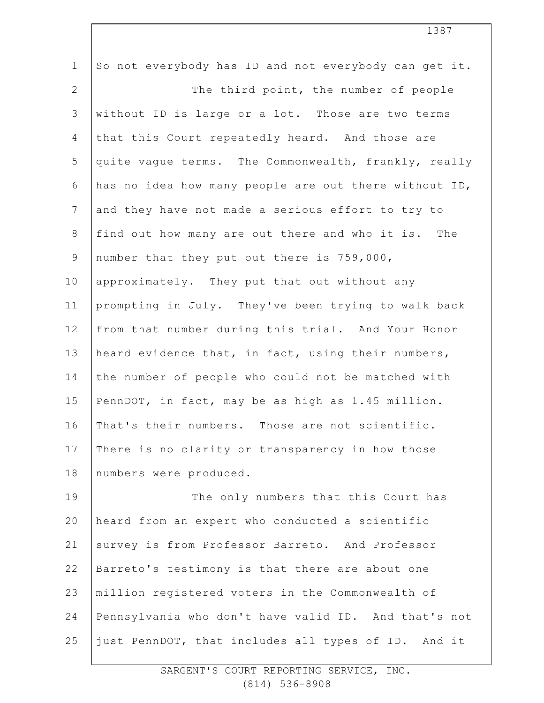| $\mathbf 1$     | So not everybody has ID and not everybody can get it. |
|-----------------|-------------------------------------------------------|
| $\mathbf{2}$    | The third point, the number of people                 |
| 3               | without ID is large or a lot. Those are two terms     |
| 4               | that this Court repeatedly heard. And those are       |
| 5               | quite vague terms. The Commonwealth, frankly, really  |
| 6               | has no idea how many people are out there without ID, |
| $7\phantom{.0}$ | and they have not made a serious effort to try to     |
| $\,8\,$         | find out how many are out there and who it is. The    |
| $\mathsf 9$     | number that they put out there is 759,000,            |
| 10              | approximately. They put that out without any          |
| 11              | prompting in July. They've been trying to walk back   |
| 12              | from that number during this trial. And Your Honor    |
| 13              | heard evidence that, in fact, using their numbers,    |
| 14              | the number of people who could not be matched with    |
| 15              | PennDOT, in fact, may be as high as 1.45 million.     |
| 16              | That's their numbers. Those are not scientific.       |
| 17              | There is no clarity or transparency in how those      |
| 18              | numbers were produced.                                |
| 19              | The only numbers that this Court has                  |
| 20              | heard from an expert who conducted a scientific       |
| 21              | survey is from Professor Barreto. And Professor       |
| 22              | Barreto's testimony is that there are about one       |
| 23              | million registered voters in the Commonwealth of      |
| 24              | Pennsylvania who don't have valid ID. And that's not  |
| 25              | just PennDOT, that includes all types of ID. And it   |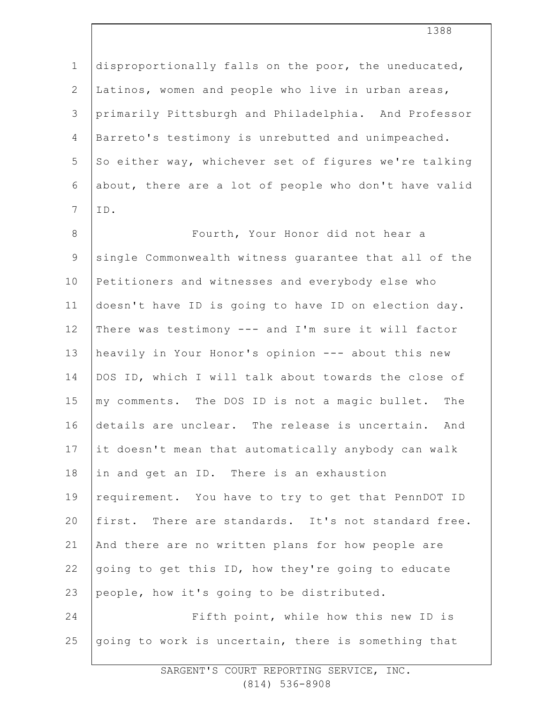1 2 3 4 5 6 7 8 9 10 11 12 13 14 15 16 17 18 19 20 21 22 23 24 25 disproportionally falls on the poor, the uneducated, Latinos, women and people who live in urban areas, primarily Pittsburgh and Philadelphia. And Professor Barreto's testimony is unrebutted and unimpeached. So either way, whichever set of figures we're talking about, there are a lot of people who don't have valid ID. Fourth, Your Honor did not hear a single Commonwealth witness guarantee that all of the Petitioners and witnesses and everybody else who doesn't have ID is going to have ID on election day. There was testimony --- and I'm sure it will factor heavily in Your Honor's opinion --- about this new DOS ID, which I will talk about towards the close of my comments. The DOS ID is not a magic bullet. The details are unclear. The release is uncertain. And it doesn't mean that automatically anybody can walk in and get an ID. There is an exhaustion requirement. You have to try to get that PennDOT ID first. There are standards. It's not standard free. And there are no written plans for how people are going to get this ID, how they're going to educate people, how it's going to be distributed. Fifth point, while how this new ID is going to work is uncertain, there is something that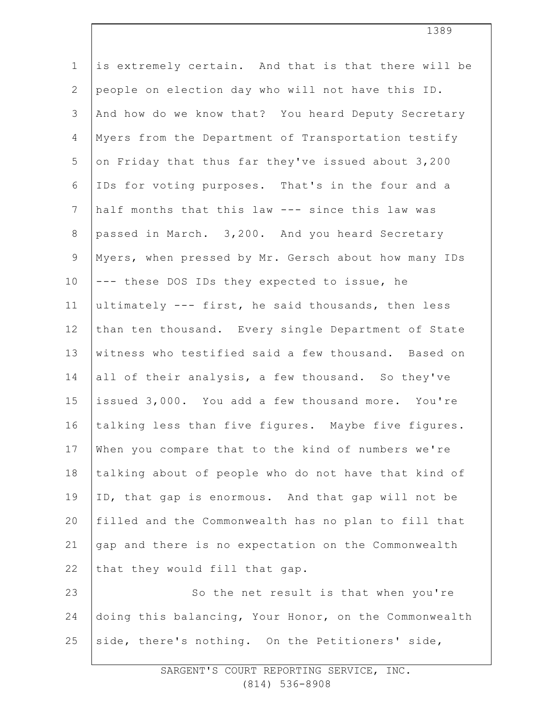| $\mathbf 1$     | is extremely certain. And that is that there will be  |
|-----------------|-------------------------------------------------------|
| 2               | people on election day who will not have this ID.     |
| 3               | And how do we know that? You heard Deputy Secretary   |
| 4               | Myers from the Department of Transportation testify   |
| 5               | on Friday that thus far they've issued about 3,200    |
| 6               | IDs for voting purposes. That's in the four and a     |
| $7\phantom{.0}$ | half months that this law --- since this law was      |
| $8\,$           | passed in March. 3,200. And you heard Secretary       |
| 9               | Myers, when pressed by Mr. Gersch about how many IDs  |
| 10              | --- these DOS IDs they expected to issue, he          |
| 11              | ultimately --- first, he said thousands, then less    |
| 12              | than ten thousand. Every single Department of State   |
| 13              | witness who testified said a few thousand. Based on   |
| 14              | all of their analysis, a few thousand. So they've     |
| 15              | issued 3,000. You add a few thousand more. You're     |
| 16              | talking less than five figures. Maybe five figures.   |
| 17              | When you compare that to the kind of numbers we're    |
| 18              | talking about of people who do not have that kind of  |
| 19              | ID, that gap is enormous. And that gap will not be    |
| 20              | filled and the Commonwealth has no plan to fill that  |
| 21              | gap and there is no expectation on the Commonwealth   |
| 22              | that they would fill that gap.                        |
| 23              | So the net result is that when you're                 |
| 24              | doing this balancing, Your Honor, on the Commonwealth |
| 25              | side, there's nothing. On the Petitioners' side,      |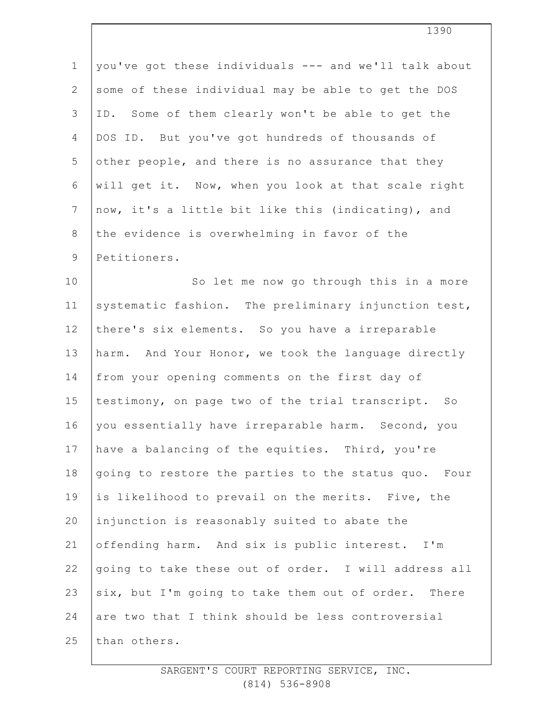| $\mathbf 1$    | you've got these individuals --- and we'll talk about |
|----------------|-------------------------------------------------------|
| $\overline{2}$ | some of these individual may be able to get the DOS   |
| 3              | ID. Some of them clearly won't be able to get the     |
| 4              | DOS ID. But you've got hundreds of thousands of       |
| 5              | other people, and there is no assurance that they     |
| 6              | will get it. Now, when you look at that scale right   |
| $7\phantom{.}$ | now, it's a little bit like this (indicating), and    |
| $8\,$          | the evidence is overwhelming in favor of the          |
| $\mathsf 9$    | Petitioners.                                          |
| 10             | So let me now go through this in a more               |
| 11             | systematic fashion. The preliminary injunction test,  |
| 12             | there's six elements. So you have a irreparable       |
| 13             | harm. And Your Honor, we took the language directly   |
| 14             | from your opening comments on the first day of        |
| 15             | testimony, on page two of the trial transcript. So    |
| 16             | you essentially have irreparable harm. Second, you    |
| 17             | have a balancing of the equities. Third, you're       |
| 18             | going to restore the parties to the status quo. Four  |
| 19             | is likelihood to prevail on the merits. Five, the     |
| 20             | injunction is reasonably suited to abate the          |
| 21             | offending harm. And six is public interest. I'm       |
| 22             | going to take these out of order. I will address all  |
| 23             | six, but I'm going to take them out of order. There   |
| 24             | are two that I think should be less controversial     |
| 25             | than others.                                          |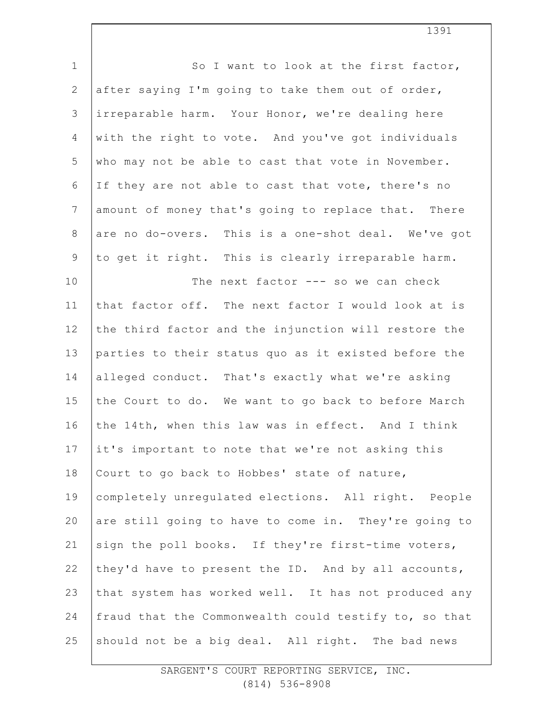| $1\,$          | So I want to look at the first factor,                |
|----------------|-------------------------------------------------------|
| $\mathbf{2}$   | after saying I'm going to take them out of order,     |
| 3              | irreparable harm. Your Honor, we're dealing here      |
| 4              | with the right to vote. And you've got individuals    |
| 5              | who may not be able to cast that vote in November.    |
| $\epsilon$     | If they are not able to cast that vote, there's no    |
| $\overline{7}$ | amount of money that's going to replace that. There   |
| $\,8\,$        | are no do-overs. This is a one-shot deal. We've got   |
| $\mathsf 9$    | to get it right. This is clearly irreparable harm.    |
| 10             | The next factor --- so we can check                   |
| 11             | that factor off. The next factor I would look at is   |
| 12             | the third factor and the injunction will restore the  |
| 13             | parties to their status quo as it existed before the  |
| 14             | alleged conduct. That's exactly what we're asking     |
| 15             | the Court to do. We want to go back to before March   |
| 16             | the 14th, when this law was in effect. And I think    |
| 17             | it's important to note that we're not asking this     |
| 18             | Court to go back to Hobbes' state of nature,          |
| 19             | completely unregulated elections. All right. People   |
| 20             | are still going to have to come in. They're going to  |
| 21             | sign the poll books. If they're first-time voters,    |
| 22             | they'd have to present the ID. And by all accounts,   |
| 23             | that system has worked well. It has not produced any  |
| 24             | fraud that the Commonwealth could testify to, so that |
| 25             | should not be a big deal. All right. The bad news     |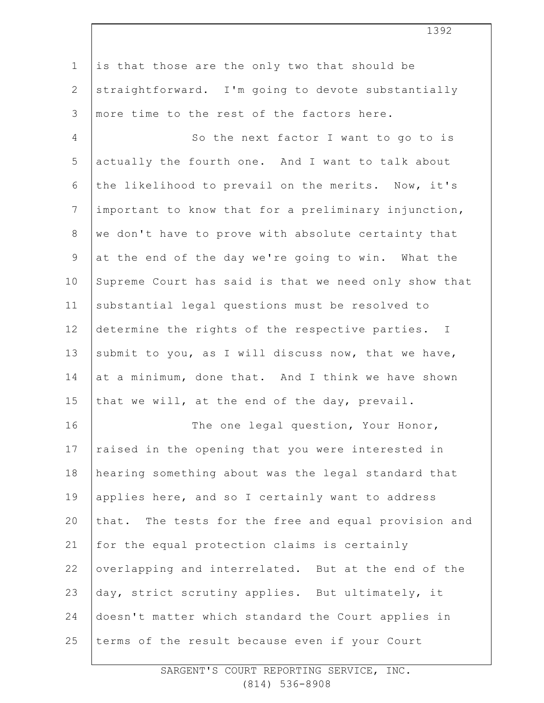1 2 3 4 5 6 7 8 9 10 11 12 13 14 15 16 17 18 19 20 21 22 23 24 25 is that those are the only two that should be straightforward. I'm going to devote substantially more time to the rest of the factors here. So the next factor I want to go to is actually the fourth one. And I want to talk about the likelihood to prevail on the merits. Now, it's important to know that for a preliminary injunction, we don't have to prove with absolute certainty that at the end of the day we're going to win. What the Supreme Court has said is that we need only show that substantial legal questions must be resolved to determine the rights of the respective parties. I submit to you, as I will discuss now, that we have, at a minimum, done that. And I think we have shown that we will, at the end of the day, prevail. The one legal question, Your Honor, raised in the opening that you were interested in hearing something about was the legal standard that applies here, and so I certainly want to address that. The tests for the free and equal provision and for the equal protection claims is certainly overlapping and interrelated. But at the end of the day, strict scrutiny applies. But ultimately, it doesn't matter which standard the Court applies in terms of the result because even if your Court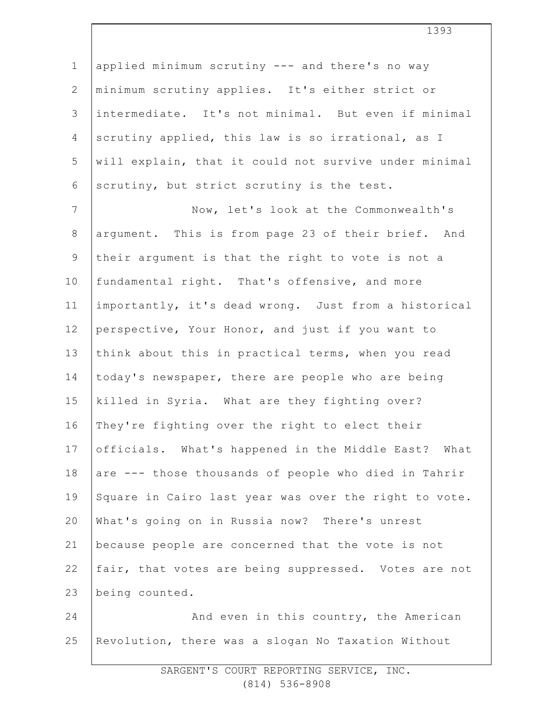1 2 3 4 5 6 applied minimum scrutiny --- and there's no way minimum scrutiny applies. It's either strict or intermediate. It's not minimal. But even if minimal scrutiny applied, this law is so irrational, as I will explain, that it could not survive under minimal scrutiny, but strict scrutiny is the test.

7 8 9 10 11 12 13 14 15 16 17 18 19 20 21 22 23 Now, let's look at the Commonwealth's argument. This is from page 23 of their brief. And their argument is that the right to vote is not a fundamental right. That's offensive, and more importantly, it's dead wrong. Just from a historical perspective, Your Honor, and just if you want to think about this in practical terms, when you read today's newspaper, there are people who are being killed in Syria. What are they fighting over? They're fighting over the right to elect their officials. What's happened in the Middle East? What are --- those thousands of people who died in Tahrir Square in Cairo last year was over the right to vote. What's going on in Russia now? There's unrest because people are concerned that the vote is not fair, that votes are being suppressed. Votes are not being counted.

24 25 And even in this country, the American Revolution, there was a slogan No Taxation Without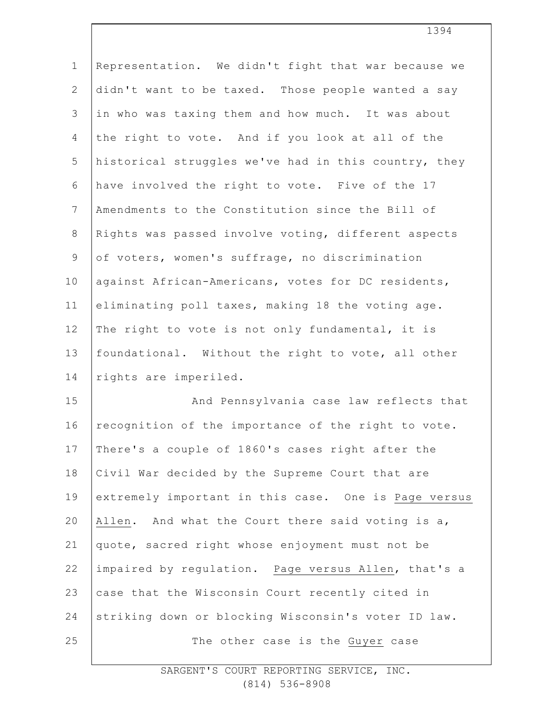| Representation. We didn't fight that war because we  |
|------------------------------------------------------|
| didn't want to be taxed. Those people wanted a say   |
| in who was taxing them and how much. It was about    |
| the right to vote. And if you look at all of the     |
| historical struggles we've had in this country, they |
| have involved the right to vote. Five of the 17      |
| Amendments to the Constitution since the Bill of     |
| Rights was passed involve voting, different aspects  |
| of voters, women's suffrage, no discrimination       |
| against African-Americans, votes for DC residents,   |
| eliminating poll taxes, making 18 the voting age.    |
| The right to vote is not only fundamental, it is     |
| foundational. Without the right to vote, all other   |
| rights are imperiled.                                |
| And Pennsylvania case law reflects that              |
| recognition of the importance of the right to vote.  |
| There's a couple of 1860's cases right after the     |
| Civil War decided by the Supreme Court that are      |
| extremely important in this case. One is Page versus |
| Allen. And what the Court there said voting is a,    |
| quote, sacred right whose enjoyment must not be      |
| impaired by regulation. Page versus Allen, that's a  |
| case that the Wisconsin Court recently cited in      |
| striking down or blocking Wisconsin's voter ID law.  |
| The other case is the Guyer case                     |
|                                                      |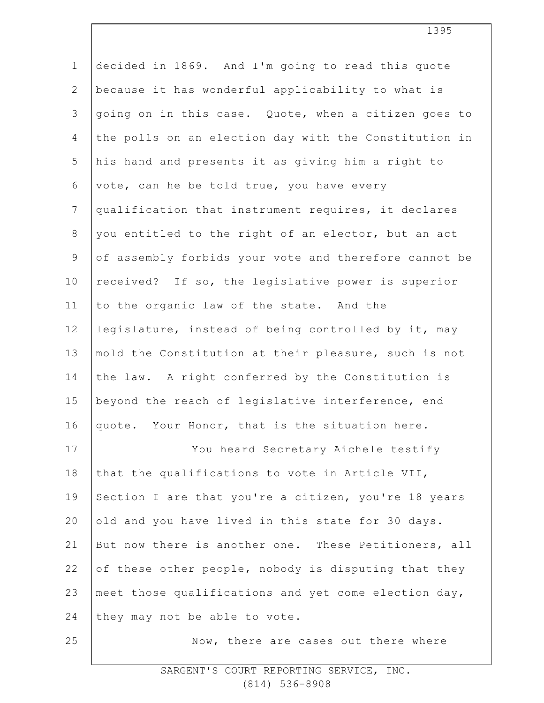| $\mathbf 1$    | decided in 1869. And I'm going to read this quote     |
|----------------|-------------------------------------------------------|
| $\mathbf{2}$   | because it has wonderful applicability to what is     |
| 3              | going on in this case. Quote, when a citizen goes to  |
| $\overline{4}$ | the polls on an election day with the Constitution in |
| 5              | his hand and presents it as giving him a right to     |
| 6              | vote, can he be told true, you have every             |
| $\overline{7}$ | qualification that instrument requires, it declares   |
| 8              | you entitled to the right of an elector, but an act   |
| $\mathsf 9$    | of assembly forbids your vote and therefore cannot be |
| 10             | received? If so, the legislative power is superior    |
| 11             | to the organic law of the state. And the              |
| 12             | legislature, instead of being controlled by it, may   |
| 13             | mold the Constitution at their pleasure, such is not  |
| 14             | the law. A right conferred by the Constitution is     |
| 15             | beyond the reach of legislative interference, end     |
| 16             | quote. Your Honor, that is the situation here.        |
| 17             | You heard Secretary Aichele testify                   |
| 18             | that the qualifications to vote in Article VII,       |
| 19             | Section I are that you're a citizen, you're 18 years  |
| 20             | old and you have lived in this state for 30 days.     |
| 21             | But now there is another one. These Petitioners, all  |
| 22             | of these other people, nobody is disputing that they  |
| 23             | meet those qualifications and yet come election day,  |
| 24             | they may not be able to vote.                         |
| 25             | Now, there are cases out there where                  |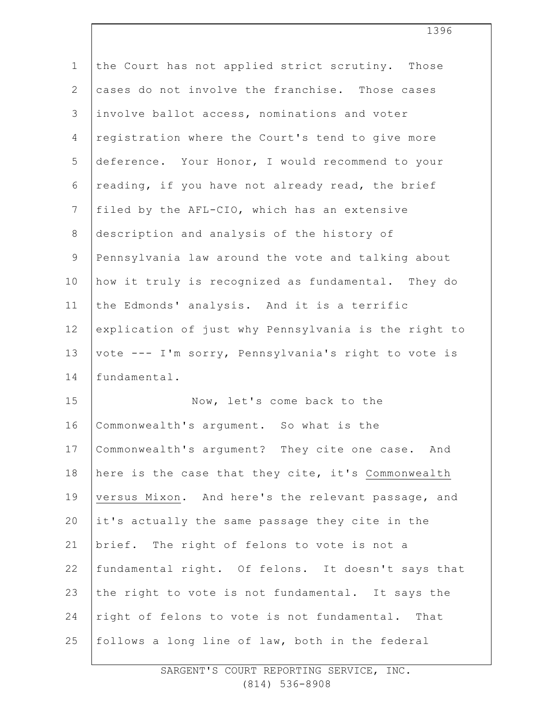| $\mathbf 1$    | the Court has not applied strict scrutiny. Those     |
|----------------|------------------------------------------------------|
| $\mathbf{2}$   | cases do not involve the franchise. Those cases      |
| 3              | involve ballot access, nominations and voter         |
| 4              | registration where the Court's tend to give more     |
| 5              | deference. Your Honor, I would recommend to your     |
| 6              | reading, if you have not already read, the brief     |
| $7\phantom{.}$ | filed by the AFL-CIO, which has an extensive         |
| $\,8\,$        | description and analysis of the history of           |
| $\mathsf 9$    | Pennsylvania law around the vote and talking about   |
| 10             | how it truly is recognized as fundamental. They do   |
| 11             | the Edmonds' analysis. And it is a terrific          |
| 12             | explication of just why Pennsylvania is the right to |
| 13             | vote --- I'm sorry, Pennsylvania's right to vote is  |
| 14             | fundamental.                                         |
| 15             | Now, let's come back to the                          |
| 16             | Commonwealth's argument. So what is the              |
| 17             | Commonwealth's argument? They cite one case. And     |
| 18             | here is the case that they cite, it's Commonwealth   |
| 19             | versus Mixon. And here's the relevant passage, and   |
| 20             | it's actually the same passage they cite in the      |
| 21             | brief. The right of felons to vote is not a          |
| 22             | fundamental right. Of felons. It doesn't says that   |
| 23             | the right to vote is not fundamental. It says the    |
| 24             | right of felons to vote is not fundamental. That     |
| 25             | follows a long line of law, both in the federal      |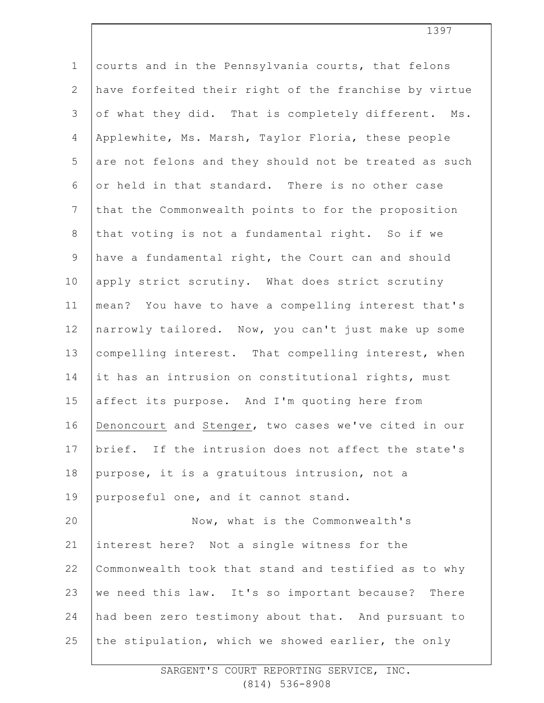1 2 3 4 5 6 7 8 9 10 11 12 13 14 15 16 17 18 19 20 21 22 23 24 25 courts and in the Pennsylvania courts, that felons have forfeited their right of the franchise by virtue of what they did. That is completely different. Ms. Applewhite, Ms. Marsh, Taylor Floria, these people are not felons and they should not be treated as such or held in that standard. There is no other case that the Commonwealth points to for the proposition that voting is not a fundamental right. So if we have a fundamental right, the Court can and should apply strict scrutiny. What does strict scrutiny mean? You have to have a compelling interest that's narrowly tailored. Now, you can't just make up some compelling interest. That compelling interest, when it has an intrusion on constitutional rights, must affect its purpose. And I'm quoting here from Denoncourt and Stenger, two cases we've cited in our brief. If the intrusion does not affect the state's purpose, it is a gratuitous intrusion, not a purposeful one, and it cannot stand. Now, what is the Commonwealth's interest here? Not a single witness for the Commonwealth took that stand and testified as to why we need this law. It's so important because? There had been zero testimony about that. And pursuant to the stipulation, which we showed earlier, the only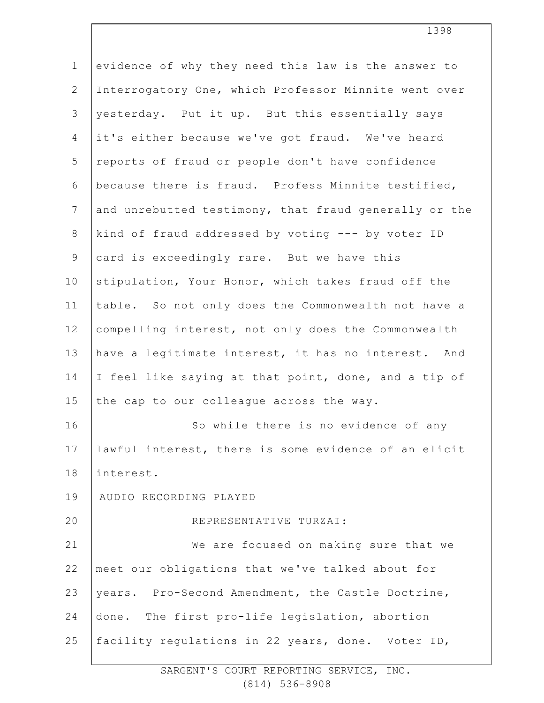| $\mathbf 1$    | evidence of why they need this law is the answer to   |
|----------------|-------------------------------------------------------|
| $\mathbf{2}$   | Interrogatory One, which Professor Minnite went over  |
| 3              | yesterday. Put it up. But this essentially says       |
| 4              | it's either because we've got fraud. We've heard      |
| 5              | reports of fraud or people don't have confidence      |
| 6              | because there is fraud. Profess Minnite testified,    |
| $\overline{7}$ | and unrebutted testimony, that fraud generally or the |
| $8\,$          | kind of fraud addressed by voting --- by voter ID     |
| 9              | card is exceedingly rare. But we have this            |
| 10             | stipulation, Your Honor, which takes fraud off the    |
| 11             | table. So not only does the Commonwealth not have a   |
| 12             | compelling interest, not only does the Commonwealth   |
| 13             | have a legitimate interest, it has no interest. And   |
| 14             | I feel like saying at that point, done, and a tip of  |
| 15             | the cap to our colleague across the way.              |
| 16             | So while there is no evidence of any                  |
| 17             | lawful interest, there is some evidence of an elicit  |
| 18             | interest.                                             |
| 19             | AUDIO RECORDING PLAYED                                |
| 20             | REPRESENTATIVE TURZAI:                                |
| 21             | We are focused on making sure that we                 |
| 22             | meet our obligations that we've talked about for      |
| 23             | years. Pro-Second Amendment, the Castle Doctrine,     |
| 24             | The first pro-life legislation, abortion<br>done.     |
| 25             | facility regulations in 22 years, done. Voter ID,     |
|                |                                                       |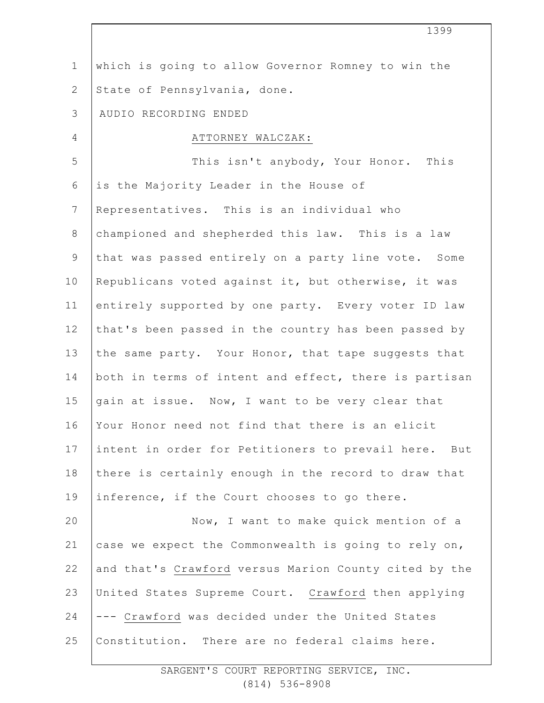| $\mathbf 1$    | which is going to allow Governor Romney to win the    |
|----------------|-------------------------------------------------------|
| $\mathbf{2}$   | State of Pennsylvania, done.                          |
| $\mathfrak{Z}$ | AUDIO RECORDING ENDED                                 |
| $\overline{4}$ | ATTORNEY WALCZAK:                                     |
| 5              | This isn't anybody, Your Honor. This                  |
| 6              | is the Majority Leader in the House of                |
| 7              | Representatives. This is an individual who            |
| $\,8\,$        | championed and shepherded this law. This is a law     |
| $\mathsf 9$    | that was passed entirely on a party line vote. Some   |
| 10             | Republicans voted against it, but otherwise, it was   |
| 11             | entirely supported by one party. Every voter ID law   |
| 12             | that's been passed in the country has been passed by  |
| 13             | the same party. Your Honor, that tape suggests that   |
| 14             | both in terms of intent and effect, there is partisan |
| 15             | gain at issue. Now, I want to be very clear that      |
| 16             | Your Honor need not find that there is an elicit      |
| 17             | intent in order for Petitioners to prevail here. But  |
| 18             | there is certainly enough in the record to draw that  |
| 19             | inference, if the Court chooses to go there.          |
| 20             | Now, I want to make quick mention of a                |
| 21             | case we expect the Commonwealth is going to rely on,  |
| 22             | and that's Crawford versus Marion County cited by the |
| 23             | United States Supreme Court. Crawford then applying   |
| 24             | --- Crawford was decided under the United States      |
| 25             | Constitution. There are no federal claims here.       |
|                |                                                       |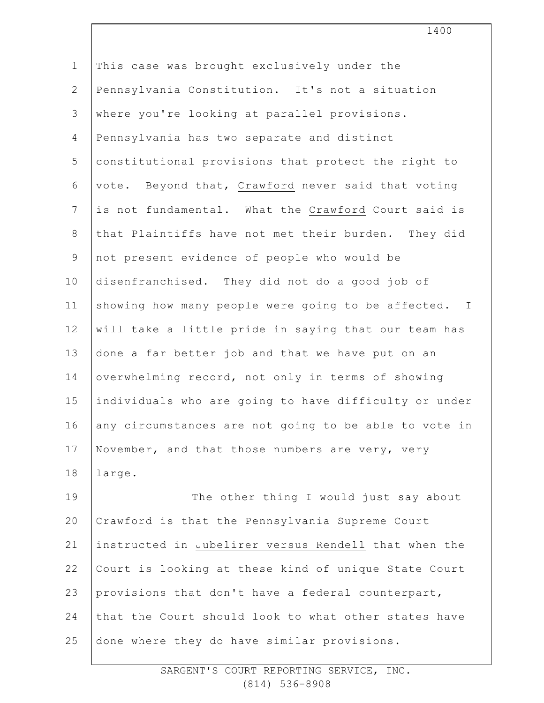1 2 3 4 5 6 7 8 9 10 11 12 13 14 15 16 17 18 19 20 21 22 23 24 25 This case was brought exclusively under the Pennsylvania Constitution. It's not a situation where you're looking at parallel provisions. Pennsylvania has two separate and distinct constitutional provisions that protect the right to vote. Beyond that, Crawford never said that voting is not fundamental. What the Crawford Court said is that Plaintiffs have not met their burden. They did not present evidence of people who would be disenfranchised. They did not do a good job of showing how many people were going to be affected. I will take a little pride in saying that our team has done a far better job and that we have put on an overwhelming record, not only in terms of showing individuals who are going to have difficulty or under any circumstances are not going to be able to vote in November, and that those numbers are very, very large. The other thing I would just say about Crawford is that the Pennsylvania Supreme Court instructed in Jubelirer versus Rendell that when the Court is looking at these kind of unique State Court provisions that don't have a federal counterpart, that the Court should look to what other states have done where they do have similar provisions.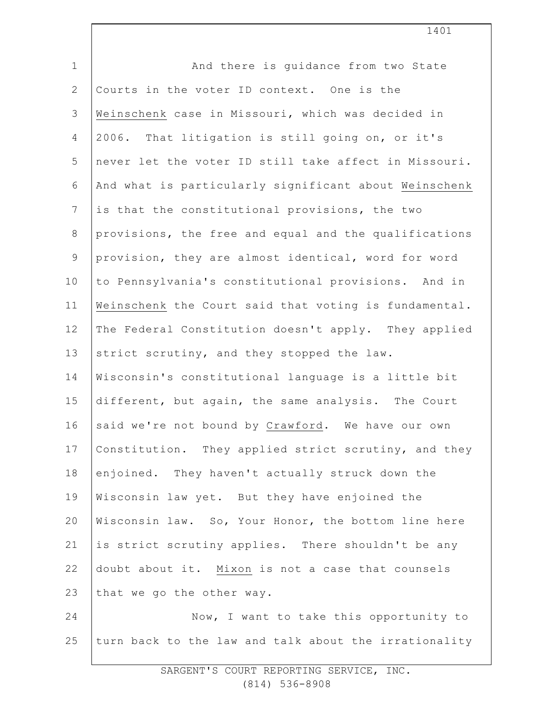| $\mathbf 1$    | And there is quidance from two State                  |
|----------------|-------------------------------------------------------|
| $\overline{2}$ | Courts in the voter ID context. One is the            |
| $\mathsf 3$    | Weinschenk case in Missouri, which was decided in     |
| 4              | 2006. That litigation is still going on, or it's      |
| 5              | never let the voter ID still take affect in Missouri. |
| 6              | And what is particularly significant about Weinschenk |
| $\overline{7}$ | is that the constitutional provisions, the two        |
| $\,8\,$        | provisions, the free and equal and the qualifications |
| $\mathsf 9$    | provision, they are almost identical, word for word   |
| 10             | to Pennsylvania's constitutional provisions. And in   |
| 11             | Weinschenk the Court said that voting is fundamental. |
| 12             | The Federal Constitution doesn't apply. They applied  |
| 13             | strict scrutiny, and they stopped the law.            |
| 14             | Wisconsin's constitutional language is a little bit   |
| 15             | different, but again, the same analysis. The Court    |
| 16             | said we're not bound by Crawford. We have our own     |
| 17             | Constitution. They applied strict scrutiny, and they  |
| 18             | enjoined. They haven't actually struck down the       |
| 19             | Wisconsin law yet. But they have enjoined the         |
| 20             | Wisconsin law. So, Your Honor, the bottom line here   |
| 21             | is strict scrutiny applies. There shouldn't be any    |
| 22             | doubt about it. Mixon is not a case that counsels     |
| 23             | that we go the other way.                             |
| 24             | Now, I want to take this opportunity to               |
| 25             | turn back to the law and talk about the irrationality |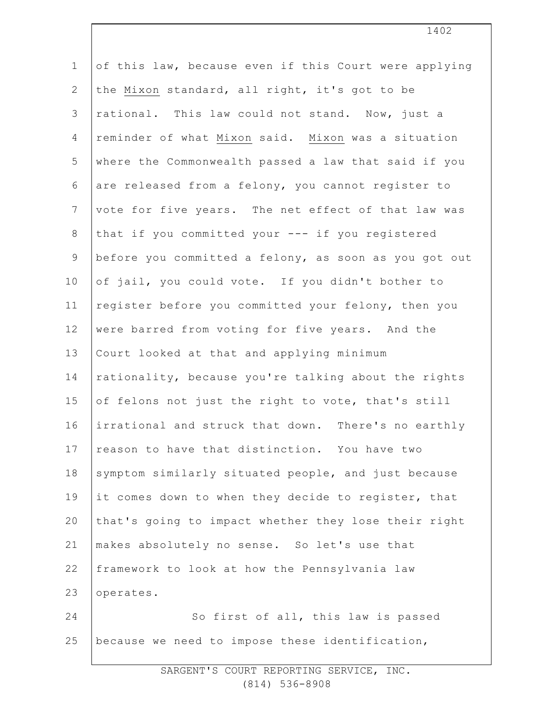| $\mathbf 1$     | of this law, because even if this Court were applying |
|-----------------|-------------------------------------------------------|
| $\mathbf{2}$    | the Mixon standard, all right, it's got to be         |
| $\mathcal{S}$   | rational. This law could not stand. Now, just a       |
| $\overline{4}$  | reminder of what Mixon said. Mixon was a situation    |
| 5               | where the Commonwealth passed a law that said if you  |
| 6               | are released from a felony, you cannot register to    |
| $7\phantom{.0}$ | vote for five years. The net effect of that law was   |
| $\,8\,$         | that if you committed your --- if you registered      |
| $\mathsf 9$     | before you committed a felony, as soon as you got out |
| 10              | of jail, you could vote. If you didn't bother to      |
| 11              | register before you committed your felony, then you   |
| 12              | were barred from voting for five years. And the       |
| 13              | Court looked at that and applying minimum             |
| 14              | rationality, because you're talking about the rights  |
| 15              | of felons not just the right to vote, that's still    |
| 16              | irrational and struck that down. There's no earthly   |
| 17              | reason to have that distinction. You have two         |
| 18              | symptom similarly situated people, and just because   |
| 19              | it comes down to when they decide to register, that   |
| 20              | that's going to impact whether they lose their right  |
| 21              | makes absolutely no sense. So let's use that          |
| 22              | framework to look at how the Pennsylvania law         |
| 23              | operates.                                             |
| 24              | So first of all, this law is passed                   |
| 25              | because we need to impose these identification,       |
|                 |                                                       |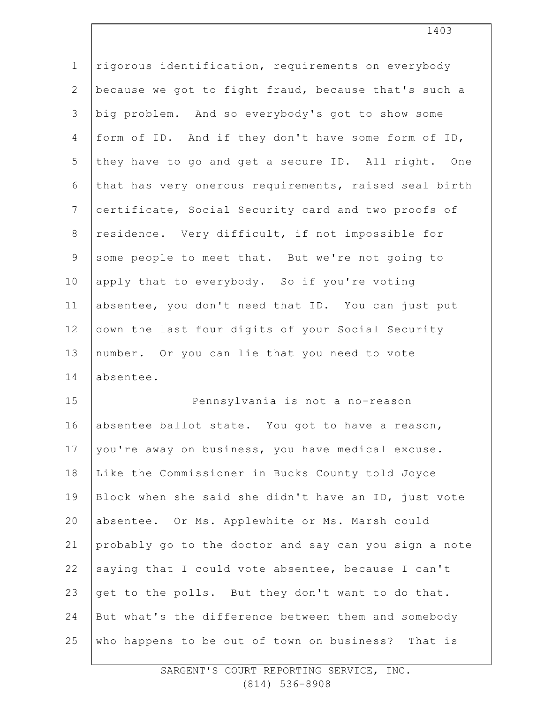| $\mathbf 1$    | rigorous identification, requirements on everybody    |
|----------------|-------------------------------------------------------|
| $\mathbf{2}$   | because we got to fight fraud, because that's such a  |
| 3              | big problem. And so everybody's got to show some      |
| 4              | form of ID. And if they don't have some form of ID,   |
| 5              | they have to go and get a secure ID. All right. One   |
| 6              | that has very onerous requirements, raised seal birth |
| $7\phantom{.}$ | certificate, Social Security card and two proofs of   |
| $\,8\,$        | residence. Very difficult, if not impossible for      |
| $\mathsf 9$    | some people to meet that. But we're not going to      |
| 10             | apply that to everybody. So if you're voting          |
| 11             | absentee, you don't need that ID. You can just put    |
| 12             | down the last four digits of your Social Security     |
| 13             | number. Or you can lie that you need to vote          |
| 14             | absentee.                                             |
| 15             | Pennsylvania is not a no-reason                       |
| 16             | absentee ballot state. You got to have a reason,      |
| 17             | you're away on business, you have medical excuse.     |
| 18             | Like the Commissioner in Bucks County told Joyce      |
| 19             | Block when she said she didn't have an ID, just vote  |
| 20             | absentee. Or Ms. Applewhite or Ms. Marsh could        |
| 21             | probably go to the doctor and say can you sign a note |
| 22             | saying that I could vote absentee, because I can't    |
| 23             | get to the polls. But they don't want to do that.     |
| 24             | But what's the difference between them and somebody   |
| 25             | who happens to be out of town on business? That is    |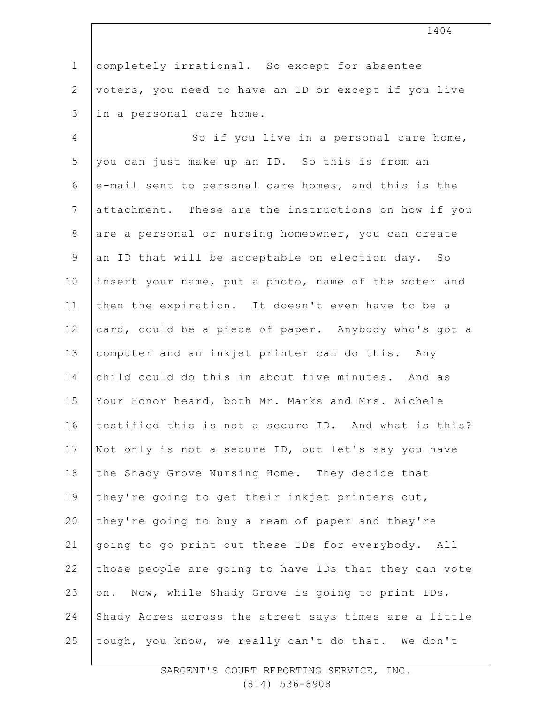1 2 3 completely irrational. So except for absentee voters, you need to have an ID or except if you live in a personal care home.

4 5 6 7 8 9 10 11 12 13 14 15 16 17 18 19 20 21 22 23 24 25 So if you live in a personal care home, you can just make up an ID. So this is from an e-mail sent to personal care homes, and this is the attachment. These are the instructions on how if you are a personal or nursing homeowner, you can create an ID that will be acceptable on election day. So insert your name, put a photo, name of the voter and then the expiration. It doesn't even have to be a card, could be a piece of paper. Anybody who's got a computer and an inkjet printer can do this. Any child could do this in about five minutes. And as Your Honor heard, both Mr. Marks and Mrs. Aichele testified this is not a secure ID. And what is this? Not only is not a secure ID, but let's say you have the Shady Grove Nursing Home. They decide that they're going to get their inkjet printers out, they're going to buy a ream of paper and they're going to go print out these IDs for everybody. All those people are going to have IDs that they can vote on. Now, while Shady Grove is going to print IDs, Shady Acres across the street says times are a little tough, you know, we really can't do that. We don't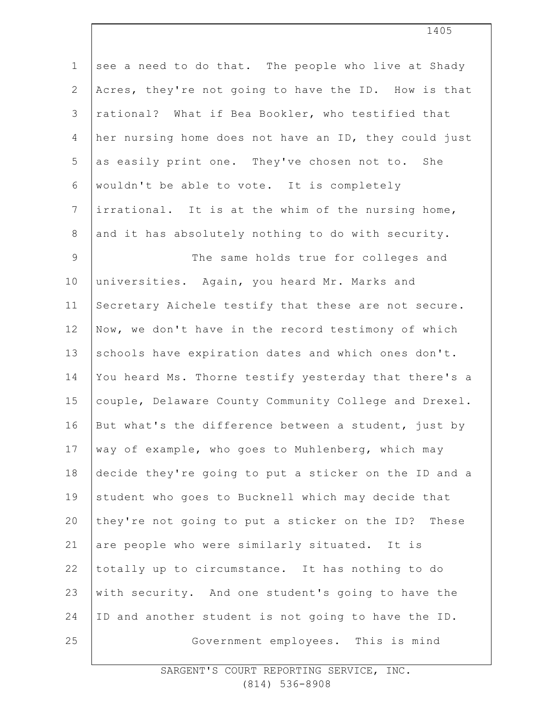| $\mathbf 1$     | see a need to do that. The people who live at Shady   |
|-----------------|-------------------------------------------------------|
| $\mathbf{2}$    | Acres, they're not going to have the ID. How is that  |
| 3               | rational? What if Bea Bookler, who testified that     |
| 4               | her nursing home does not have an ID, they could just |
| 5               | as easily print one. They've chosen not to. She       |
| 6               | wouldn't be able to vote. It is completely            |
| $7\phantom{.0}$ | irrational. It is at the whim of the nursing home,    |
| $8\,$           | and it has absolutely nothing to do with security.    |
| $\mathsf 9$     | The same holds true for colleges and                  |
| 10              | universities. Again, you heard Mr. Marks and          |
| 11              | Secretary Aichele testify that these are not secure.  |
| 12              | Now, we don't have in the record testimony of which   |
| 13              | schools have expiration dates and which ones don't.   |
| 14              | You heard Ms. Thorne testify yesterday that there's a |
| 15              | couple, Delaware County Community College and Drexel. |
| 16              | But what's the difference between a student, just by  |
| 17              | way of example, who goes to Muhlenberg, which may     |
| 18              | decide they're going to put a sticker on the ID and a |
| 19              | student who goes to Bucknell which may decide that    |
| 20              | they're not going to put a sticker on the ID? These   |
| 21              | are people who were similarly situated. It is         |
| 22              | totally up to circumstance. It has nothing to do      |
| 23              | with security. And one student's going to have the    |
| 24              | ID and another student is not going to have the ID.   |
| 25              | Government employees. This is mind                    |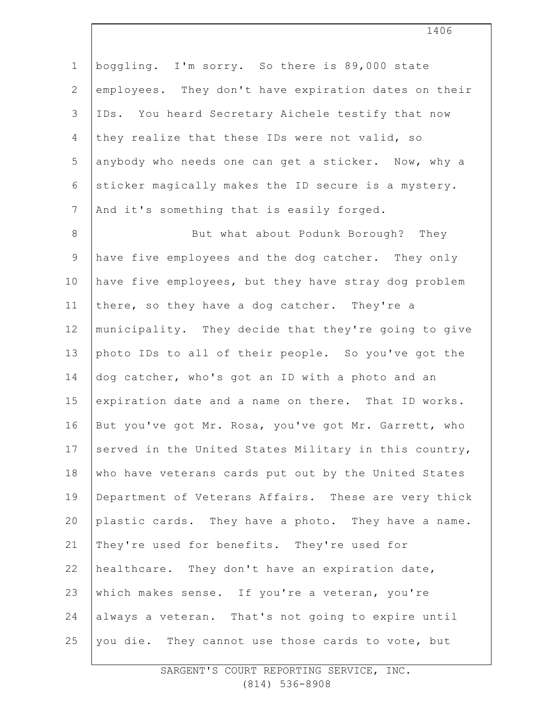1 2 3 4 5 6 7 8 9 10 11 12 13 14 15 16 17 18 19 20 21 22 23 24 25 boggling. I'm sorry. So there is 89,000 state employees. They don't have expiration dates on their IDs. You heard Secretary Aichele testify that now they realize that these IDs were not valid, so anybody who needs one can get a sticker. Now, why a sticker magically makes the ID secure is a mystery. And it's something that is easily forged. But what about Podunk Borough? They have five employees and the dog catcher. They only have five employees, but they have stray dog problem there, so they have a dog catcher. They're a municipality. They decide that they're going to give photo IDs to all of their people. So you've got the dog catcher, who's got an ID with a photo and an expiration date and a name on there. That ID works. But you've got Mr. Rosa, you've got Mr. Garrett, who served in the United States Military in this country, who have veterans cards put out by the United States Department of Veterans Affairs. These are very thick plastic cards. They have a photo. They have a name. They're used for benefits. They're used for healthcare. They don't have an expiration date, which makes sense. If you're a veteran, you're always a veteran. That's not going to expire until you die. They cannot use those cards to vote, but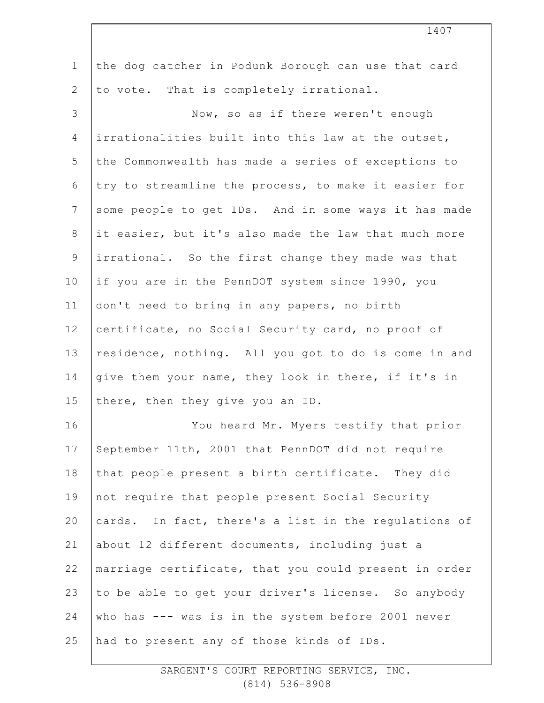| $\mathbf 1$     | the dog catcher in Podunk Borough can use that card   |
|-----------------|-------------------------------------------------------|
| $\mathbf{2}$    | to vote. That is completely irrational.               |
| 3               | Now, so as if there weren't enough                    |
| 4               | irrationalities built into this law at the outset,    |
| 5               | the Commonwealth has made a series of exceptions to   |
| 6               | try to streamline the process, to make it easier for  |
| $7\phantom{.0}$ | some people to get IDs. And in some ways it has made  |
| $8\,$           | it easier, but it's also made the law that much more  |
| $\mathsf 9$     | irrational. So the first change they made was that    |
| 10              | if you are in the PennDOT system since 1990, you      |
| 11              | don't need to bring in any papers, no birth           |
| 12              | certificate, no Social Security card, no proof of     |
| 13              | residence, nothing. All you got to do is come in and  |
| 14              | give them your name, they look in there, if it's in   |
| 15              | there, then they give you an ID.                      |
| 16              | You heard Mr. Myers testify that prior                |
| 17              | September 11th, 2001 that PennDOT did not require     |
| 18              | that people present a birth certificate. They did     |
| 19              | not require that people present Social Security       |
| 20              | cards. In fact, there's a list in the regulations of  |
| 21              | about 12 different documents, including just a        |
| 22              | marriage certificate, that you could present in order |
| 23              | to be able to get your driver's license. So anybody   |
| 24              | who has --- was is in the system before 2001 never    |
| 25              | had to present any of those kinds of IDs.             |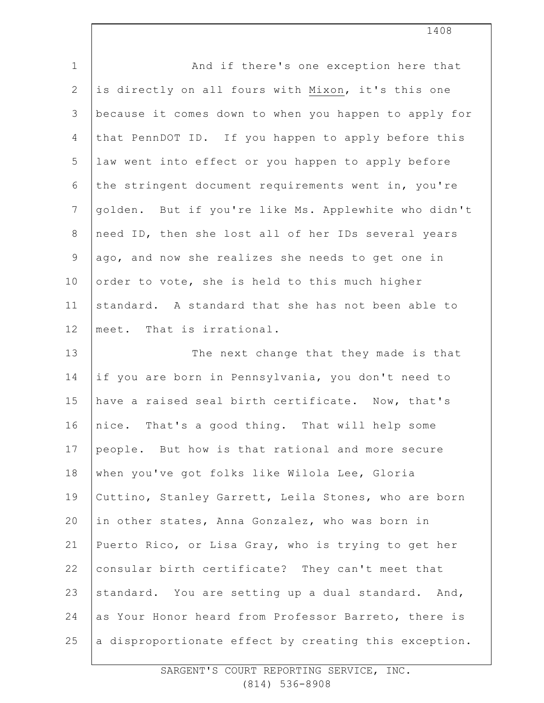| $\mathbf 1$    | And if there's one exception here that                |
|----------------|-------------------------------------------------------|
| $\mathbf{2}$   | is directly on all fours with Mixon, it's this one    |
| 3              | because it comes down to when you happen to apply for |
| 4              | that PennDOT ID. If you happen to apply before this   |
| 5              | law went into effect or you happen to apply before    |
| 6              | the stringent document requirements went in, you're   |
| $\overline{7}$ | golden. But if you're like Ms. Applewhite who didn't  |
| $8\,$          | need ID, then she lost all of her IDs several years   |
| 9              | ago, and now she realizes she needs to get one in     |
| 10             | order to vote, she is held to this much higher        |
| 11             | standard. A standard that she has not been able to    |
| 12             | meet. That is irrational.                             |
| 13             | The next change that they made is that                |
| 14             | if you are born in Pennsylvania, you don't need to    |
| 15             | have a raised seal birth certificate. Now, that's     |
| 16             | nice. That's a good thing. That will help some        |
| 17             | people. But how is that rational and more secure      |
| 18             | when you've got folks like Wilola Lee, Gloria         |
| 19             | Cuttino, Stanley Garrett, Leila Stones, who are born  |
| 20             | in other states, Anna Gonzalez, who was born in       |
| 21             | Puerto Rico, or Lisa Gray, who is trying to get her   |
| 22             | consular birth certificate? They can't meet that      |
| 23             | standard. You are setting up a dual standard. And,    |
| 24             | as Your Honor heard from Professor Barreto, there is  |
| 25             | a disproportionate effect by creating this exception. |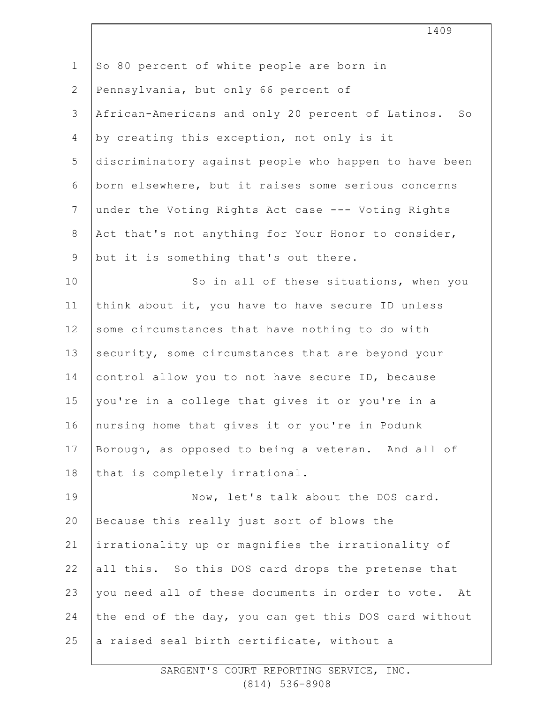| $\mathbf 1$    | So 80 percent of white people are born in             |
|----------------|-------------------------------------------------------|
| $\mathbf{2}$   | Pennsylvania, but only 66 percent of                  |
| 3              | African-Americans and only 20 percent of Latinos. So  |
| $\overline{4}$ | by creating this exception, not only is it            |
| 5              | discriminatory against people who happen to have been |
| 6              | born elsewhere, but it raises some serious concerns   |
| $\overline{7}$ | under the Voting Rights Act case --- Voting Rights    |
| 8              | Act that's not anything for Your Honor to consider,   |
| $\overline{9}$ | but it is something that's out there.                 |
| 10             | So in all of these situations, when you               |
| 11             | think about it, you have to have secure ID unless     |
| 12             | some circumstances that have nothing to do with       |
| 13             | security, some circumstances that are beyond your     |
| 14             | control allow you to not have secure ID, because      |
| 15             | you're in a college that gives it or you're in a      |
| 16             | nursing home that gives it or you're in Podunk        |
| 17             | Borough, as opposed to being a veteran. And all of    |
| 18             | that is completely irrational.                        |
| 19             | Now, let's talk about the DOS card.                   |
| 20             | Because this really just sort of blows the            |
| 21             | irrationality up or magnifies the irrationality of    |
| 22             | all this. So this DOS card drops the pretense that    |
| 23             | you need all of these documents in order to vote. At  |
| 24             | the end of the day, you can get this DOS card without |
| 25             | a raised seal birth certificate, without a            |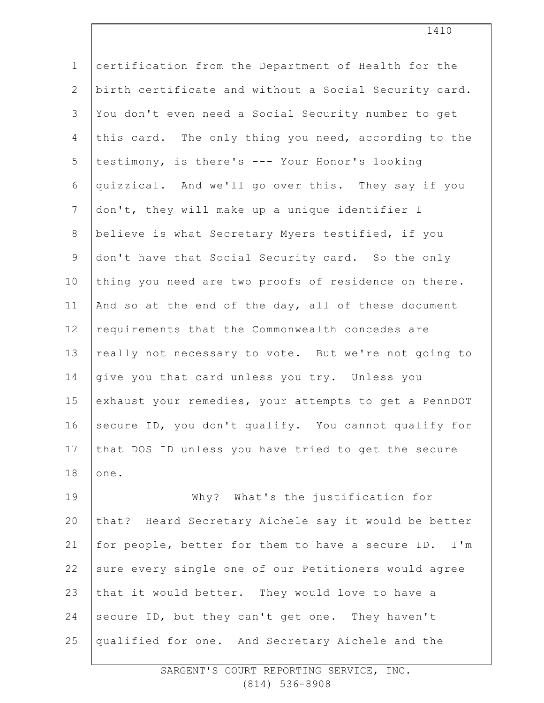| $\mathbf 1$    | certification from the Department of Health for the   |
|----------------|-------------------------------------------------------|
| $\mathbf{2}$   | birth certificate and without a Social Security card. |
| 3              | You don't even need a Social Security number to get   |
| 4              | this card. The only thing you need, according to the  |
| 5              | testimony, is there's --- Your Honor's looking        |
| 6              | quizzical. And we'll go over this. They say if you    |
| $\overline{7}$ | don't, they will make up a unique identifier I        |
| $8\,$          | believe is what Secretary Myers testified, if you     |
| $\mathsf 9$    | don't have that Social Security card. So the only     |
| 10             | thing you need are two proofs of residence on there.  |
| 11             | And so at the end of the day, all of these document   |
| 12             | requirements that the Commonwealth concedes are       |
| 13             | really not necessary to vote. But we're not going to  |
| 14             | give you that card unless you try. Unless you         |
| 15             | exhaust your remedies, your attempts to get a PennDOT |
| 16             | secure ID, you don't qualify. You cannot qualify for  |
| 17             | that DOS ID unless you have tried to get the secure   |
| 18             | one.                                                  |
| 19             | Why? What's the justification for                     |
| 20             | that? Heard Secretary Aichele say it would be better  |
| 21             | for people, better for them to have a secure ID. I'm  |
| 22             | sure every single one of our Petitioners would agree  |
| 23             | that it would better. They would love to have a       |
| 24             | secure ID, but they can't get one. They haven't       |
| 25             | qualified for one. And Secretary Aichele and the      |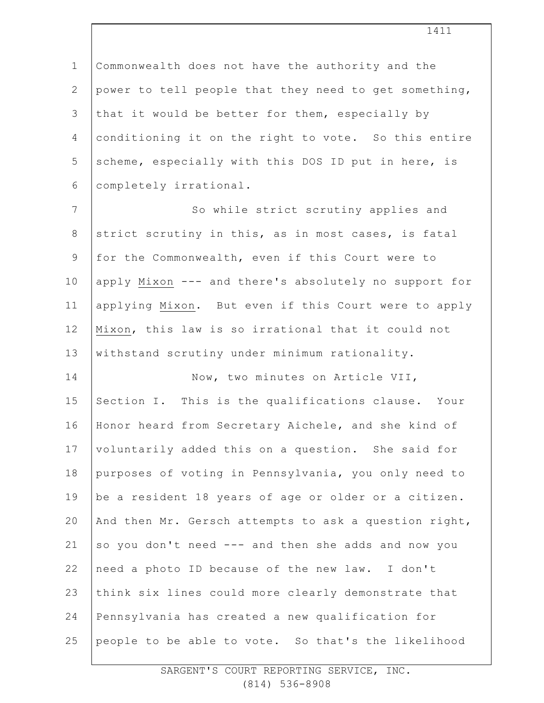1 2 3 4 5 6 Commonwealth does not have the authority and the power to tell people that they need to get something, that it would be better for them, especially by conditioning it on the right to vote. So this entire scheme, especially with this DOS ID put in here, is completely irrational.

7 8 9 10 11 12 13 So while strict scrutiny applies and strict scrutiny in this, as in most cases, is fatal for the Commonwealth, even if this Court were to apply Mixon --- and there's absolutely no support for applying Mixon. But even if this Court were to apply Mixon, this law is so irrational that it could not withstand scrutiny under minimum rationality.

14 15 16 17 18 19 20 21 22 23 24 25 Now, two minutes on Article VII, Section I. This is the qualifications clause. Your Honor heard from Secretary Aichele, and she kind of voluntarily added this on a question. She said for purposes of voting in Pennsylvania, you only need to be a resident 18 years of age or older or a citizen. And then Mr. Gersch attempts to ask a question right, so you don't need --- and then she adds and now you need a photo ID because of the new law. I don't think six lines could more clearly demonstrate that Pennsylvania has created a new qualification for people to be able to vote. So that's the likelihood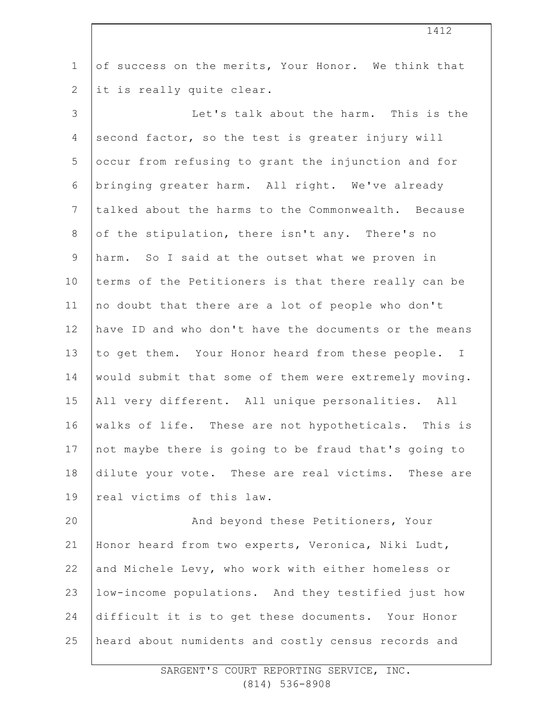| $\mathbf 1$      | of success on the merits, Your Honor. We think that   |
|------------------|-------------------------------------------------------|
| $\overline{2}$   | it is really quite clear.                             |
| 3                | Let's talk about the harm. This is the                |
| 4                | second factor, so the test is greater injury will     |
| 5                | occur from refusing to grant the injunction and for   |
| 6                | bringing greater harm. All right. We've already       |
| $\boldsymbol{7}$ | talked about the harms to the Commonwealth. Because   |
| $8\,$            | of the stipulation, there isn't any. There's no       |
| $\mathsf 9$      | harm. So I said at the outset what we proven in       |
| 10               | terms of the Petitioners is that there really can be  |
| 11               | no doubt that there are a lot of people who don't     |
| 12               | have ID and who don't have the documents or the means |
| 13               | to get them. Your Honor heard from these people. I    |
| 14               | would submit that some of them were extremely moving. |
| 15               | All very different. All unique personalities. All     |
| 16               | walks of life. These are not hypotheticals. This is   |
| 17               | not maybe there is going to be fraud that's going to  |
| 18               | dilute your vote. These are real victims. These are   |
| 19               | real victims of this law.                             |
| 20               | And beyond these Petitioners, Your                    |
| 21               | Honor heard from two experts, Veronica, Niki Ludt,    |
| 22               | and Michele Levy, who work with either homeless or    |
| 23               | low-income populations. And they testified just how   |
| 24               | difficult it is to get these documents. Your Honor    |

heard about numidents and costly census records and

25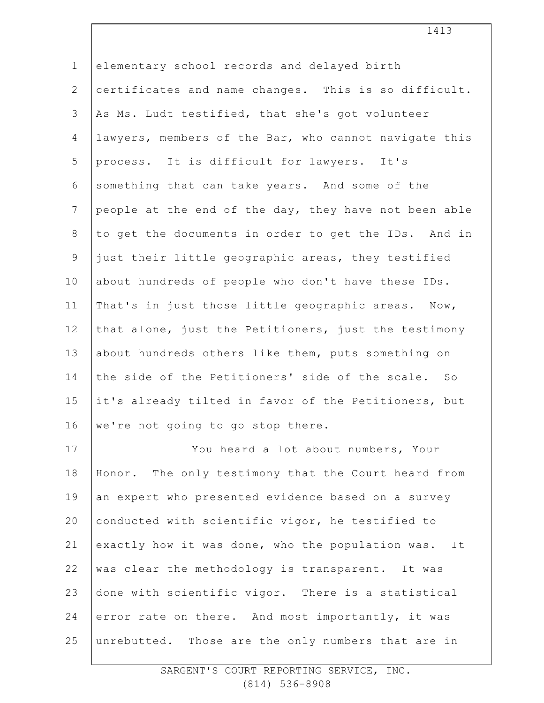1 2 3 4 5 6 7 8 9 10 11 12 13 14 15 16 17 18 19 20 21 22 23 24 25 elementary school records and delayed birth certificates and name changes. This is so difficult. As Ms. Ludt testified, that she's got volunteer lawyers, members of the Bar, who cannot navigate this process. It is difficult for lawyers. It's something that can take years. And some of the people at the end of the day, they have not been able to get the documents in order to get the IDs. And in just their little geographic areas, they testified about hundreds of people who don't have these IDs. That's in just those little geographic areas. Now, that alone, just the Petitioners, just the testimony about hundreds others like them, puts something on the side of the Petitioners' side of the scale. So it's already tilted in favor of the Petitioners, but we're not going to go stop there. You heard a lot about numbers, Your Honor. The only testimony that the Court heard from an expert who presented evidence based on a survey conducted with scientific vigor, he testified to exactly how it was done, who the population was. It was clear the methodology is transparent. It was done with scientific vigor. There is a statistical error rate on there. And most importantly, it was unrebutted. Those are the only numbers that are in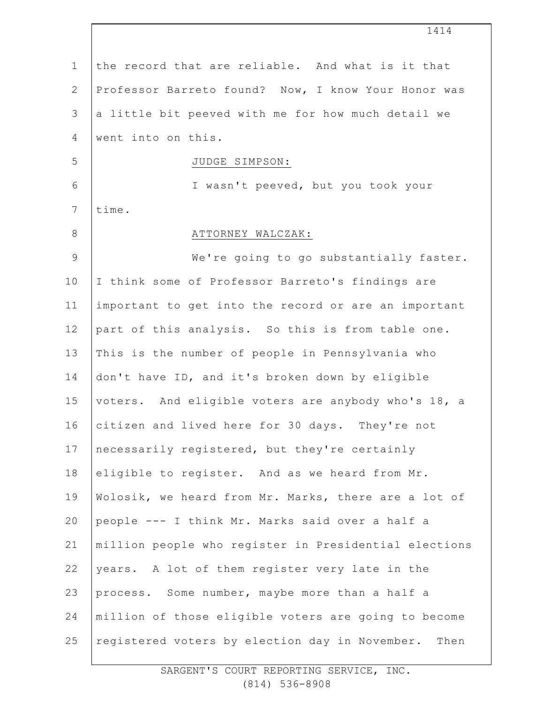| $\mathbf 1$    | the record that are reliable. And what is it that     |
|----------------|-------------------------------------------------------|
| $\overline{2}$ | Professor Barreto found? Now, I know Your Honor was   |
| $\mathcal{S}$  | a little bit peeved with me for how much detail we    |
| 4              | went into on this.                                    |
| 5              | JUDGE SIMPSON:                                        |
| 6              | I wasn't peeved, but you took your                    |
| 7              | time.                                                 |
| $8\,$          | ATTORNEY WALCZAK:                                     |
| $\mathcal{G}$  | We're going to go substantially faster.               |
| 10             | I think some of Professor Barreto's findings are      |
| 11             | important to get into the record or are an important  |
| 12             | part of this analysis. So this is from table one.     |
| 13             | This is the number of people in Pennsylvania who      |
| 14             | don't have ID, and it's broken down by eligible       |
| 15             | voters. And eligible voters are anybody who's 18, a   |
| 16             | citizen and lived here for 30 days. They're not       |
| 17             | necessarily registered, but they're certainly         |
| 18             | eligible to register. And as we heard from Mr.        |
| 19             | Wolosik, we heard from Mr. Marks, there are a lot of  |
| 20             | people --- I think Mr. Marks said over a half a       |
| 21             | million people who register in Presidential elections |
| 22             | years. A lot of them register very late in the        |
| 23             | process. Some number, maybe more than a half a        |
| 24             | million of those eligible voters are going to become  |
| 25             | registered voters by election day in November. Then   |
|                |                                                       |

1414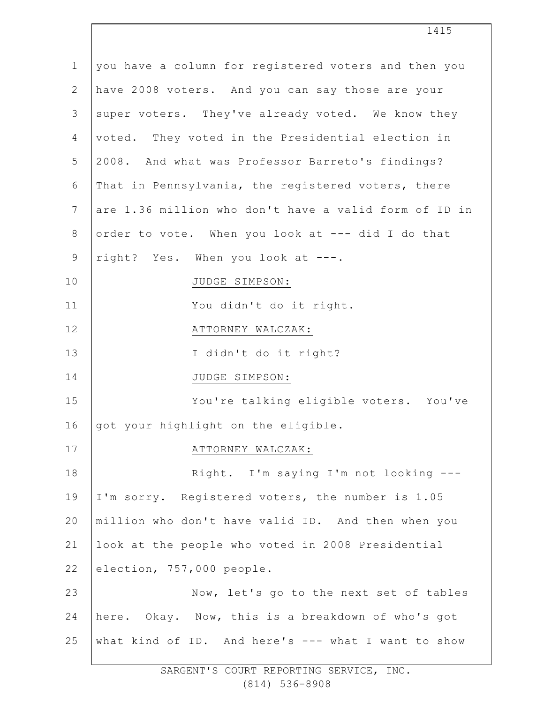| $\mathbf 1$    | you have a column for registered voters and then you  |
|----------------|-------------------------------------------------------|
| $\overline{2}$ | have 2008 voters. And you can say those are your      |
| 3              | super voters. They've already voted. We know they     |
| 4              | voted. They voted in the Presidential election in     |
| 5              | 2008. And what was Professor Barreto's findings?      |
| 6              | That in Pennsylvania, the registered voters, there    |
| $\overline{7}$ | are 1.36 million who don't have a valid form of ID in |
| $\,8\,$        | order to vote. When you look at --- did I do that     |
| $\mathsf 9$    | right? Yes. When you look at ---.                     |
| 10             | JUDGE SIMPSON:                                        |
| 11             | You didn't do it right.                               |
| 12             | ATTORNEY WALCZAK:                                     |
| 13             | I didn't do it right?                                 |
| 14             | JUDGE SIMPSON:                                        |
| 15             | You're talking eligible voters. You've                |
| 16             | got your highlight on the eligible.                   |
| 17             | ATTORNEY WALCZAK:                                     |
| 18             | Right. I'm saying I'm not looking ---                 |
| 19             | I'm sorry. Registered voters, the number is 1.05      |
| 20             | million who don't have valid ID. And then when you    |
| 21             | look at the people who voted in 2008 Presidential     |
| 22             | election, 757,000 people.                             |
| 23             | Now, let's go to the next set of tables               |
| 24             | here. Okay. Now, this is a breakdown of who's got     |
| 25             | what kind of ID. And here's --- what I want to show   |
|                |                                                       |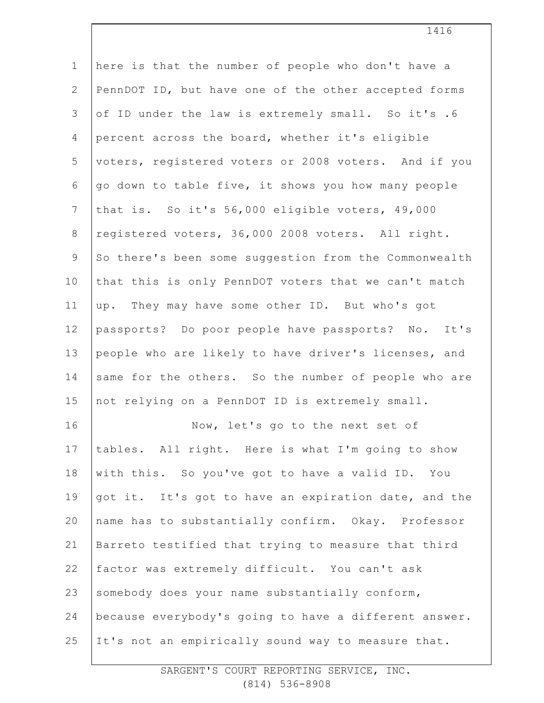| $\mathbf 1$  | here is that the number of people who don't have a    |
|--------------|-------------------------------------------------------|
| $\mathbf{2}$ | PennDOT ID, but have one of the other accepted forms  |
| 3            | of ID under the law is extremely small. So it's .6    |
| 4            | percent across the board, whether it's eligible       |
| 5            | voters, registered voters or 2008 voters. And if you  |
| 6            | go down to table five, it shows you how many people   |
| 7            | that is. So it's 56,000 eligible voters, 49,000       |
| $\,8\,$      | registered voters, 36,000 2008 voters. All right.     |
| $\mathsf 9$  | So there's been some suggestion from the Commonwealth |
| 10           | that this is only PennDOT voters that we can't match  |
| 11           | up. They may have some other ID. But who's got        |
| 12           | passports? Do poor people have passports? No. It's    |
| 13           | people who are likely to have driver's licenses, and  |
| 14           | same for the others. So the number of people who are  |
| 15           | not relying on a PennDOT ID is extremely small.       |
| 16           | Now, let's go to the next set of                      |
| 17           | tables. All right. Here is what I'm going to show     |
| 18           | with this. So you've got to have a valid ID. You      |
| 19           | got it. It's got to have an expiration date, and the  |
| 20           | name has to substantially confirm. Okay. Professor    |
| 21           | Barreto testified that trying to measure that third   |
| 22           | factor was extremely difficult. You can't ask         |
| 23           | somebody does your name substantially conform,        |
| 24           | because everybody's going to have a different answer. |
| 25           | It's not an empirically sound way to measure that.    |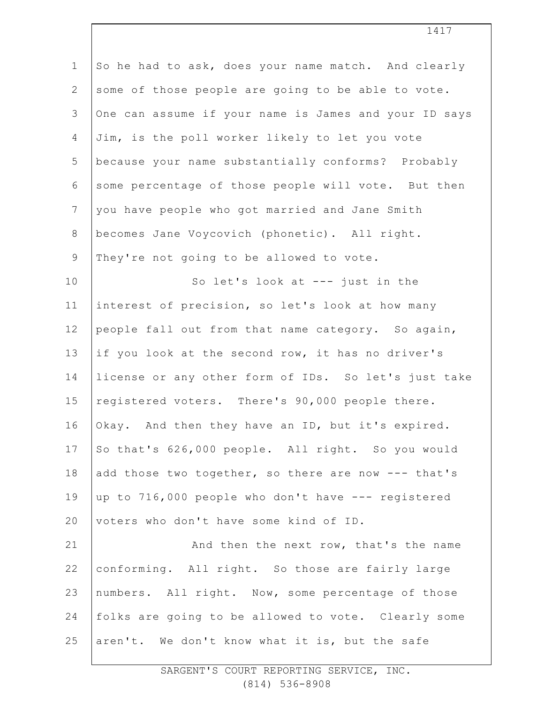| $\mathbf{1}$    | So he had to ask, does your name match. And clearly   |
|-----------------|-------------------------------------------------------|
| $\mathbf{2}$    | some of those people are going to be able to vote.    |
| $\mathfrak{Z}$  | One can assume if your name is James and your ID says |
| 4               | Jim, is the poll worker likely to let you vote        |
| 5               | because your name substantially conforms? Probably    |
| 6               | some percentage of those people will vote. But then   |
| $7\phantom{.0}$ | you have people who got married and Jane Smith        |
| $\,8\,$         | becomes Jane Voycovich (phonetic). All right.         |
| $\mathcal{G}$   | They're not going to be allowed to vote.              |
| 10              | So let's look at --- just in the                      |
| 11              | interest of precision, so let's look at how many      |
| 12              | people fall out from that name category. So again,    |
| 13              | if you look at the second row, it has no driver's     |
| 14              | license or any other form of IDs. So let's just take  |
| 15              | registered voters. There's 90,000 people there.       |
| 16              | Okay. And then they have an ID, but it's expired.     |
| 17              | So that's 626,000 people. All right. So you would     |
| 18              | add those two together, so there are now --- that's   |
| 19              | up to 716,000 people who don't have --- registered    |
| 20              | voters who don't have some kind of ID.                |
| 21              | And then the next row, that's the name                |
| 22              | conforming. All right. So those are fairly large      |
| 23              | numbers. All right. Now, some percentage of those     |
| 24              | folks are going to be allowed to vote. Clearly some   |
| 25              | aren't. We don't know what it is, but the safe        |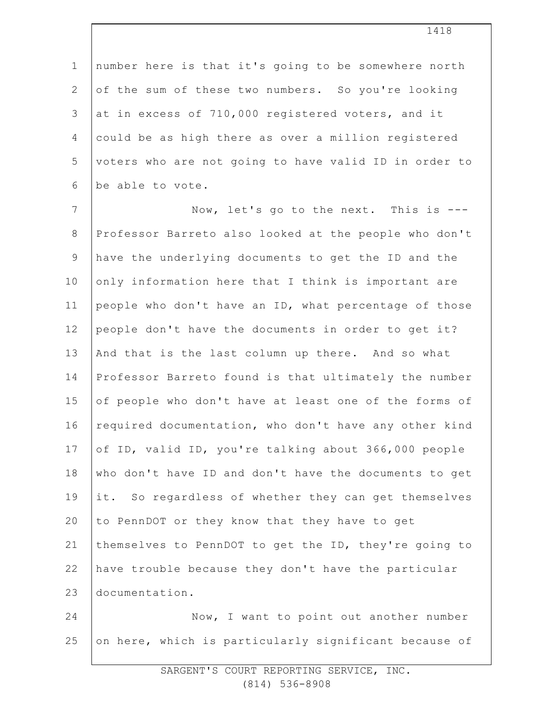1 2 3 4 5 6 number here is that it's going to be somewhere north of the sum of these two numbers. So you're looking at in excess of 710,000 registered voters, and it could be as high there as over a million registered voters who are not going to have valid ID in order to be able to vote.

7 8 9 10 11 12 13 14 15 16 17 18 19 20 21 22 23 Now, let's go to the next. This is --- Professor Barreto also looked at the people who don't have the underlying documents to get the ID and the only information here that I think is important are people who don't have an ID, what percentage of those people don't have the documents in order to get it? And that is the last column up there. And so what Professor Barreto found is that ultimately the number of people who don't have at least one of the forms of required documentation, who don't have any other kind of ID, valid ID, you're talking about 366,000 people who don't have ID and don't have the documents to get it. So regardless of whether they can get themselves to PennDOT or they know that they have to get themselves to PennDOT to get the ID, they're going to have trouble because they don't have the particular documentation.

24 25 Now, I want to point out another number on here, which is particularly significant because of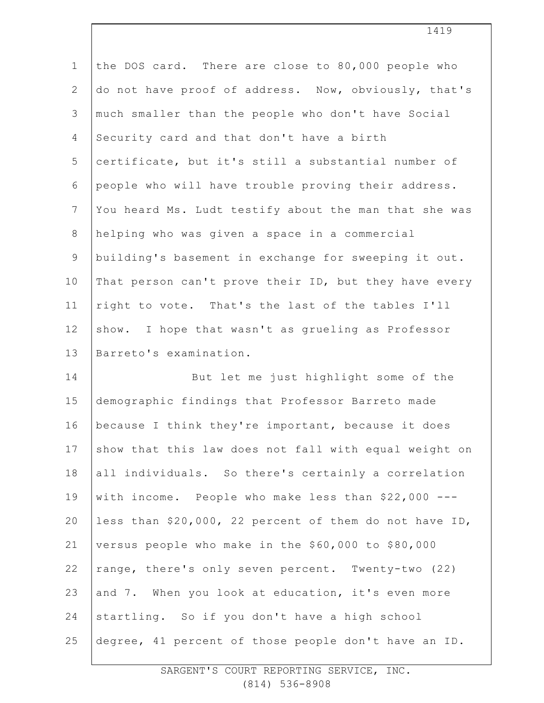| $\mathbf 1$     | the DOS card. There are close to 80,000 people who     |
|-----------------|--------------------------------------------------------|
| $\mathbf{2}$    | do not have proof of address. Now, obviously, that's   |
| 3               | much smaller than the people who don't have Social     |
| $\overline{4}$  | Security card and that don't have a birth              |
| 5               | certificate, but it's still a substantial number of    |
| 6               | people who will have trouble proving their address.    |
| $7\phantom{.0}$ | You heard Ms. Ludt testify about the man that she was  |
| 8               | helping who was given a space in a commercial          |
| $\overline{9}$  | building's basement in exchange for sweeping it out.   |
| 10              | That person can't prove their ID, but they have every  |
| 11              | right to vote. That's the last of the tables I'll      |
| 12              | show. I hope that wasn't as grueling as Professor      |
| 13              | Barreto's examination.                                 |
| 14              | But let me just highlight some of the                  |
| 15              | demographic findings that Professor Barreto made       |
| 16              | because I think they're important, because it does     |
| 17              | show that this law does not fall with equal weight on  |
| 18              | all individuals. So there's certainly a correlation    |
| 19              | with income. People who make less than \$22,000 ---    |
| 20              | less than \$20,000, 22 percent of them do not have ID, |
| 21              | versus people who make in the \$60,000 to \$80,000     |
| 22              | range, there's only seven percent. Twenty-two (22)     |
| 23              | and 7. When you look at education, it's even more      |
| 24              | startling. So if you don't have a high school          |
| 25              | degree, 41 percent of those people don't have an ID.   |
|                 |                                                        |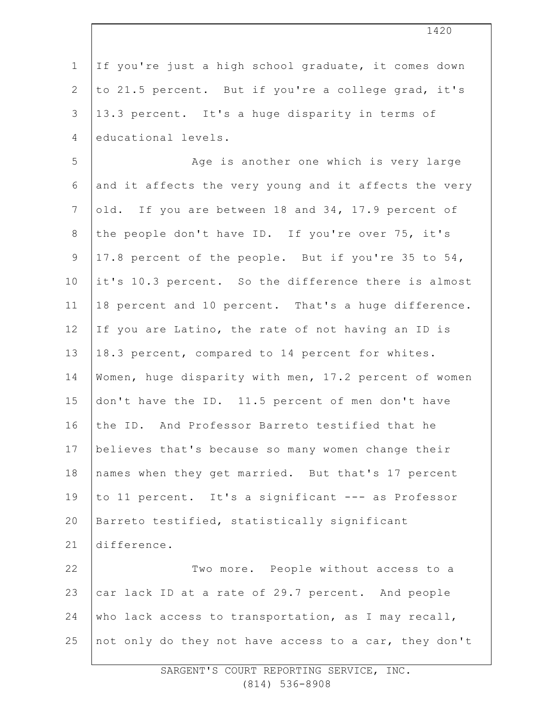1 2 3 4 If you're just a high school graduate, it comes down to 21.5 percent. But if you're a college grad, it's 13.3 percent. It's a huge disparity in terms of educational levels.

5 6 7 8 9 10 11 12 13 14 15 16 17 18 19 20 21 22 23 24 Age is another one which is very large and it affects the very young and it affects the very old. If you are between 18 and 34, 17.9 percent of the people don't have ID. If you're over 75, it's 17.8 percent of the people. But if you're 35 to 54, it's 10.3 percent. So the difference there is almost 18 percent and 10 percent. That's a huge difference. If you are Latino, the rate of not having an ID is 18.3 percent, compared to 14 percent for whites. Women, huge disparity with men, 17.2 percent of women don't have the ID. 11.5 percent of men don't have the ID. And Professor Barreto testified that he believes that's because so many women change their names when they get married. But that's 17 percent to 11 percent. It's a significant --- as Professor Barreto testified, statistically significant difference. Two more. People without access to a car lack ID at a rate of 29.7 percent. And people who lack access to transportation, as I may recall,

25 not only do they not have access to a car, they don't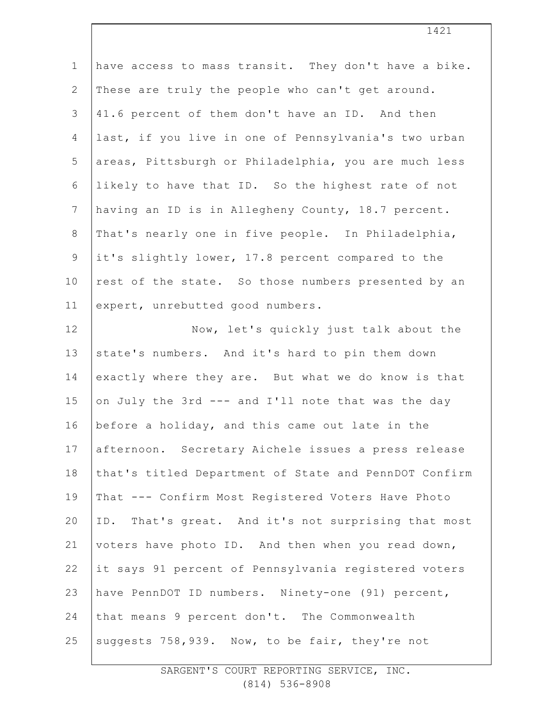| $1\,$          | have access to mass transit. They don't have a bike.  |
|----------------|-------------------------------------------------------|
| $\mathbf{2}$   | These are truly the people who can't get around.      |
| $\mathsf 3$    | 41.6 percent of them don't have an ID. And then       |
| $\overline{4}$ | last, if you live in one of Pennsylvania's two urban  |
| 5              | areas, Pittsburgh or Philadelphia, you are much less  |
| 6              | likely to have that ID. So the highest rate of not    |
| $7\phantom{.}$ | having an ID is in Allegheny County, 18.7 percent.    |
| $\,8\,$        | That's nearly one in five people. In Philadelphia,    |
| $\mathsf 9$    | it's slightly lower, 17.8 percent compared to the     |
| 10             | rest of the state. So those numbers presented by an   |
| 11             | expert, unrebutted good numbers.                      |
| 12             | Now, let's quickly just talk about the                |
| 13             | state's numbers. And it's hard to pin them down       |
| 14             | exactly where they are. But what we do know is that   |
| 15             | on July the 3rd --- and I'll note that was the day    |
| 16             | before a holiday, and this came out late in the       |
| 17             | afternoon. Secretary Aichele issues a press release   |
| 18             | that's titled Department of State and PennDOT Confirm |
| 19             | That --- Confirm Most Registered Voters Have Photo    |
| 20             | ID. That's great. And it's not surprising that most   |
| 21             | voters have photo ID. And then when you read down,    |
| 22             | it says 91 percent of Pennsylvania registered voters  |
| 23             | have PennDOT ID numbers. Ninety-one (91) percent,     |
| 24             | that means 9 percent don't. The Commonwealth          |
| 25             | suggests 758,939. Now, to be fair, they're not        |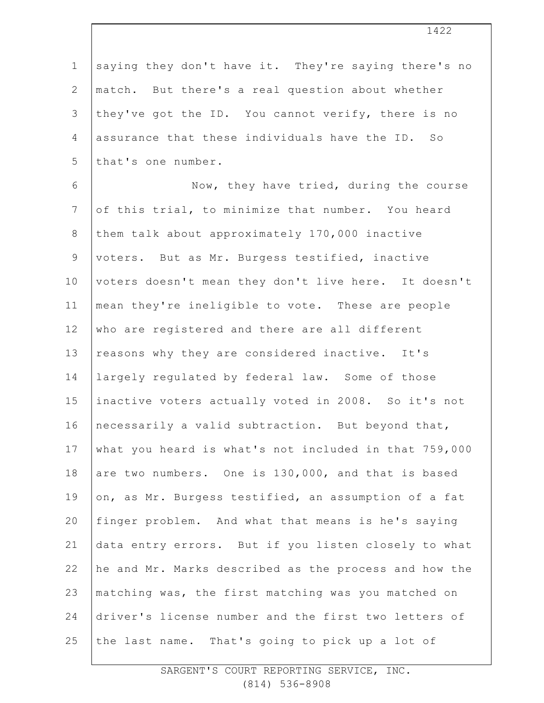| $\mathbf 1$    | saying they don't have it. They're saying there's no  |
|----------------|-------------------------------------------------------|
| $\mathbf{2}$   | match. But there's a real question about whether      |
| 3              | they've got the ID. You cannot verify, there is no    |
| 4              | assurance that these individuals have the ID. So      |
| 5              | that's one number.                                    |
| $\sqrt{6}$     | Now, they have tried, during the course               |
| $7\phantom{.}$ | of this trial, to minimize that number. You heard     |
| $\,8\,$        | them talk about approximately 170,000 inactive        |
| $\mathsf 9$    | voters. But as Mr. Burgess testified, inactive        |
| 10             | voters doesn't mean they don't live here. It doesn't  |
| 11             | mean they're ineligible to vote. These are people     |
| 12             | who are registered and there are all different        |
| 13             | reasons why they are considered inactive. It's        |
| 14             | largely regulated by federal law. Some of those       |
| 15             | inactive voters actually voted in 2008. So it's not   |
| 16             | necessarily a valid subtraction. But beyond that,     |
| 17             | what you heard is what's not included in that 759,000 |
| 18             | are two numbers. One is 130,000, and that is based    |
| 19             | on, as Mr. Burgess testified, an assumption of a fat  |
| 20             | finger problem. And what that means is he's saying    |
| 21             | data entry errors. But if you listen closely to what  |
| 22             | he and Mr. Marks described as the process and how the |
| 23             | matching was, the first matching was you matched on   |
| 24             | driver's license number and the first two letters of  |
| 25             | the last name.<br>That's going to pick up a lot of    |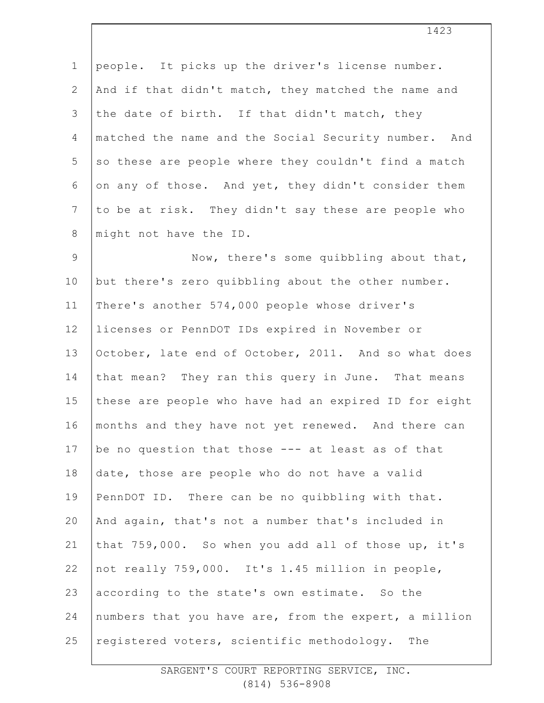| $\mathbf 1$     | people. It picks up the driver's license number.      |
|-----------------|-------------------------------------------------------|
| $\mathbf{2}$    | And if that didn't match, they matched the name and   |
| 3               | the date of birth. If that didn't match, they         |
| $\overline{4}$  | matched the name and the Social Security number. And  |
| 5               | so these are people where they couldn't find a match  |
| 6               | on any of those. And yet, they didn't consider them   |
| $7\phantom{.0}$ | to be at risk. They didn't say these are people who   |
| $\,8\,$         | might not have the ID.                                |
| $\mathsf 9$     | Now, there's some quibbling about that,               |
| 10              | but there's zero quibbling about the other number.    |
| 11              | There's another 574,000 people whose driver's         |
| 12              | licenses or PennDOT IDs expired in November or        |
| 13              | October, late end of October, 2011. And so what does  |
| 14              | that mean? They ran this query in June. That means    |
| 15              | these are people who have had an expired ID for eight |
| 16              | months and they have not yet renewed. And there can   |
| 17              | be no question that those --- at least as of that     |
| 18              | date, those are people who do not have a valid        |
| 19              | PennDOT ID. There can be no quibbling with that.      |
| 20              | And again, that's not a number that's included in     |
| 21              | that 759,000. So when you add all of those up, it's   |
| 22              | not really 759,000. It's 1.45 million in people,      |
| 23              | according to the state's own estimate. So the         |
| 24              | numbers that you have are, from the expert, a million |
| 25              | registered voters, scientific methodology.<br>The     |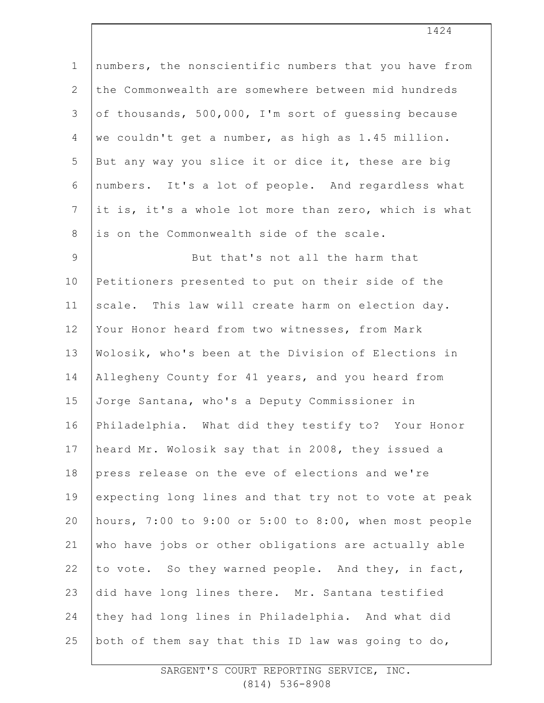| $\mathbf 1$     | numbers, the nonscientific numbers that you have from |
|-----------------|-------------------------------------------------------|
| $\overline{2}$  | the Commonwealth are somewhere between mid hundreds   |
| 3               | of thousands, 500,000, I'm sort of quessing because   |
| 4               | we couldn't get a number, as high as 1.45 million.    |
| 5               | But any way you slice it or dice it, these are big    |
| $\epsilon$      | numbers. It's a lot of people. And regardless what    |
| $7\phantom{.0}$ | it is, it's a whole lot more than zero, which is what |
| $8\,$           | is on the Commonwealth side of the scale.             |
| $\mathsf 9$     | But that's not all the harm that                      |
| 10              | Petitioners presented to put on their side of the     |
| 11              | scale. This law will create harm on election day.     |
| 12              | Your Honor heard from two witnesses, from Mark        |
| 13              | Wolosik, who's been at the Division of Elections in   |
| 14              | Allegheny County for 41 years, and you heard from     |
| 15              | Jorge Santana, who's a Deputy Commissioner in         |
| 16              | Philadelphia. What did they testify to? Your Honor    |
| 17              | heard Mr. Wolosik say that in 2008, they issued a     |
| 18              | press release on the eve of elections and we're       |
| 19              | expecting long lines and that try not to vote at peak |
| 20              | hours, 7:00 to 9:00 or 5:00 to 8:00, when most people |
| 21              | who have jobs or other obligations are actually able  |
| 22              | to vote. So they warned people. And they, in fact,    |
| 23              | did have long lines there. Mr. Santana testified      |
| 24              | they had long lines in Philadelphia. And what did     |
| 25              | both of them say that this ID law was going to do,    |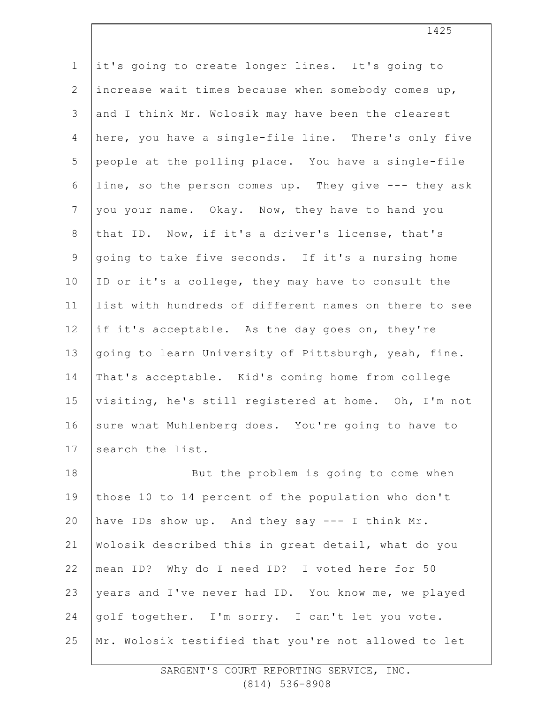| $\mathbf 1$     | it's going to create longer lines. It's going to      |
|-----------------|-------------------------------------------------------|
| $\mathbf{2}$    | increase wait times because when somebody comes up,   |
| 3               | and I think Mr. Wolosik may have been the clearest    |
| $\overline{4}$  | here, you have a single-file line. There's only five  |
| 5               | people at the polling place. You have a single-file   |
| 6               | line, so the person comes up. They give --- they ask  |
| $7\phantom{.0}$ | you your name. Okay. Now, they have to hand you       |
| $8\,$           | that ID. Now, if it's a driver's license, that's      |
| $\mathsf 9$     | going to take five seconds. If it's a nursing home    |
| 10              | ID or it's a college, they may have to consult the    |
| 11              | list with hundreds of different names on there to see |
| 12              | if it's acceptable. As the day goes on, they're       |
| 13              | going to learn University of Pittsburgh, yeah, fine.  |
| 14              | That's acceptable. Kid's coming home from college     |
| 15              | visiting, he's still registered at home. Oh, I'm not  |
| 16              | sure what Muhlenberg does. You're going to have to    |
| 17              | search the list.                                      |
| 18              | But the problem is going to come when                 |
| 19              | those 10 to 14 percent of the population who don't    |
| 20              | have IDs show up. And they say --- I think Mr.        |
| 21              | Wolosik described this in great detail, what do you   |
| 22              | mean ID? Why do I need ID? I voted here for 50        |
| 23              | years and I've never had ID. You know me, we played   |
| 24              | golf together. I'm sorry. I can't let you vote.       |
| 25              | Mr. Wolosik testified that you're not allowed to let  |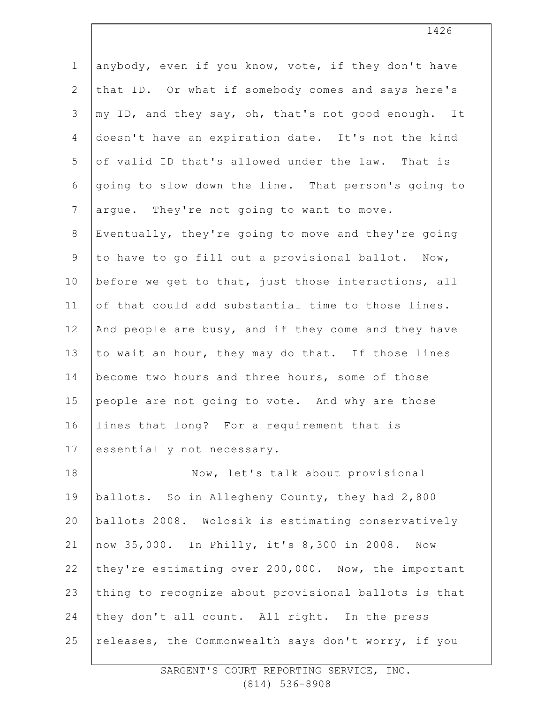| $\mathbf 1$    | anybody, even if you know, vote, if they don't have  |
|----------------|------------------------------------------------------|
| $\overline{2}$ | that ID. Or what if somebody comes and says here's   |
| 3              | my ID, and they say, oh, that's not good enough. It  |
| $\overline{4}$ | doesn't have an expiration date. It's not the kind   |
| 5              | of valid ID that's allowed under the law. That is    |
| 6              | going to slow down the line. That person's going to  |
| $7\phantom{.}$ | argue. They're not going to want to move.            |
| $\,8\,$        | Eventually, they're going to move and they're going  |
| $\mathsf 9$    | to have to go fill out a provisional ballot. Now,    |
| 10             | before we get to that, just those interactions, all  |
| 11             | of that could add substantial time to those lines.   |
| 12             | And people are busy, and if they come and they have  |
| 13             | to wait an hour, they may do that. If those lines    |
| 14             | become two hours and three hours, some of those      |
| 15             | people are not going to vote. And why are those      |
| 16             | lines that long? For a requirement that is           |
| 17             | essentially not necessary.                           |
| 18             | Now, let's talk about provisional                    |
| 19             | ballots. So in Allegheny County, they had 2,800      |
| 20             | ballots 2008. Wolosik is estimating conservatively   |
| 21             | now 35,000. In Philly, it's 8,300 in 2008. Now       |
| 22             | they're estimating over 200,000. Now, the important  |
| 23             | thing to recognize about provisional ballots is that |
| 24             | they don't all count. All right. In the press        |
| 25             | releases, the Commonwealth says don't worry, if you  |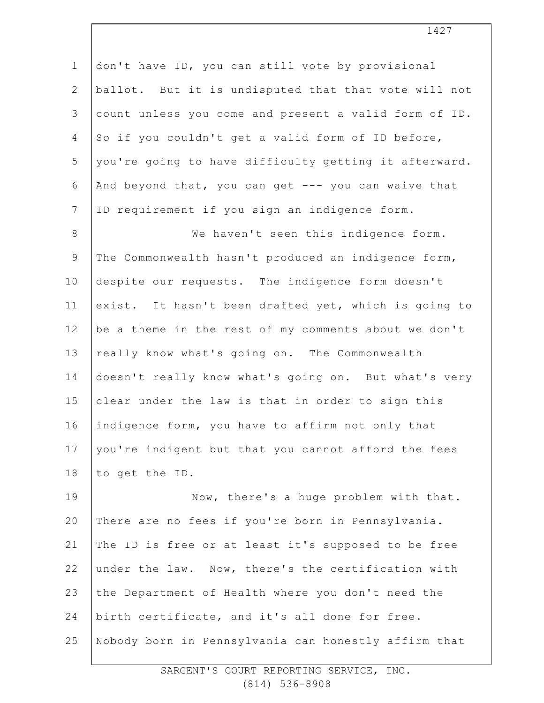1 2 3 4 5 6 7 8 9 10 11 12 13 14 15 16 17 18 19 20 21 22 don't have ID, you can still vote by provisional ballot. But it is undisputed that that vote will not count unless you come and present a valid form of ID. So if you couldn't get a valid form of ID before, you're going to have difficulty getting it afterward. And beyond that, you can get  $---$  you can waive that ID requirement if you sign an indigence form. We haven't seen this indigence form. The Commonwealth hasn't produced an indigence form, despite our requests. The indigence form doesn't exist. It hasn't been drafted yet, which is going to be a theme in the rest of my comments about we don't really know what's going on. The Commonwealth doesn't really know what's going on. But what's very clear under the law is that in order to sign this indigence form, you have to affirm not only that you're indigent but that you cannot afford the fees to get the ID. Now, there's a huge problem with that. There are no fees if you're born in Pennsylvania. The ID is free or at least it's supposed to be free under the law. Now, there's the certification with

23 the Department of Health where you don't need the

24 birth certificate, and it's all done for free.

25 Nobody born in Pennsylvania can honestly affirm that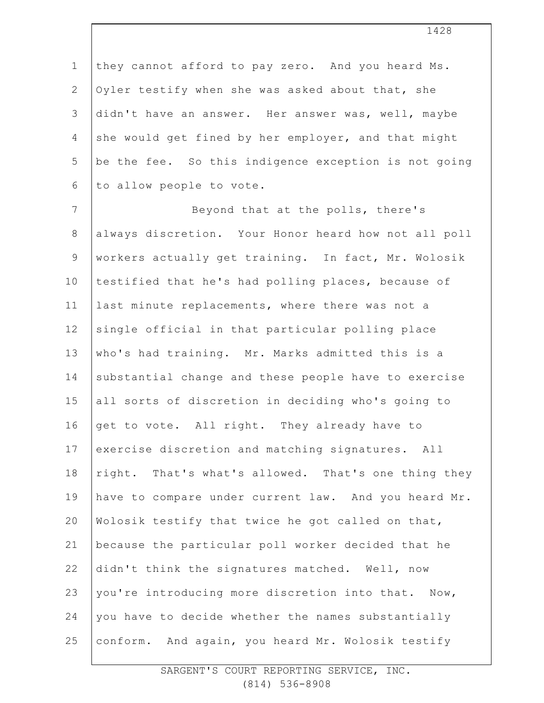1 2 3 4 5 6 they cannot afford to pay zero. And you heard Ms. Oyler testify when she was asked about that, she didn't have an answer. Her answer was, well, maybe she would get fined by her employer, and that might be the fee. So this indigence exception is not going to allow people to vote.

7 8 9 10 11 12 13 14 15 16 17 18 19 20 21 22 23 24 25 Beyond that at the polls, there's always discretion. Your Honor heard how not all poll workers actually get training. In fact, Mr. Wolosik testified that he's had polling places, because of last minute replacements, where there was not a single official in that particular polling place who's had training. Mr. Marks admitted this is a substantial change and these people have to exercise all sorts of discretion in deciding who's going to get to vote. All right. They already have to exercise discretion and matching signatures. All right. That's what's allowed. That's one thing they have to compare under current law. And you heard Mr. Wolosik testify that twice he got called on that, because the particular poll worker decided that he didn't think the signatures matched. Well, now you're introducing more discretion into that. Now, you have to decide whether the names substantially conform. And again, you heard Mr. Wolosik testify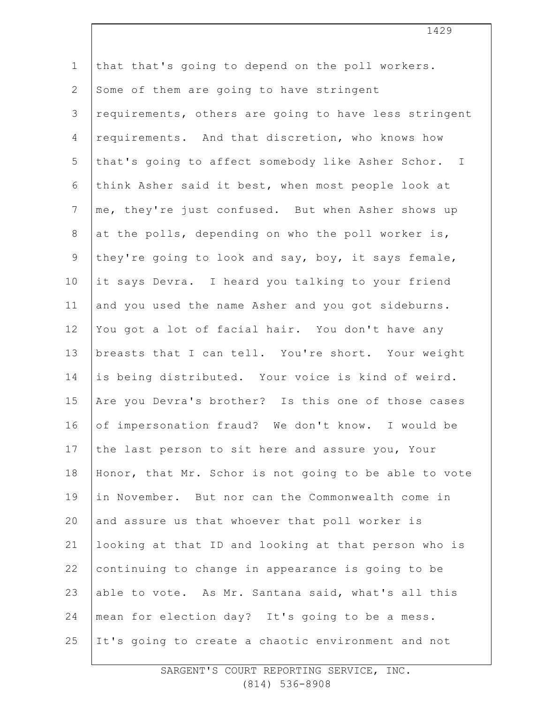1 2 3 4 5 6 7 8 9 10 11 12 13 14 15 16 17 18 19 20 21 22 23 24 25 that that's going to depend on the poll workers. Some of them are going to have stringent requirements, others are going to have less stringent requirements. And that discretion, who knows how that's going to affect somebody like Asher Schor. I think Asher said it best, when most people look at me, they're just confused. But when Asher shows up at the polls, depending on who the poll worker is, they're going to look and say, boy, it says female, it says Devra. I heard you talking to your friend and you used the name Asher and you got sideburns. You got a lot of facial hair. You don't have any breasts that I can tell. You're short. Your weight is being distributed. Your voice is kind of weird. Are you Devra's brother? Is this one of those cases of impersonation fraud? We don't know. I would be the last person to sit here and assure you, Your Honor, that Mr. Schor is not going to be able to vote in November. But nor can the Commonwealth come in and assure us that whoever that poll worker is looking at that ID and looking at that person who is continuing to change in appearance is going to be able to vote. As Mr. Santana said, what's all this mean for election day? It's going to be a mess. It's going to create a chaotic environment and not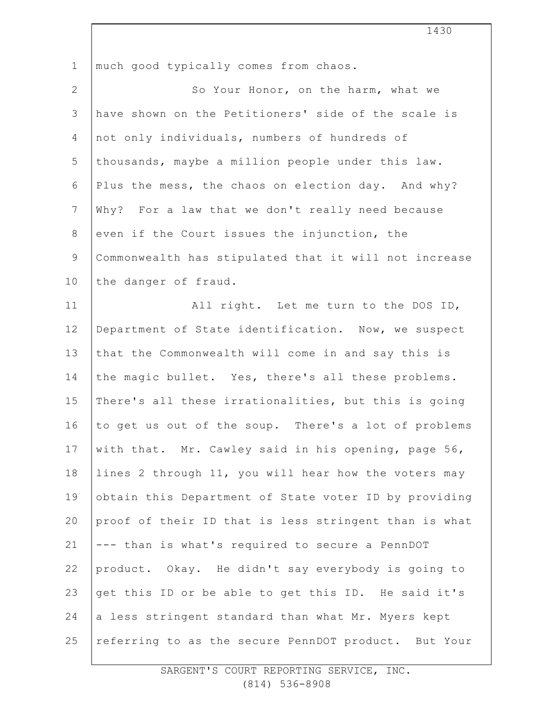| $\mathbf 1$    | much good typically comes from chaos.                 |
|----------------|-------------------------------------------------------|
| $\mathbf{2}$   | So Your Honor, on the harm, what we                   |
| $\mathfrak{Z}$ | have shown on the Petitioners' side of the scale is   |
| 4              | not only individuals, numbers of hundreds of          |
| 5              | thousands, maybe a million people under this law.     |
| 6              | Plus the mess, the chaos on election day. And why?    |
| $7\phantom{.}$ | Why? For a law that we don't really need because      |
| $\,8\,$        | even if the Court issues the injunction, the          |
| $\mathcal{G}$  | Commonwealth has stipulated that it will not increase |
| 10             | the danger of fraud.                                  |
| 11             | All right. Let me turn to the DOS ID,                 |
| 12             | Department of State identification. Now, we suspect   |
| 13             | that the Commonwealth will come in and say this is    |
| 14             | the magic bullet. Yes, there's all these problems.    |
| 15             | There's all these irrationalities, but this is going  |
| 16             | to get us out of the soup. There's a lot of problems  |
| 17             | with that. Mr. Cawley said in his opening, page 56,   |
| 18             | lines 2 through 11, you will hear how the voters may  |
| 19             | obtain this Department of State voter ID by providing |
| 20             | proof of their ID that is less stringent than is what |
| 21             | --- than is what's required to secure a PennDOT       |
| 22             | product. Okay. He didn't say everybody is going to    |
| 23             | get this ID or be able to get this ID. He said it's   |
| 24             | a less stringent standard than what Mr. Myers kept    |
| 25             | referring to as the secure PennDOT product. But Your  |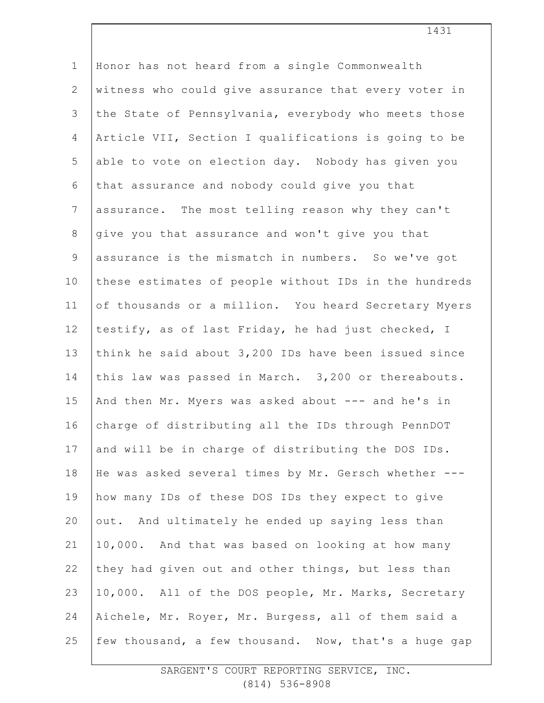1 2 3 4 5 6 7 8 9 10 11 12 13 14 15 16 17 18 19 20 21 22 23 24 25 Honor has not heard from a single Commonwealth witness who could give assurance that every voter in the State of Pennsylvania, everybody who meets those Article VII, Section I qualifications is going to be able to vote on election day. Nobody has given you that assurance and nobody could give you that assurance. The most telling reason why they can't give you that assurance and won't give you that assurance is the mismatch in numbers. So we've got these estimates of people without IDs in the hundreds of thousands or a million. You heard Secretary Myers testify, as of last Friday, he had just checked, I think he said about 3,200 IDs have been issued since this law was passed in March. 3,200 or thereabouts. And then Mr. Myers was asked about --- and he's in charge of distributing all the IDs through PennDOT and will be in charge of distributing the DOS IDs. He was asked several times by Mr. Gersch whether -- how many IDs of these DOS IDs they expect to give out. And ultimately he ended up saying less than 10,000. And that was based on looking at how many they had given out and other things, but less than 10,000. All of the DOS people, Mr. Marks, Secretary Aichele, Mr. Royer, Mr. Burgess, all of them said a few thousand, a few thousand. Now, that's a huge gap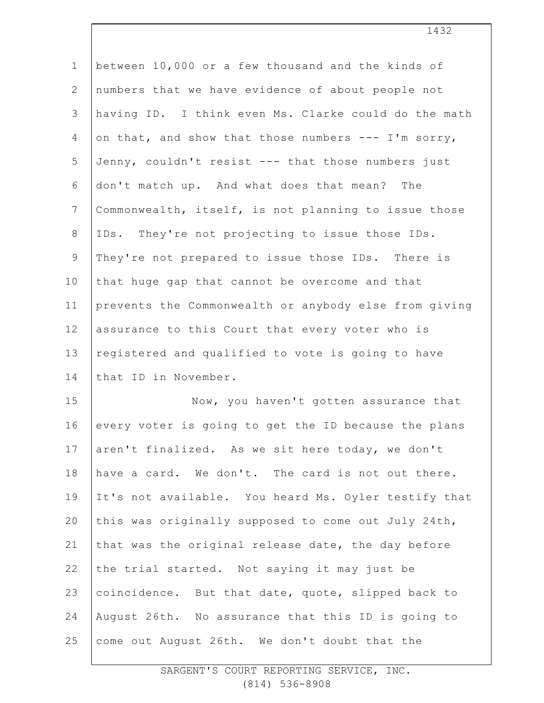| $\mathbf 1$     | between 10,000 or a few thousand and the kinds of     |
|-----------------|-------------------------------------------------------|
| $\overline{2}$  | numbers that we have evidence of about people not     |
| 3               | having ID. I think even Ms. Clarke could do the math  |
| 4               | on that, and show that those numbers --- I'm sorry,   |
| 5               | Jenny, couldn't resist --- that those numbers just    |
| 6               | don't match up. And what does that mean? The          |
| $7\phantom{.0}$ | Commonwealth, itself, is not planning to issue those  |
| $\,8\,$         | IDs. They're not projecting to issue those IDs.       |
| $\mathsf 9$     | They're not prepared to issue those IDs. There is     |
| 10              | that huge gap that cannot be overcome and that        |
| 11              | prevents the Commonwealth or anybody else from giving |
| 12              | assurance to this Court that every voter who is       |
| 13              | registered and qualified to vote is going to have     |
| 14              | that ID in November.                                  |
| 15              | Now, you haven't gotten assurance that                |
| 16              | every voter is going to get the ID because the plans  |
| 17              | aren't finalized. As we sit here today, we don't      |
| 18              | have a card. We don't. The card is not out there.     |
| 19              | It's not available. You heard Ms. Oyler testify that  |
| 20              | this was originally supposed to come out July 24th,   |
| 21              | that was the original release date, the day before    |
| 22              | the trial started. Not saying it may just be          |
| 23              | coincidence. But that date, quote, slipped back to    |
| 24              | August 26th. No assurance that this ID is going to    |
| 25              | come out August 26th. We don't doubt that the         |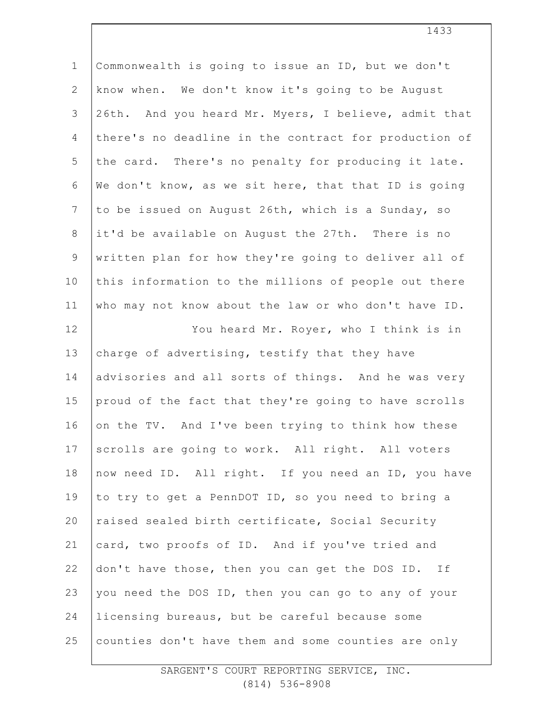| $\mathbf 1$    | Commonwealth is going to issue an ID, but we don't    |
|----------------|-------------------------------------------------------|
| $\mathbf{2}$   | know when. We don't know it's going to be August      |
| $\mathfrak{Z}$ | 26th. And you heard Mr. Myers, I believe, admit that  |
| 4              | there's no deadline in the contract for production of |
| 5              | the card. There's no penalty for producing it late.   |
| $6\,$          | We don't know, as we sit here, that that ID is going  |
| $\overline{7}$ | to be issued on August 26th, which is a Sunday, so    |
| $\,8\,$        | it'd be available on August the 27th. There is no     |
| $\mathsf 9$    | written plan for how they're going to deliver all of  |
| 10             | this information to the millions of people out there  |
| 11             | who may not know about the law or who don't have ID.  |
| 12             | You heard Mr. Royer, who I think is in                |
| 13             | charge of advertising, testify that they have         |
| 14             | advisories and all sorts of things. And he was very   |
| 15             | proud of the fact that they're going to have scrolls  |
| 16             | on the TV. And I've been trying to think how these    |
| 17             | scrolls are going to work. All right. All voters      |
| 18             | now need ID. All right. If you need an ID, you have   |
| 19             | to try to get a PennDOT ID, so you need to bring a    |
| 20             | raised sealed birth certificate, Social Security      |
| 21             | card, two proofs of ID. And if you've tried and       |
| 22             | don't have those, then you can get the DOS ID. If     |
| 23             | you need the DOS ID, then you can go to any of your   |
| 24             | licensing bureaus, but be careful because some        |
| 25             | counties don't have them and some counties are only   |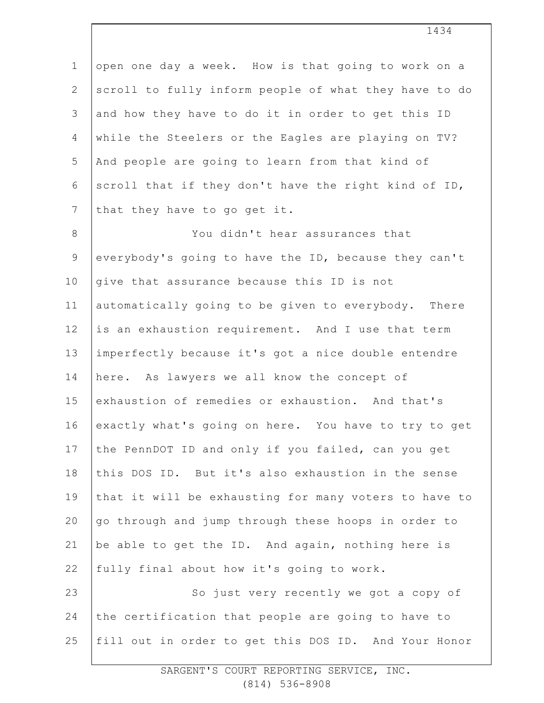1 2 3 4 5 6 7 open one day a week. How is that going to work on a scroll to fully inform people of what they have to do and how they have to do it in order to get this ID while the Steelers or the Eagles are playing on TV? And people are going to learn from that kind of scroll that if they don't have the right kind of ID, that they have to go get it.

8 9 10 11 12 13 14 15 16 17 18 19 20 21 22 23 24 25 You didn't hear assurances that everybody's going to have the ID, because they can't give that assurance because this ID is not automatically going to be given to everybody. There is an exhaustion requirement. And I use that term imperfectly because it's got a nice double entendre here. As lawyers we all know the concept of exhaustion of remedies or exhaustion. And that's exactly what's going on here. You have to try to get the PennDOT ID and only if you failed, can you get this DOS ID. But it's also exhaustion in the sense that it will be exhausting for many voters to have to go through and jump through these hoops in order to be able to get the ID. And again, nothing here is fully final about how it's going to work. So just very recently we got a copy of the certification that people are going to have to fill out in order to get this DOS ID. And Your Honor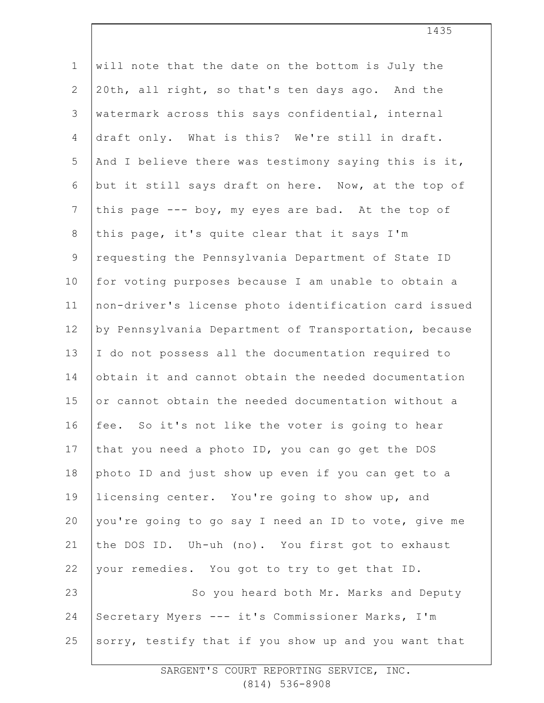| $\mathbf 1$    | will note that the date on the bottom is July the     |
|----------------|-------------------------------------------------------|
| $\mathbf{2}$   | 20th, all right, so that's ten days ago. And the      |
| 3              | watermark across this says confidential, internal     |
| 4              | draft only. What is this? We're still in draft.       |
| 5              | And I believe there was testimony saying this is it,  |
| 6              | but it still says draft on here. Now, at the top of   |
| $\overline{7}$ | this page --- boy, my eyes are bad. At the top of     |
| 8              | this page, it's quite clear that it says I'm          |
| $\mathsf 9$    | requesting the Pennsylvania Department of State ID    |
| 10             | for voting purposes because I am unable to obtain a   |
| 11             | non-driver's license photo identification card issued |
| 12             | by Pennsylvania Department of Transportation, because |
| 13             | I do not possess all the documentation required to    |
| 14             | obtain it and cannot obtain the needed documentation  |
| 15             | or cannot obtain the needed documentation without a   |
| 16             | fee. So it's not like the voter is going to hear      |
| 17             | that you need a photo ID, you can go get the DOS      |
| 18             | photo ID and just show up even if you can get to a    |
| 19             | licensing center. You're going to show up, and        |
| 20             | you're going to go say I need an ID to vote, give me  |
| 21             | the DOS ID. Uh-uh (no). You first got to exhaust      |
| 22             | your remedies. You got to try to get that ID.         |
| 23             | So you heard both Mr. Marks and Deputy                |
| 24             | Secretary Myers --- it's Commissioner Marks, I'm      |
| 25             | sorry, testify that if you show up and you want that  |
|                |                                                       |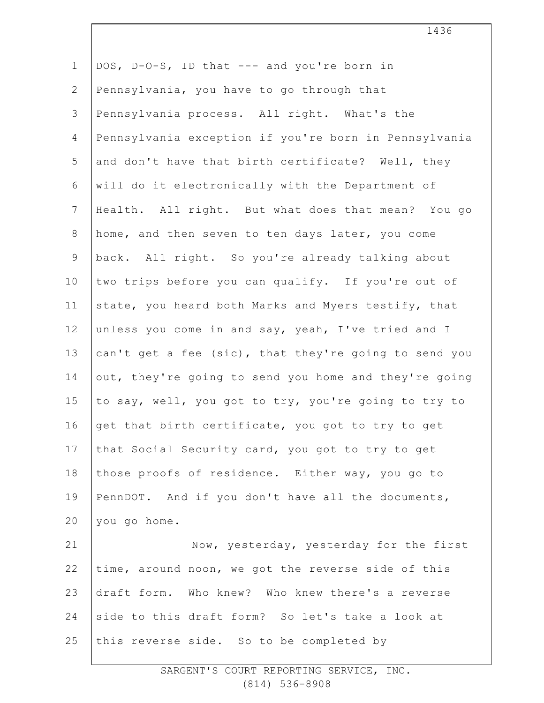| $\mathbf 1$     | DOS, D-O-S, ID that --- and you're born in            |
|-----------------|-------------------------------------------------------|
| $\mathbf{2}$    | Pennsylvania, you have to go through that             |
| 3               | Pennsylvania process. All right. What's the           |
| $\overline{4}$  | Pennsylvania exception if you're born in Pennsylvania |
| 5               | and don't have that birth certificate? Well, they     |
| 6               | will do it electronically with the Department of      |
| $7\phantom{.0}$ | Health. All right. But what does that mean? You go    |
| 8               | home, and then seven to ten days later, you come      |
| $\mathsf 9$     | back. All right. So you're already talking about      |
| 10              | two trips before you can qualify. If you're out of    |
| 11              | state, you heard both Marks and Myers testify, that   |
| 12              | unless you come in and say, yeah, I've tried and I    |
| 13              | can't get a fee (sic), that they're going to send you |
| 14              | out, they're going to send you home and they're going |
| 15              | to say, well, you got to try, you're going to try to  |
| 16              | get that birth certificate, you got to try to get     |
| 17              | that Social Security card, you got to try to get      |
| 18              | those proofs of residence. Either way, you go to      |
| 19              | PennDOT. And if you don't have all the documents,     |
| 20              | you go home.                                          |
| 21              | Now, yesterday, yesterday for the first               |
| 22              | time, around noon, we got the reverse side of this    |
| 23              | draft form. Who knew? Who knew there's a reverse      |
| 24              | side to this draft form? So let's take a look at      |
| 25              | this reverse side. So to be completed by              |
|                 |                                                       |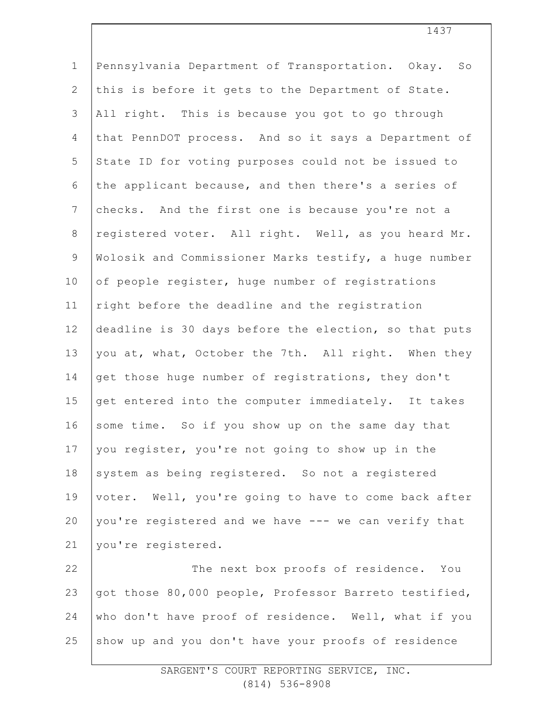| $\mathbf{1}$   | Pennsylvania Department of Transportation. Okay. So   |
|----------------|-------------------------------------------------------|
| $\overline{2}$ | this is before it gets to the Department of State.    |
| 3              | All right. This is because you got to go through      |
| 4              | that PennDOT process. And so it says a Department of  |
| 5              | State ID for voting purposes could not be issued to   |
| 6              | the applicant because, and then there's a series of   |
| $\overline{7}$ | checks. And the first one is because you're not a     |
| $\,8\,$        | registered voter. All right. Well, as you heard Mr.   |
| $\overline{9}$ | Wolosik and Commissioner Marks testify, a huge number |
| 10             | of people register, huge number of registrations      |
| 11             | right before the deadline and the registration        |
| 12             | deadline is 30 days before the election, so that puts |
| 13             | you at, what, October the 7th. All right. When they   |
| 14             | get those huge number of registrations, they don't    |
| 15             | get entered into the computer immediately. It takes   |
| 16             | some time. So if you show up on the same day that     |
| 17             | you register, you're not going to show up in the      |
| 18             | system as being registered. So not a registered       |
| 19             | voter. Well, you're going to have to come back after  |
| 20             | you're registered and we have --- we can verify that  |
| 21             | you're registered.                                    |
| 22             | The next box proofs of residence. You                 |
| 23             | got those 80,000 people, Professor Barreto testified, |
| 24             | who don't have proof of residence. Well, what if you  |
| 25             | show up and you don't have your proofs of residence   |
|                |                                                       |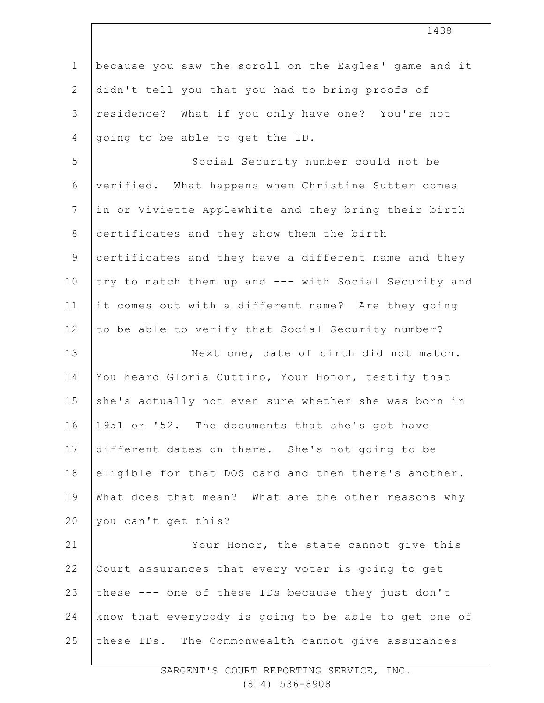| $\mathbf 1$     | because you saw the scroll on the Eagles' game and it |
|-----------------|-------------------------------------------------------|
| $\mathbf{2}$    | didn't tell you that you had to bring proofs of       |
| $\mathfrak{Z}$  | residence? What if you only have one? You're not      |
| 4               | going to be able to get the ID.                       |
| 5               | Social Security number could not be                   |
| 6               | verified. What happens when Christine Sutter comes    |
| $7\phantom{.0}$ | in or Viviette Applewhite and they bring their birth  |
| $8\,$           | certificates and they show them the birth             |
| $\mathsf 9$     | certificates and they have a different name and they  |
| 10              | try to match them up and --- with Social Security and |
| 11              | it comes out with a different name? Are they going    |
| 12              | to be able to verify that Social Security number?     |
| 13              | Next one, date of birth did not match.                |
| 14              | You heard Gloria Cuttino, Your Honor, testify that    |
| 15              | she's actually not even sure whether she was born in  |
| 16              | 1951 or '52. The documents that she's got have        |
| 17              | different dates on there. She's not going to be       |
| 18              | eligible for that DOS card and then there's another.  |
| 19              | What does that mean? What are the other reasons why   |
| 20              | you can't get this?                                   |
| 21              | Your Honor, the state cannot give this                |
| 22              | Court assurances that every voter is going to get     |
| 23              | these --- one of these IDs because they just don't    |
| 24              | know that everybody is going to be able to get one of |
| 25              | these IDs. The Commonwealth cannot give assurances    |
|                 |                                                       |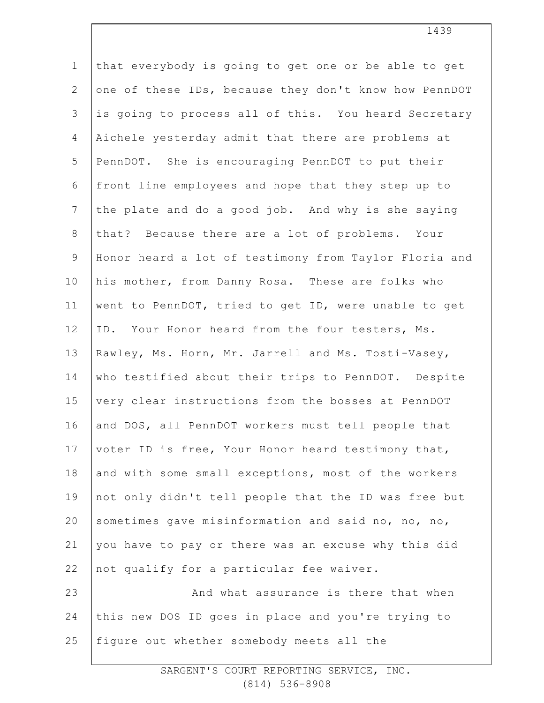1 2 3 4 5 6 7 8 9 10 11 12 13 14 15 16 17 18 19 20 21 22 23 24 25 that everybody is going to get one or be able to get one of these IDs, because they don't know how PennDOT is going to process all of this. You heard Secretary Aichele yesterday admit that there are problems at PennDOT. She is encouraging PennDOT to put their front line employees and hope that they step up to the plate and do a good job. And why is she saying that? Because there are a lot of problems. Your Honor heard a lot of testimony from Taylor Floria and his mother, from Danny Rosa. These are folks who went to PennDOT, tried to get ID, were unable to get ID. Your Honor heard from the four testers, Ms. Rawley, Ms. Horn, Mr. Jarrell and Ms. Tosti-Vasey, who testified about their trips to PennDOT. Despite very clear instructions from the bosses at PennDOT and DOS, all PennDOT workers must tell people that voter ID is free, Your Honor heard testimony that, and with some small exceptions, most of the workers not only didn't tell people that the ID was free but sometimes gave misinformation and said no, no, no, you have to pay or there was an excuse why this did not qualify for a particular fee waiver. And what assurance is there that when this new DOS ID goes in place and you're trying to figure out whether somebody meets all the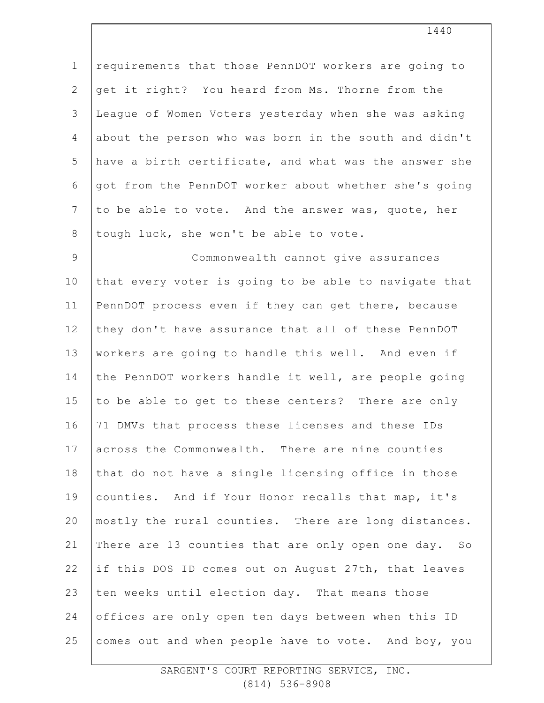1 2 3 4 5 6 7 8 requirements that those PennDOT workers are going to get it right? You heard from Ms. Thorne from the League of Women Voters yesterday when she was asking about the person who was born in the south and didn't have a birth certificate, and what was the answer she got from the PennDOT worker about whether she's going to be able to vote. And the answer was, quote, her tough luck, she won't be able to vote.

9 10 11 12 13 14 15 16 17 18 19 20 21 22 23 24 25 Commonwealth cannot give assurances that every voter is going to be able to navigate that PennDOT process even if they can get there, because they don't have assurance that all of these PennDOT workers are going to handle this well. And even if the PennDOT workers handle it well, are people going to be able to get to these centers? There are only 71 DMVs that process these licenses and these IDs across the Commonwealth. There are nine counties that do not have a single licensing office in those counties. And if Your Honor recalls that map, it's mostly the rural counties. There are long distances. There are 13 counties that are only open one day. So if this DOS ID comes out on August 27th, that leaves ten weeks until election day. That means those offices are only open ten days between when this ID comes out and when people have to vote. And boy, you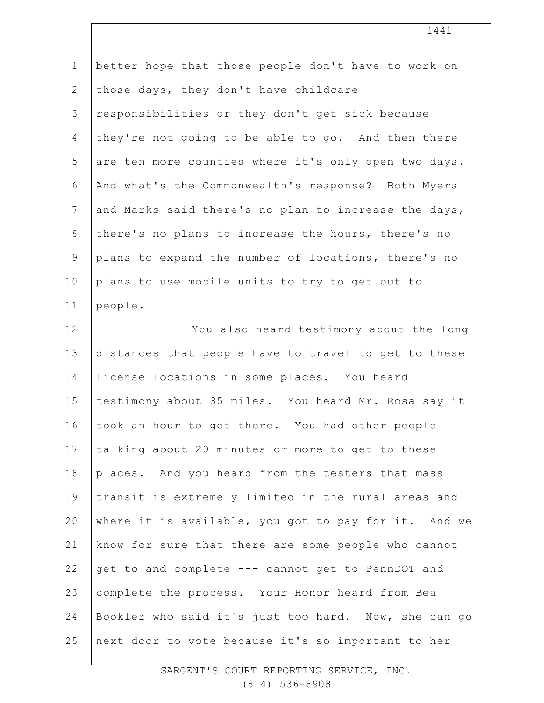| $\mathbf 1$    | better hope that those people don't have to work on  |
|----------------|------------------------------------------------------|
| $\mathbf{2}$   | those days, they don't have childcare                |
| 3              | responsibilities or they don't get sick because      |
| $\overline{4}$ | they're not going to be able to go. And then there   |
| 5              | are ten more counties where it's only open two days. |
| 6              | And what's the Commonwealth's response? Both Myers   |
| $7\phantom{.}$ | and Marks said there's no plan to increase the days, |
| $\,8\,$        | there's no plans to increase the hours, there's no   |
| $\mathsf 9$    | plans to expand the number of locations, there's no  |
| 10             | plans to use mobile units to try to get out to       |
| 11             | people.                                              |
| 12             | You also heard testimony about the long              |
| 13             | distances that people have to travel to get to these |
| 14             | license locations in some places. You heard          |
| 15             | testimony about 35 miles. You heard Mr. Rosa say it  |
| 16             | took an hour to get there. You had other people      |
| 17             | talking about 20 minutes or more to get to these     |
| 18             | places. And you heard from the testers that mass     |
| 19             | transit is extremely limited in the rural areas and  |
| 20             | where it is available, you got to pay for it. And we |
| 21             | know for sure that there are some people who cannot  |
| 22             | get to and complete --- cannot get to PennDOT and    |
| 23             | complete the process. Your Honor heard from Bea      |
| 24             | Bookler who said it's just too hard. Now, she can go |
| 25             | next door to vote because it's so important to her   |
|                |                                                      |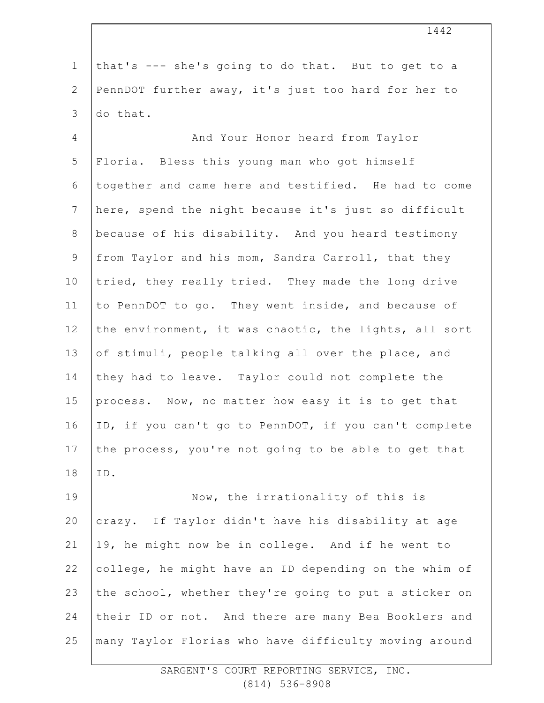1 2 3 that's --- she's going to do that. But to get to a PennDOT further away, it's just too hard for her to do that.

4 5 6 7 8 9 10 11 12 13 14 15 16 17 18 And Your Honor heard from Taylor Floria. Bless this young man who got himself together and came here and testified. He had to come here, spend the night because it's just so difficult because of his disability. And you heard testimony from Taylor and his mom, Sandra Carroll, that they tried, they really tried. They made the long drive to PennDOT to go. They went inside, and because of the environment, it was chaotic, the lights, all sort of stimuli, people talking all over the place, and they had to leave. Taylor could not complete the process. Now, no matter how easy it is to get that ID, if you can't go to PennDOT, if you can't complete the process, you're not going to be able to get that ID.

19 20 21 22 23 24 25 Now, the irrationality of this is crazy. If Taylor didn't have his disability at age 19, he might now be in college. And if he went to college, he might have an ID depending on the whim of the school, whether they're going to put a sticker on their ID or not. And there are many Bea Booklers and many Taylor Florias who have difficulty moving around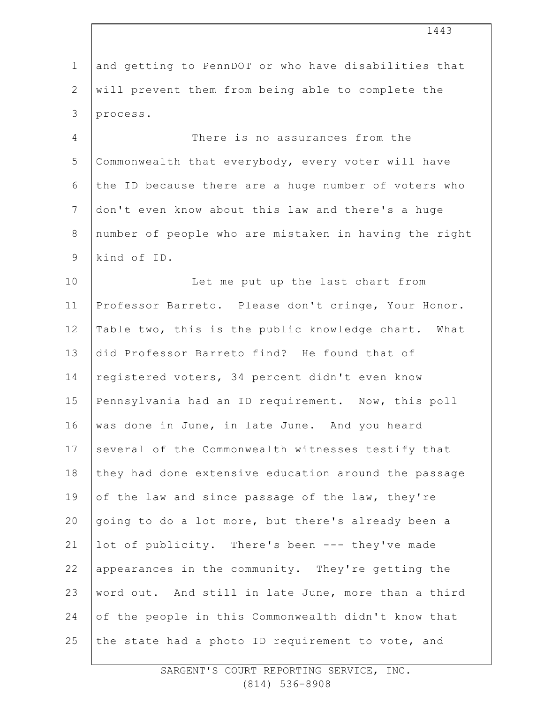1 2 3 4 5 6 7 8 9 10 11 12 13 14 15 16 17 18 19 20 21 22 23 24 25 and getting to PennDOT or who have disabilities that will prevent them from being able to complete the process. There is no assurances from the Commonwealth that everybody, every voter will have the ID because there are a huge number of voters who don't even know about this law and there's a huge number of people who are mistaken in having the right kind of ID. Let me put up the last chart from Professor Barreto. Please don't cringe, Your Honor. Table two, this is the public knowledge chart. What did Professor Barreto find? He found that of registered voters, 34 percent didn't even know Pennsylvania had an ID requirement. Now, this poll was done in June, in late June. And you heard several of the Commonwealth witnesses testify that they had done extensive education around the passage of the law and since passage of the law, they're going to do a lot more, but there's already been a lot of publicity. There's been --- they've made appearances in the community. They're getting the word out. And still in late June, more than a third of the people in this Commonwealth didn't know that the state had a photo ID requirement to vote, and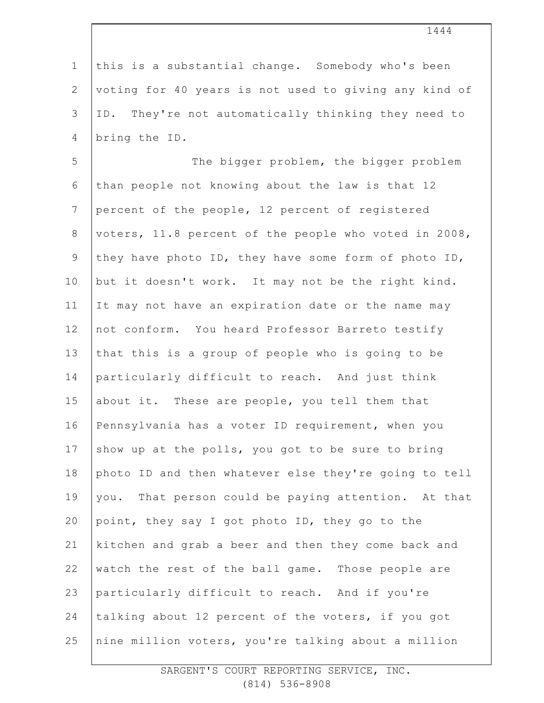1 2 3 4 5 6 7 8 9 10 11 12 13 14 15 16 17 18 19 20 21 22 23 24 25 this is a substantial change. Somebody who's been voting for 40 years is not used to giving any kind of ID. They're not automatically thinking they need to bring the ID. The bigger problem, the bigger problem than people not knowing about the law is that 12 percent of the people, 12 percent of registered voters, 11.8 percent of the people who voted in 2008, they have photo ID, they have some form of photo ID, but it doesn't work. It may not be the right kind. It may not have an expiration date or the name may not conform. You heard Professor Barreto testify that this is a group of people who is going to be particularly difficult to reach. And just think about it. These are people, you tell them that Pennsylvania has a voter ID requirement, when you show up at the polls, you got to be sure to bring photo ID and then whatever else they're going to tell you. That person could be paying attention. At that point, they say I got photo ID, they go to the kitchen and grab a beer and then they come back and watch the rest of the ball game. Those people are particularly difficult to reach. And if you're talking about 12 percent of the voters, if you got nine million voters, you're talking about a million

1444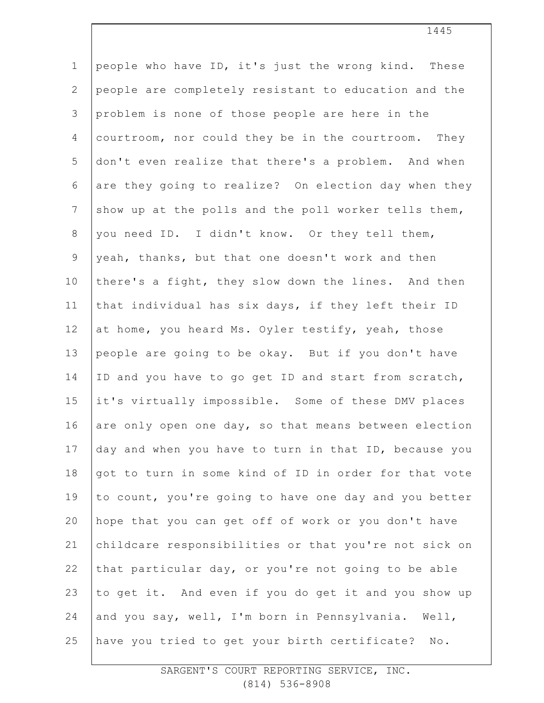1 2 3 4 5 6 7 8 9 10 11 12 13 14 15 16 17 18 19 20 21 22 23 24 25 people who have ID, it's just the wrong kind. These people are completely resistant to education and the problem is none of those people are here in the courtroom, nor could they be in the courtroom. They don't even realize that there's a problem. And when are they going to realize? On election day when they show up at the polls and the poll worker tells them, you need ID. I didn't know. Or they tell them, yeah, thanks, but that one doesn't work and then there's a fight, they slow down the lines. And then that individual has six days, if they left their ID at home, you heard Ms. Oyler testify, yeah, those people are going to be okay. But if you don't have ID and you have to go get ID and start from scratch, it's virtually impossible. Some of these DMV places are only open one day, so that means between election day and when you have to turn in that ID, because you got to turn in some kind of ID in order for that vote to count, you're going to have one day and you better hope that you can get off of work or you don't have childcare responsibilities or that you're not sick on that particular day, or you're not going to be able to get it. And even if you do get it and you show up and you say, well, I'm born in Pennsylvania. Well, have you tried to get your birth certificate? No.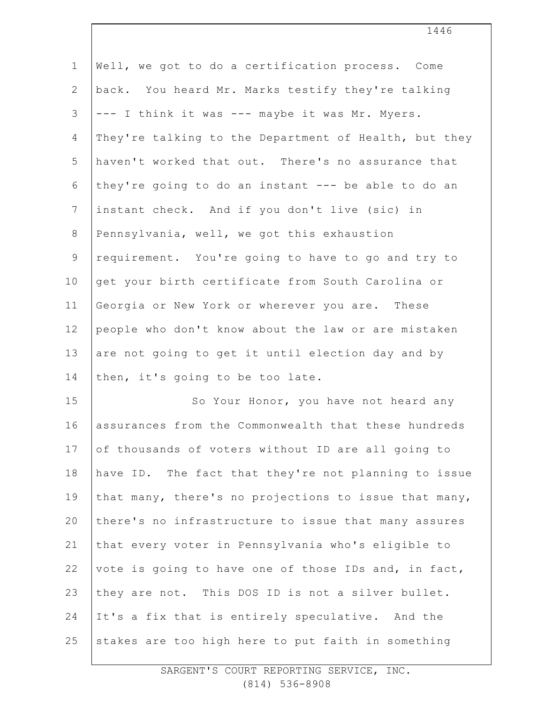| $\mathbf 1$     | Well, we got to do a certification process. Come      |
|-----------------|-------------------------------------------------------|
| $\mathbf{2}$    | back. You heard Mr. Marks testify they're talking     |
| 3               | --- I think it was --- maybe it was Mr. Myers.        |
| 4               | They're talking to the Department of Health, but they |
| 5               | haven't worked that out. There's no assurance that    |
| 6               | they're going to do an instant --- be able to do an   |
| $7\phantom{.0}$ | instant check. And if you don't live (sic) in         |
| $8\,$           | Pennsylvania, well, we got this exhaustion            |
| $\mathsf 9$     | requirement. You're going to have to go and try to    |
| 10              | get your birth certificate from South Carolina or     |
| 11              | Georgia or New York or wherever you are. These        |
| 12              | people who don't know about the law or are mistaken   |
| 13              | are not going to get it until election day and by     |
| 14              | then, it's going to be too late.                      |
| 15              | So Your Honor, you have not heard any                 |
| 16              | assurances from the Commonwealth that these hundreds  |
| 17              | of thousands of voters without ID are all going to    |
| 18              | have ID. The fact that they're not planning to issue  |
| 19              | that many, there's no projections to issue that many, |
| 20              | there's no infrastructure to issue that many assures  |
| 21              | that every voter in Pennsylvania who's eligible to    |
| 22              | vote is going to have one of those IDs and, in fact,  |
| 23              | they are not. This DOS ID is not a silver bullet.     |
| 24              | It's a fix that is entirely speculative. And the      |
| 25              | stakes are too high here to put faith in something    |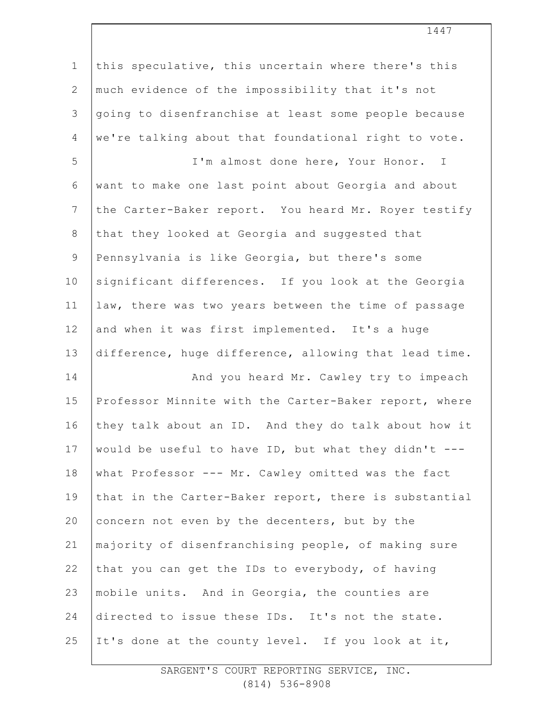| $\mathbf 1$     | this speculative, this uncertain where there's this   |
|-----------------|-------------------------------------------------------|
| $\mathbf{2}$    | much evidence of the impossibility that it's not      |
| 3               | going to disenfranchise at least some people because  |
| $\overline{4}$  | we're talking about that foundational right to vote.  |
| 5               | I'm almost done here, Your Honor. I                   |
| 6               | want to make one last point about Georgia and about   |
| $7\phantom{.0}$ | the Carter-Baker report. You heard Mr. Royer testify  |
| $\,8\,$         | that they looked at Georgia and suggested that        |
| $\mathsf 9$     | Pennsylvania is like Georgia, but there's some        |
| 10              | significant differences. If you look at the Georgia   |
| 11              | law, there was two years between the time of passage  |
| 12              | and when it was first implemented. It's a huge        |
| 13              | difference, huge difference, allowing that lead time. |
| 14              | And you heard Mr. Cawley try to impeach               |
| 15              | Professor Minnite with the Carter-Baker report, where |
| 16              | they talk about an ID. And they do talk about how it  |
| 17              | would be useful to have ID, but what they didn't ---  |
| 18              | what Professor --- Mr. Cawley omitted was the fact    |
| 19              | that in the Carter-Baker report, there is substantial |
| 20              | concern not even by the decenters, but by the         |
| 21              | majority of disenfranchising people, of making sure   |
| 22              | that you can get the IDs to everybody, of having      |
| 23              | mobile units. And in Georgia, the counties are        |
| 24              | directed to issue these IDs. It's not the state.      |
| 25              | It's done at the county level. If you look at it,     |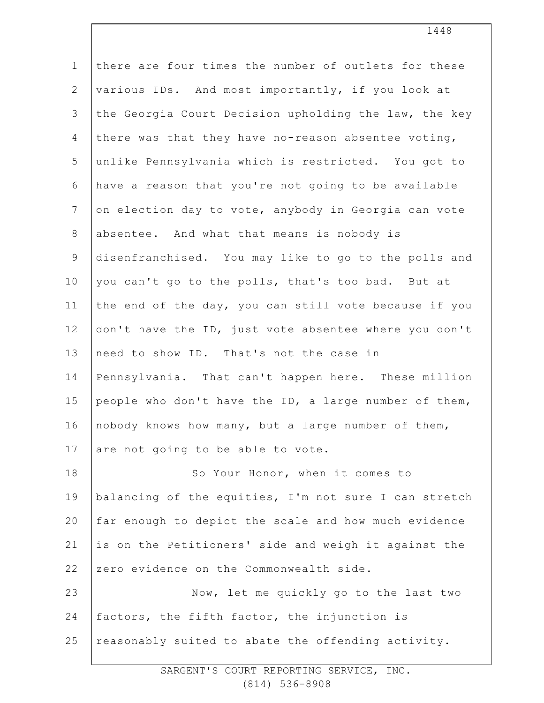| $\mathbf 1$  | there are four times the number of outlets for these  |
|--------------|-------------------------------------------------------|
| $\mathbf{2}$ | various IDs. And most importantly, if you look at     |
| 3            | the Georgia Court Decision upholding the law, the key |
| 4            | there was that they have no-reason absentee voting,   |
| 5            | unlike Pennsylvania which is restricted. You got to   |
| 6            | have a reason that you're not going to be available   |
| 7            | on election day to vote, anybody in Georgia can vote  |
| $\,8\,$      | absentee. And what that means is nobody is            |
| $\mathsf 9$  | disenfranchised. You may like to go to the polls and  |
| 10           | you can't go to the polls, that's too bad. But at     |
| 11           | the end of the day, you can still vote because if you |
| 12           | don't have the ID, just vote absentee where you don't |
| 13           | need to show ID. That's not the case in               |
| 14           | Pennsylvania. That can't happen here. These million   |
| 15           | people who don't have the ID, a large number of them, |
| 16           | nobody knows how many, but a large number of them,    |
| 17           | are not going to be able to vote.                     |
| 18           | So Your Honor, when it comes to                       |
| 19           | balancing of the equities, I'm not sure I can stretch |
| 20           | far enough to depict the scale and how much evidence  |
| 21           | is on the Petitioners' side and weigh it against the  |
| 22           | zero evidence on the Commonwealth side.               |
| 23           | Now, let me quickly go to the last two                |
| 24           | factors, the fifth factor, the injunction is          |
| 25           | reasonably suited to abate the offending activity.    |
|              |                                                       |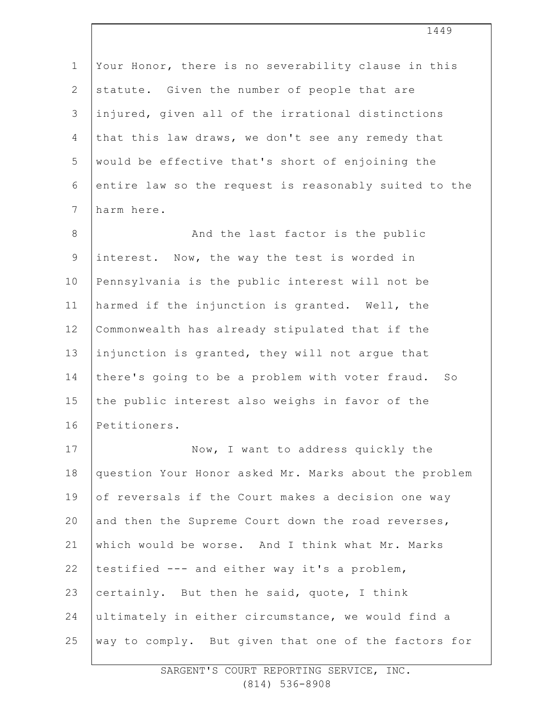| $\mathbf 1$    | Your Honor, there is no severability clause in this   |
|----------------|-------------------------------------------------------|
| $\overline{2}$ | statute. Given the number of people that are          |
| 3              | injured, given all of the irrational distinctions     |
| 4              | that this law draws, we don't see any remedy that     |
| 5              | would be effective that's short of enjoining the      |
| 6              | entire law so the request is reasonably suited to the |
| $7\phantom{.}$ | harm here.                                            |
| $8\,$          | And the last factor is the public                     |
| $\mathsf 9$    | interest. Now, the way the test is worded in          |
| 10             | Pennsylvania is the public interest will not be       |
| 11             | harmed if the injunction is granted. Well, the        |
| 12             | Commonwealth has already stipulated that if the       |
| 13             | injunction is granted, they will not argue that       |
| 14             | there's going to be a problem with voter fraud. So    |
| 15             | the public interest also weighs in favor of the       |
| 16             | Petitioners.                                          |
| 17             | Now, I want to address quickly the                    |
| 18             | question Your Honor asked Mr. Marks about the problem |
| 19             | of reversals if the Court makes a decision one way    |
| 20             | and then the Supreme Court down the road reverses,    |
| 21             | which would be worse. And I think what Mr. Marks      |
| 22             | testified --- and either way it's a problem,          |
| 23             | certainly. But then he said, quote, I think           |
| 24             | ultimately in either circumstance, we would find a    |
| 25             | way to comply. But given that one of the factors for  |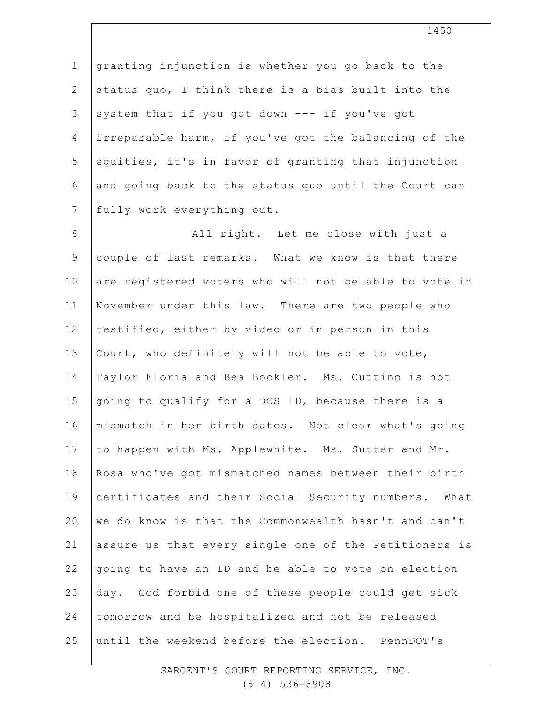1 2 3 4 5 6 7 granting injunction is whether you go back to the status quo, I think there is a bias built into the system that if you got down --- if you've got irreparable harm, if you've got the balancing of the equities, it's in favor of granting that injunction and going back to the status quo until the Court can fully work everything out.

8 9 10 11 12 13 14 15 16 17 18 19 20 21 22 23 24 25 All right. Let me close with just a couple of last remarks. What we know is that there are registered voters who will not be able to vote in November under this law. There are two people who testified, either by video or in person in this Court, who definitely will not be able to vote, Taylor Floria and Bea Bookler. Ms. Cuttino is not going to qualify for a DOS ID, because there is a mismatch in her birth dates. Not clear what's going to happen with Ms. Applewhite. Ms. Sutter and Mr. Rosa who've got mismatched names between their birth certificates and their Social Security numbers. What we do know is that the Commonwealth hasn't and can't assure us that every single one of the Petitioners is going to have an ID and be able to vote on election day. God forbid one of these people could get sick tomorrow and be hospitalized and not be released until the weekend before the election. PennDOT's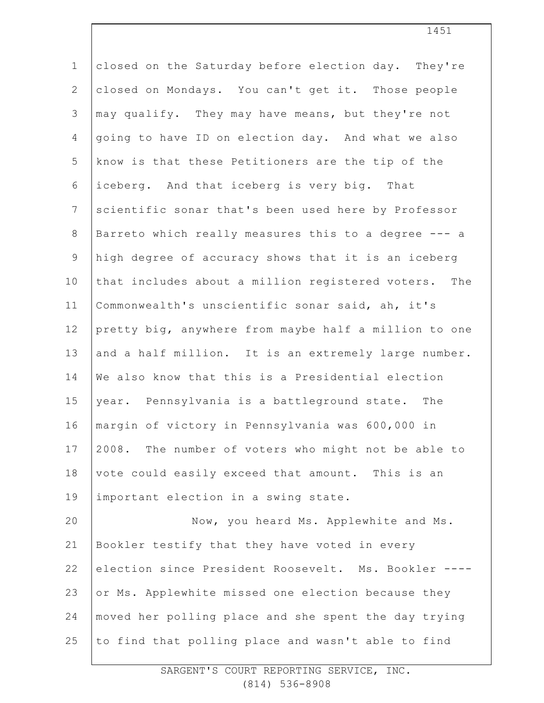| $\mathbf 1$    | closed on the Saturday before election day. They're   |
|----------------|-------------------------------------------------------|
| $\mathbf{2}$   | closed on Mondays. You can't get it. Those people     |
| 3              | may qualify. They may have means, but they're not     |
| $\overline{4}$ | going to have ID on election day. And what we also    |
| 5              | know is that these Petitioners are the tip of the     |
| 6              | iceberg. And that iceberg is very big. That           |
| $\overline{7}$ | scientific sonar that's been used here by Professor   |
| 8              | Barreto which really measures this to a degree --- a  |
| $\mathsf 9$    | high degree of accuracy shows that it is an iceberg   |
| 10             | that includes about a million registered voters. The  |
| 11             | Commonwealth's unscientific sonar said, ah, it's      |
| 12             | pretty big, anywhere from maybe half a million to one |
| 13             | and a half million. It is an extremely large number.  |
| 14             | We also know that this is a Presidential election     |
| 15             | year. Pennsylvania is a battleground state. The       |
| 16             | margin of victory in Pennsylvania was 600,000 in      |
| 17             | 2008. The number of voters who might not be able to   |
| 18             | vote could easily exceed that amount. This is an      |
| 19             | important election in a swing state.                  |
| 20             | Now, you heard Ms. Applewhite and Ms.                 |
| 21             | Bookler testify that they have voted in every         |
| 22             | election since President Roosevelt. Ms. Bookler ----  |
| 23             | or Ms. Applewhite missed one election because they    |
| 24             | moved her polling place and she spent the day trying  |
| 25             | to find that polling place and wasn't able to find    |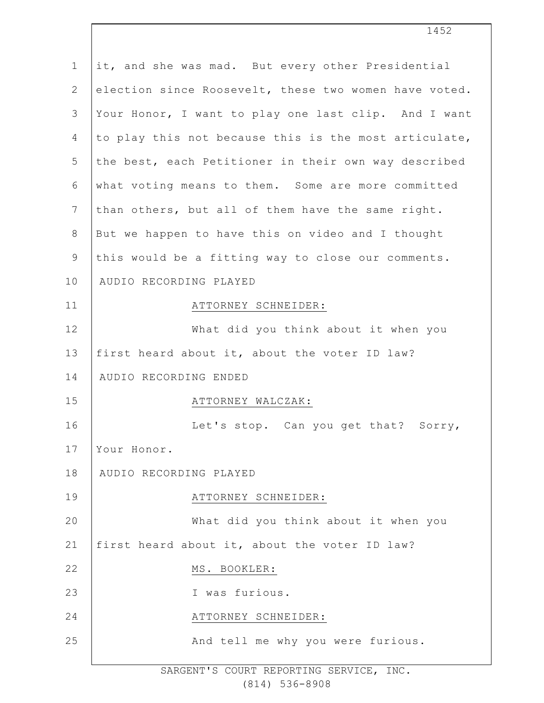| $\mathbf 1$  | it, and she was mad. But every other Presidential     |
|--------------|-------------------------------------------------------|
| $\mathbf{2}$ | election since Roosevelt, these two women have voted. |
| 3            | Your Honor, I want to play one last clip. And I want  |
| 4            | to play this not because this is the most articulate, |
| 5            | the best, each Petitioner in their own way described  |
| 6            | what voting means to them. Some are more committed    |
| 7            | than others, but all of them have the same right.     |
| $8\,$        | But we happen to have this on video and I thought     |
| $\mathsf 9$  | this would be a fitting way to close our comments.    |
| 10           | AUDIO RECORDING PLAYED                                |
| 11           | ATTORNEY SCHNEIDER:                                   |
| 12           | What did you think about it when you                  |
| 13           | first heard about it, about the voter ID law?         |
| 14           | AUDIO RECORDING ENDED                                 |
| 15           | ATTORNEY WALCZAK:                                     |
| 16           | Let's stop. Can you get that? Sorry,                  |
| 17           | Your Honor.                                           |
| 18           | AUDIO RECORDING PLAYED                                |
| 19           | ATTORNEY SCHNEIDER:                                   |
| 20           | What did you think about it when you                  |
| 21           | first heard about it, about the voter ID law?         |
| 22           | MS. BOOKLER:                                          |
| 23           | I was furious.                                        |
| 24           | ATTORNEY SCHNEIDER:                                   |
| 25           | And tell me why you were furious.                     |
|              |                                                       |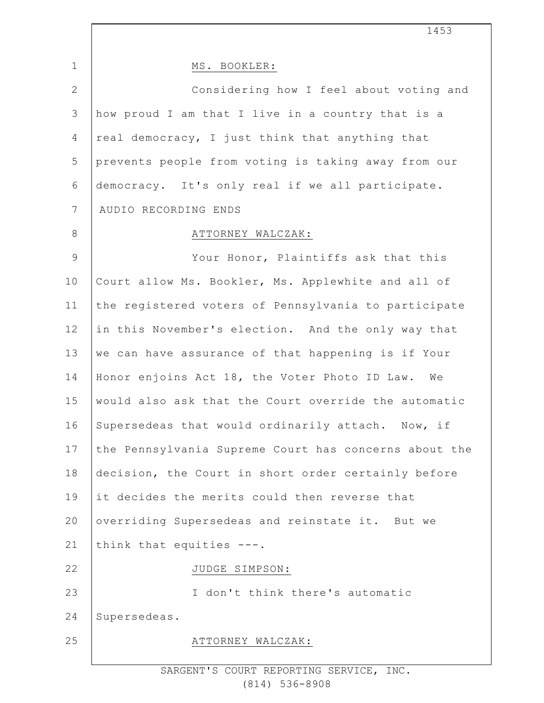1 2 3 4 5 6 7 8 9 10 11 12 13 14 15 16 17 18 19 20 21 22 23 24 25 1453 MS. BOOKLER: Considering how I feel about voting and how proud I am that I live in a country that is a real democracy, I just think that anything that prevents people from voting is taking away from our democracy. It's only real if we all participate. AUDIO RECORDING ENDS ATTORNEY WALCZAK: Your Honor, Plaintiffs ask that this Court allow Ms. Bookler, Ms. Applewhite and all of the registered voters of Pennsylvania to participate in this November's election. And the only way that we can have assurance of that happening is if Your Honor enjoins Act 18, the Voter Photo ID Law. We would also ask that the Court override the automatic Supersedeas that would ordinarily attach. Now, if the Pennsylvania Supreme Court has concerns about the decision, the Court in short order certainly before it decides the merits could then reverse that overriding Supersedeas and reinstate it. But we think that equities ---. JUDGE SIMPSON: I don't think there's automatic Supersedeas. ATTORNEY WALCZAK: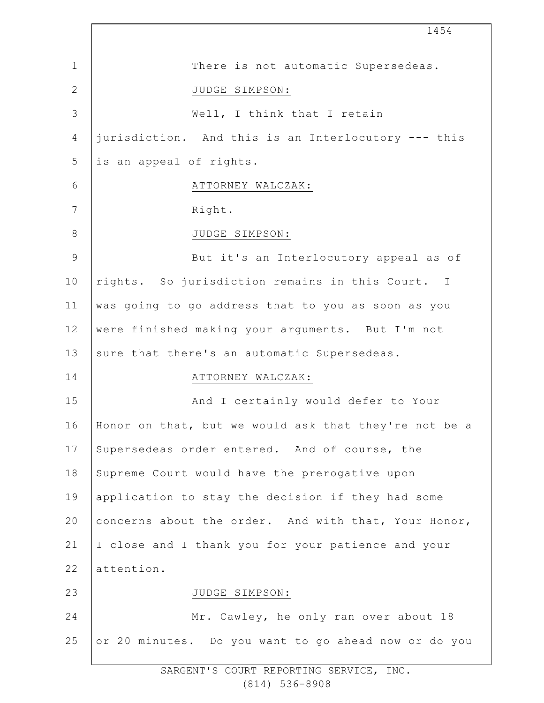1 2 3 4 5 6 7 8 9 10 11 12 13 14 15 16 17 18 19 20 21 22 23 24 25 1454 There is not automatic Supersedeas. JUDGE SIMPSON: Well, I think that I retain jurisdiction. And this is an Interlocutory --- this is an appeal of rights. ATTORNEY WALCZAK: Right. JUDGE SIMPSON: But it's an Interlocutory appeal as of rights. So jurisdiction remains in this Court. I was going to go address that to you as soon as you were finished making your arguments. But I'm not sure that there's an automatic Supersedeas. ATTORNEY WALCZAK: And I certainly would defer to Your Honor on that, but we would ask that they're not be a Supersedeas order entered. And of course, the Supreme Court would have the prerogative upon application to stay the decision if they had some concerns about the order. And with that, Your Honor, I close and I thank you for your patience and your attention. JUDGE SIMPSON: Mr. Cawley, he only ran over about 18 or 20 minutes. Do you want to go ahead now or do you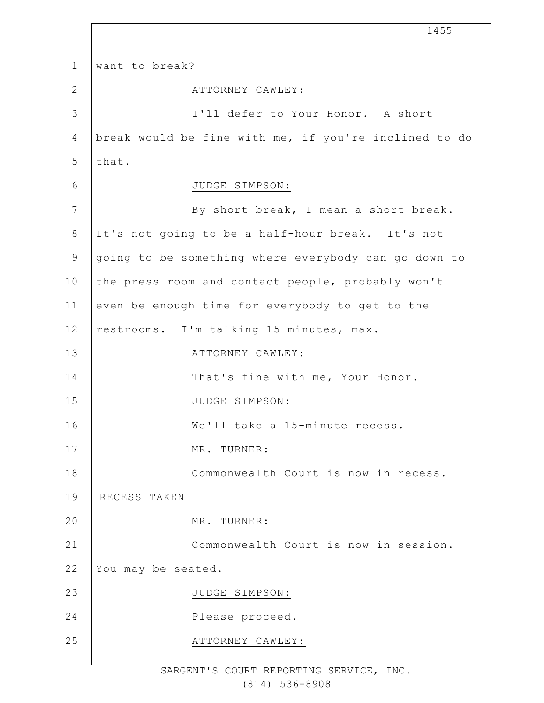|                 | 1455                                                  |
|-----------------|-------------------------------------------------------|
| $\mathbf 1$     | want to break?                                        |
| $\mathbf{2}$    | ATTORNEY CAWLEY:                                      |
| $\mathcal{S}$   | I'll defer to Your Honor. A short                     |
| 4               | break would be fine with me, if you're inclined to do |
| 5               | that.                                                 |
| 6               | JUDGE SIMPSON:                                        |
| $7\phantom{.0}$ | By short break, I mean a short break.                 |
| 8               | It's not going to be a half-hour break. It's not      |
| $\mathsf 9$     | going to be something where everybody can go down to  |
| 10              | the press room and contact people, probably won't     |
| 11              | even be enough time for everybody to get to the       |
| 12              | restrooms. I'm talking 15 minutes, max.               |
| 13              | ATTORNEY CAWLEY:                                      |
| 14              | That's fine with me, Your Honor.                      |
| 15              | JUDGE SIMPSON:                                        |
| 16              | We'll take a 15-minute recess.                        |
| 17              | MR. TURNER:                                           |
| 18              | Commonwealth Court is now in recess.                  |
| 19              | RECESS TAKEN                                          |
| 20              | MR. TURNER:                                           |
| 21              | Commonwealth Court is now in session.                 |
| 22              | You may be seated.                                    |
| 23              | JUDGE SIMPSON:                                        |
| 24              | Please proceed.                                       |
| 25              | ATTORNEY CAWLEY:                                      |
|                 |                                                       |

 $\Gamma$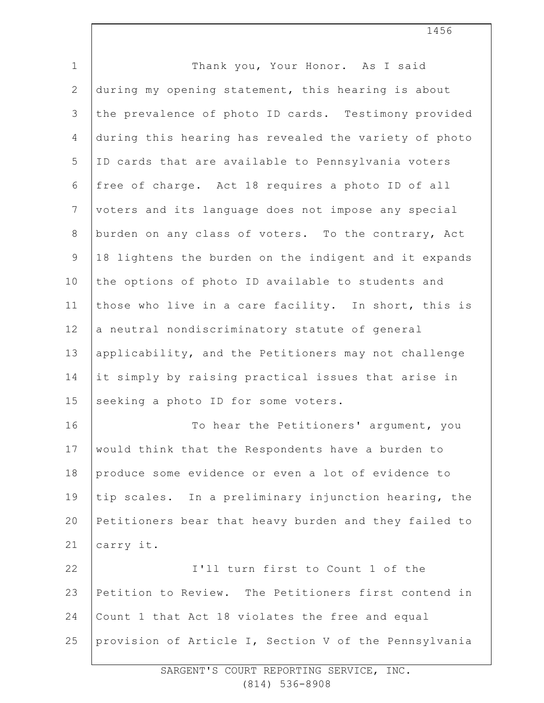| $\mathbf 1$    | Thank you, Your Honor. As I said                      |
|----------------|-------------------------------------------------------|
| $\mathbf{2}$   | during my opening statement, this hearing is about    |
| 3              | the prevalence of photo ID cards. Testimony provided  |
| $\overline{4}$ | during this hearing has revealed the variety of photo |
| 5              | ID cards that are available to Pennsylvania voters    |
| 6              | free of charge. Act 18 requires a photo ID of all     |
| $7\phantom{.}$ | voters and its language does not impose any special   |
| $\,8\,$        | burden on any class of voters. To the contrary, Act   |
| $\mathcal{G}$  | 18 lightens the burden on the indigent and it expands |
| 10             | the options of photo ID available to students and     |
| 11             | those who live in a care facility. In short, this is  |
| 12             | a neutral nondiscriminatory statute of general        |
| 13             | applicability, and the Petitioners may not challenge  |
| 14             | it simply by raising practical issues that arise in   |
| 15             | seeking a photo ID for some voters.                   |
| 16             | To hear the Petitioners' argument, you                |
| 17             | would think that the Respondents have a burden to     |
| 18             | produce some evidence or even a lot of evidence to    |
| 19             | tip scales. In a preliminary injunction hearing, the  |
| 20             | Petitioners bear that heavy burden and they failed to |
| 21             | carry it.                                             |
| 22             | I'll turn first to Count 1 of the                     |
| 23             | Petition to Review. The Petitioners first contend in  |
| 24             | Count 1 that Act 18 violates the free and equal       |
| 25             | provision of Article I, Section V of the Pennsylvania |
|                |                                                       |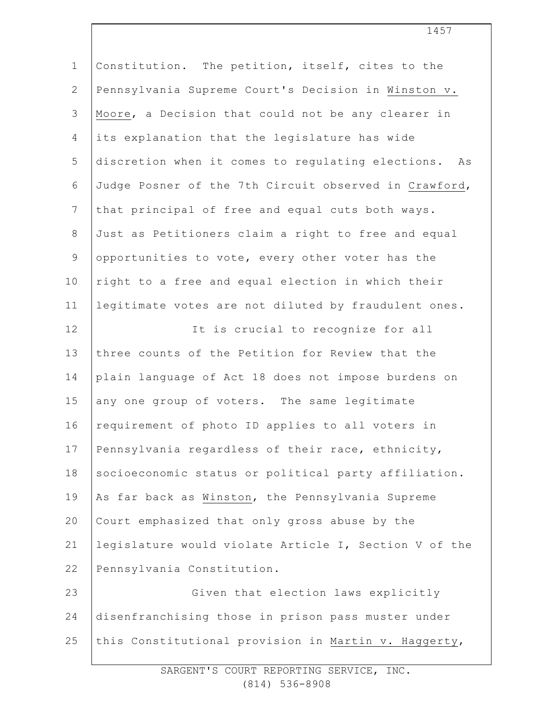| $\mathbf 1$    | Constitution. The petition, itself, cites to the      |
|----------------|-------------------------------------------------------|
| $\mathbf{2}$   | Pennsylvania Supreme Court's Decision in Winston v.   |
| 3              | Moore, a Decision that could not be any clearer in    |
| $\overline{4}$ | its explanation that the legislature has wide         |
| 5              | discretion when it comes to regulating elections. As  |
| 6              | Judge Posner of the 7th Circuit observed in Crawford, |
| $7\phantom{.}$ | that principal of free and equal cuts both ways.      |
| $\,8\,$        | Just as Petitioners claim a right to free and equal   |
| $\mathsf 9$    | opportunities to vote, every other voter has the      |
| 10             | right to a free and equal election in which their     |
| 11             | legitimate votes are not diluted by fraudulent ones.  |
| 12             | It is crucial to recognize for all                    |
| 13             | three counts of the Petition for Review that the      |
| 14             | plain language of Act 18 does not impose burdens on   |
| 15             | any one group of voters. The same legitimate          |
| 16             | requirement of photo ID applies to all voters in      |
| 17             | Pennsylvania regardless of their race, ethnicity,     |
| 18             | socioeconomic status or political party affiliation.  |
| 19             | As far back as Winston, the Pennsylvania Supreme      |
| 20             | Court emphasized that only gross abuse by the         |
| 21             | legislature would violate Article I, Section V of the |
| 22             | Pennsylvania Constitution.                            |
| 23             | Given that election laws explicitly                   |
| 24             | disenfranchising those in prison pass muster under    |
| 25             | this Constitutional provision in Martin v. Haggerty,  |
|                |                                                       |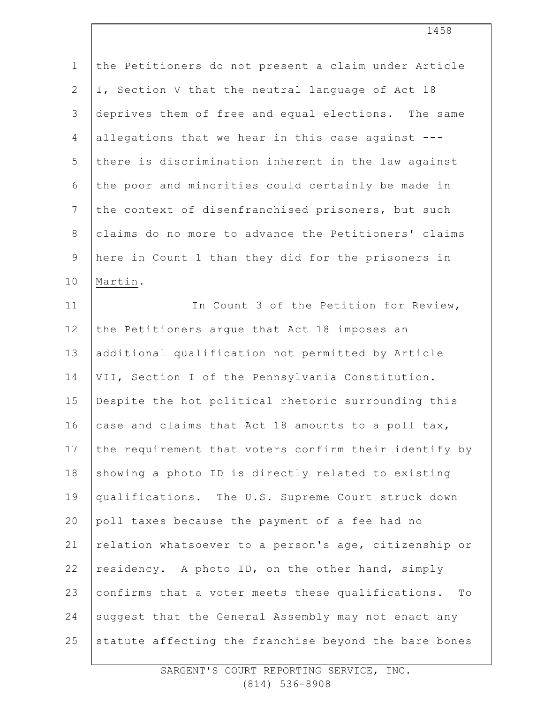1 2 3 4 5 6 7 8 9 10 11 12 13 14 15 16 17 18 19 20 21 22 23 24 the Petitioners do not present a claim under Article I, Section V that the neutral language of Act 18 deprives them of free and equal elections. The same allegations that we hear in this case against -- there is discrimination inherent in the law against the poor and minorities could certainly be made in the context of disenfranchised prisoners, but such claims do no more to advance the Petitioners' claims here in Count 1 than they did for the prisoners in Martin. In Count 3 of the Petition for Review, the Petitioners argue that Act 18 imposes an additional qualification not permitted by Article VII, Section I of the Pennsylvania Constitution. Despite the hot political rhetoric surrounding this case and claims that Act 18 amounts to a poll tax, the requirement that voters confirm their identify by showing a photo ID is directly related to existing qualifications. The U.S. Supreme Court struck down poll taxes because the payment of a fee had no relation whatsoever to a person's age, citizenship or residency. A photo ID, on the other hand, simply confirms that a voter meets these qualifications. To suggest that the General Assembly may not enact any

statute affecting the franchise beyond the bare bones

25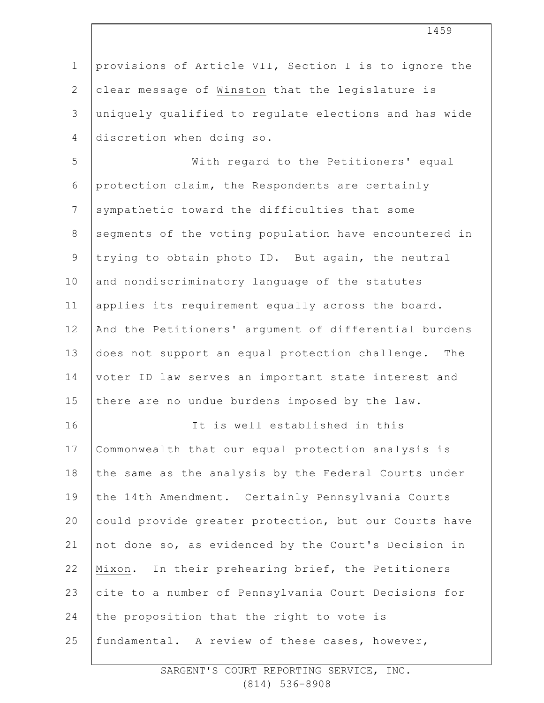1 2 3 4 5 6 7 8 9 10 11 12 13 14 15 16 17 18 19 20 21 22 23 24 25 provisions of Article VII, Section I is to ignore the clear message of Winston that the legislature is uniquely qualified to regulate elections and has wide discretion when doing so. With regard to the Petitioners' equal protection claim, the Respondents are certainly sympathetic toward the difficulties that some segments of the voting population have encountered in trying to obtain photo ID. But again, the neutral and nondiscriminatory language of the statutes applies its requirement equally across the board. And the Petitioners' argument of differential burdens does not support an equal protection challenge. The voter ID law serves an important state interest and there are no undue burdens imposed by the law. It is well established in this Commonwealth that our equal protection analysis is the same as the analysis by the Federal Courts under the 14th Amendment. Certainly Pennsylvania Courts could provide greater protection, but our Courts have not done so, as evidenced by the Court's Decision in Mixon. In their prehearing brief, the Petitioners cite to a number of Pennsylvania Court Decisions for the proposition that the right to vote is fundamental. A review of these cases, however,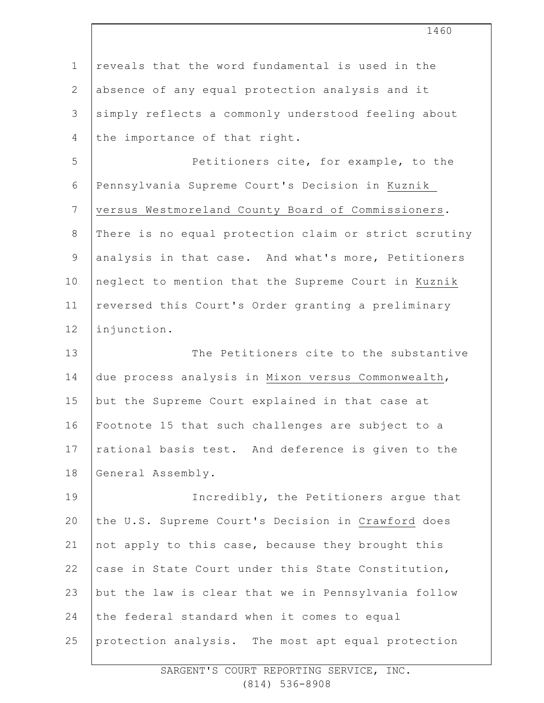| $\mathbf 1$    | reveals that the word fundamental is used in the      |
|----------------|-------------------------------------------------------|
| $\mathbf{2}$   | absence of any equal protection analysis and it       |
| 3              | simply reflects a commonly understood feeling about   |
| $\overline{4}$ | the importance of that right.                         |
| 5              | Petitioners cite, for example, to the                 |
| 6              | Pennsylvania Supreme Court's Decision in Kuznik       |
| $\overline{7}$ | versus Westmoreland County Board of Commissioners.    |
| $\,8\,$        | There is no equal protection claim or strict scrutiny |
| $\mathcal{G}$  | analysis in that case. And what's more, Petitioners   |
| 10             | neglect to mention that the Supreme Court in Kuznik   |
| 11             | reversed this Court's Order granting a preliminary    |
| 12             | injunction.                                           |
| 13             | The Petitioners cite to the substantive               |
| 14             | due process analysis in Mixon versus Commonwealth,    |
| 15             | but the Supreme Court explained in that case at       |
| 16             | Footnote 15 that such challenges are subject to a     |
| 17             | rational basis test. And deference is given to the    |
| 18             | General Assembly.                                     |
| 19             | Incredibly, the Petitioners argue that                |
| 20             | the U.S. Supreme Court's Decision in Crawford does    |
| 21             | not apply to this case, because they brought this     |
| 22             | case in State Court under this State Constitution,    |
| 23             | but the law is clear that we in Pennsylvania follow   |
| 24             | the federal standard when it comes to equal           |
| 25             | protection analysis. The most apt equal protection    |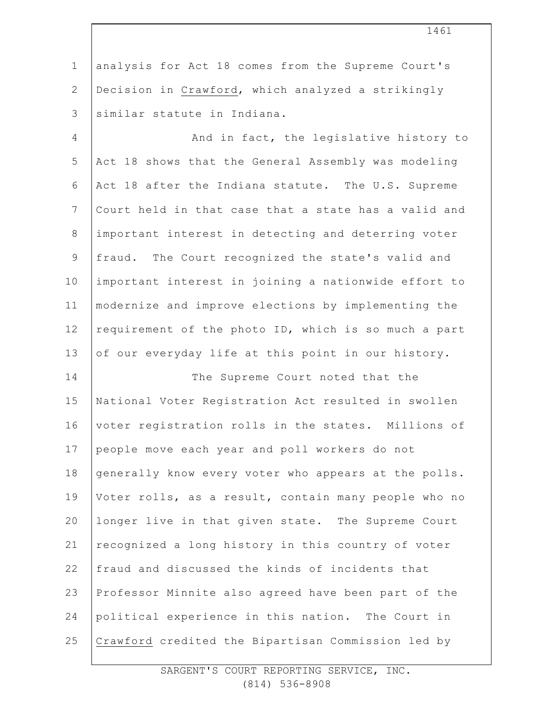1 2 3 analysis for Act 18 comes from the Supreme Court's Decision in Crawford, which analyzed a strikingly similar statute in Indiana.

4 5 6 7 8 9 10 11 12 13 And in fact, the legislative history to Act 18 shows that the General Assembly was modeling Act 18 after the Indiana statute. The U.S. Supreme Court held in that case that a state has a valid and important interest in detecting and deterring voter fraud. The Court recognized the state's valid and important interest in joining a nationwide effort to modernize and improve elections by implementing the requirement of the photo ID, which is so much a part of our everyday life at this point in our history.

14 15 16 17 18 19 20 21 22 23 24 25 The Supreme Court noted that the National Voter Registration Act resulted in swollen voter registration rolls in the states. Millions of people move each year and poll workers do not generally know every voter who appears at the polls. Voter rolls, as a result, contain many people who no longer live in that given state. The Supreme Court recognized a long history in this country of voter fraud and discussed the kinds of incidents that Professor Minnite also agreed have been part of the political experience in this nation. The Court in Crawford credited the Bipartisan Commission led by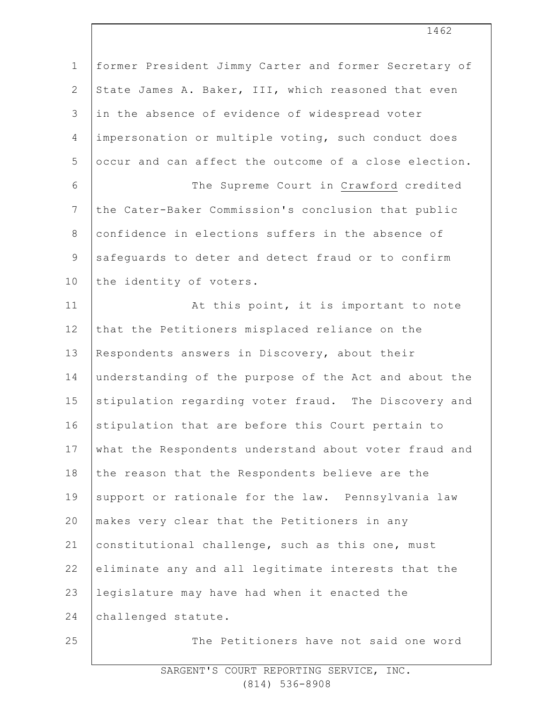| $\mathbf{1}$    | former President Jimmy Carter and former Secretary of |
|-----------------|-------------------------------------------------------|
| $\mathbf{2}$    | State James A. Baker, III, which reasoned that even   |
| 3               | in the absence of evidence of widespread voter        |
| 4               | impersonation or multiple voting, such conduct does   |
| 5               | occur and can affect the outcome of a close election. |
| $\epsilon$      | The Supreme Court in Crawford credited                |
| $7\phantom{.0}$ | the Cater-Baker Commission's conclusion that public   |
| $8\,$           | confidence in elections suffers in the absence of     |
| $\mathsf 9$     | safequards to deter and detect fraud or to confirm    |
| 10              | the identity of voters.                               |
| 11              | At this point, it is important to note                |
| 12              | that the Petitioners misplaced reliance on the        |
| 13              | Respondents answers in Discovery, about their         |
| 14              | understanding of the purpose of the Act and about the |
| 15              | stipulation regarding voter fraud. The Discovery and  |
| 16              | stipulation that are before this Court pertain to     |
| 17              | what the Respondents understand about voter fraud and |
| 18              | the reason that the Respondents believe are the       |
| 19              | support or rationale for the law. Pennsylvania law    |
| 20              | makes very clear that the Petitioners in any          |
| 21              | constitutional challenge, such as this one, must      |
| 22              | eliminate any and all legitimate interests that the   |
| 23              | legislature may have had when it enacted the          |
| 24              | challenged statute.                                   |
| 25              | The Petitioners have not said one word                |
|                 |                                                       |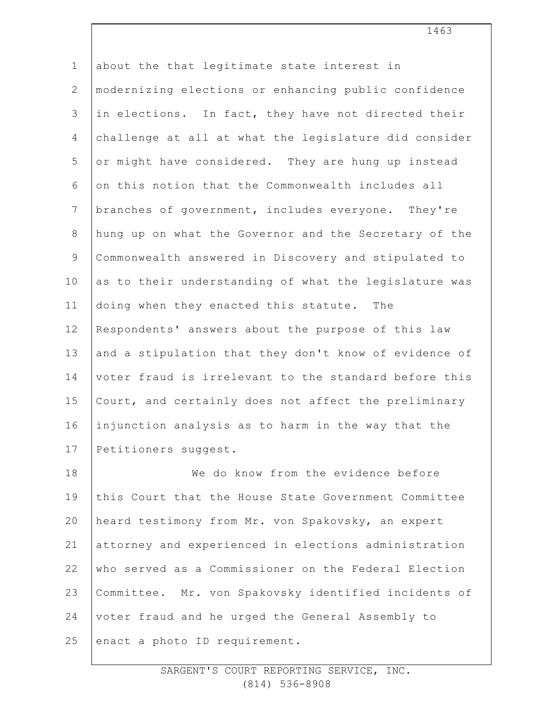1 2 3 4 5 6 7 8 9 10 11 12 13 14 15 16 17 18 19 20 21 22 23 24 about the that legitimate state interest in modernizing elections or enhancing public confidence in elections. In fact, they have not directed their challenge at all at what the legislature did consider or might have considered. They are hung up instead on this notion that the Commonwealth includes all branches of government, includes everyone. They're hung up on what the Governor and the Secretary of the Commonwealth answered in Discovery and stipulated to as to their understanding of what the legislature was doing when they enacted this statute. The Respondents' answers about the purpose of this law and a stipulation that they don't know of evidence of voter fraud is irrelevant to the standard before this Court, and certainly does not affect the preliminary injunction analysis as to harm in the way that the Petitioners suggest. We do know from the evidence before this Court that the House State Government Committee heard testimony from Mr. von Spakovsky, an expert attorney and experienced in elections administration who served as a Commissioner on the Federal Election Committee. Mr. von Spakovsky identified incidents of voter fraud and he urged the General Assembly to

25 enact a photo ID requirement. 1463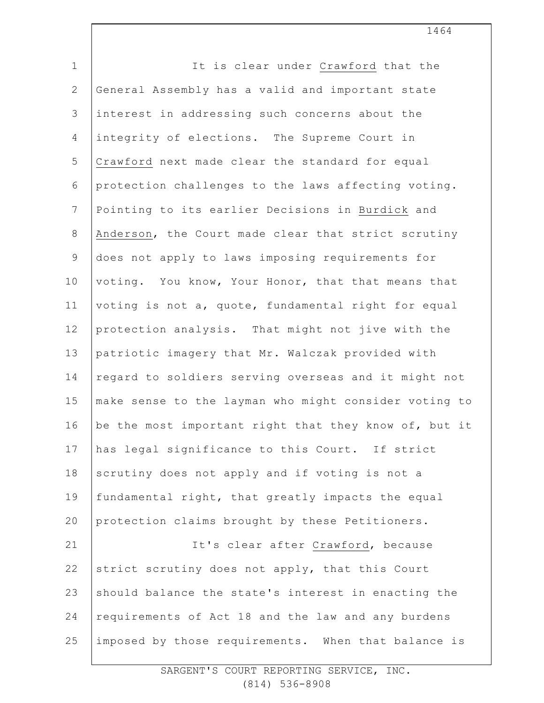| $\mathbf 1$    | It is clear under Crawford that the                   |
|----------------|-------------------------------------------------------|
| $\mathbf{2}$   | General Assembly has a valid and important state      |
| 3              | interest in addressing such concerns about the        |
| $\overline{4}$ | integrity of elections. The Supreme Court in          |
| 5              | Crawford next made clear the standard for equal       |
| 6              | protection challenges to the laws affecting voting.   |
| $7\phantom{.}$ | Pointing to its earlier Decisions in Burdick and      |
| $8\,$          | Anderson, the Court made clear that strict scrutiny   |
| $\mathsf 9$    | does not apply to laws imposing requirements for      |
| 10             | voting. You know, Your Honor, that that means that    |
| 11             | voting is not a, quote, fundamental right for equal   |
| 12             | protection analysis. That might not jive with the     |
| 13             | patriotic imagery that Mr. Walczak provided with      |
| 14             | regard to soldiers serving overseas and it might not  |
| 15             | make sense to the layman who might consider voting to |
| 16             | be the most important right that they know of, but it |
| 17             | has legal significance to this Court. If strict       |
| 18             | scrutiny does not apply and if voting is not a        |
| 19             | fundamental right, that greatly impacts the equal     |
| 20             | protection claims brought by these Petitioners.       |
| 21             | It's clear after Crawford, because                    |
| 22             | strict scrutiny does not apply, that this Court       |
| 23             | should balance the state's interest in enacting the   |
| 24             | requirements of Act 18 and the law and any burdens    |
| 25             | imposed by those requirements. When that balance is   |
|                |                                                       |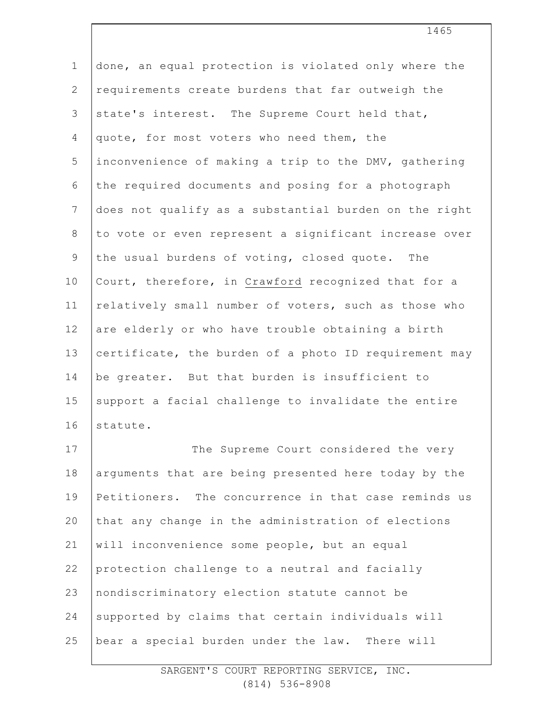| $\mathbf 1$  | done, an equal protection is violated only where the  |
|--------------|-------------------------------------------------------|
| $\mathbf{2}$ | requirements create burdens that far outweigh the     |
| 3            | state's interest. The Supreme Court held that,        |
| 4            | quote, for most voters who need them, the             |
| 5            | inconvenience of making a trip to the DMV, gathering  |
| 6            | the required documents and posing for a photograph    |
| 7            | does not qualify as a substantial burden on the right |
| $8\,$        | to vote or even represent a significant increase over |
| $\mathsf 9$  | the usual burdens of voting, closed quote. The        |
| 10           | Court, therefore, in Crawford recognized that for a   |
| 11           | relatively small number of voters, such as those who  |
| 12           | are elderly or who have trouble obtaining a birth     |
| 13           | certificate, the burden of a photo ID requirement may |
| 14           | be greater. But that burden is insufficient to        |
| 15           | support a facial challenge to invalidate the entire   |
| 16           | statute.                                              |
| 17           | The Supreme Court considered the very                 |
| 18           | arguments that are being presented here today by the  |
| 19           | Petitioners. The concurrence in that case reminds us  |
| 20           | that any change in the administration of elections    |
| 21           | will inconvenience some people, but an equal          |
| 22           | protection challenge to a neutral and facially        |
| 23           | nondiscriminatory election statute cannot be          |
| 24           | supported by claims that certain individuals will     |
| 25           | bear a special burden under the law. There will       |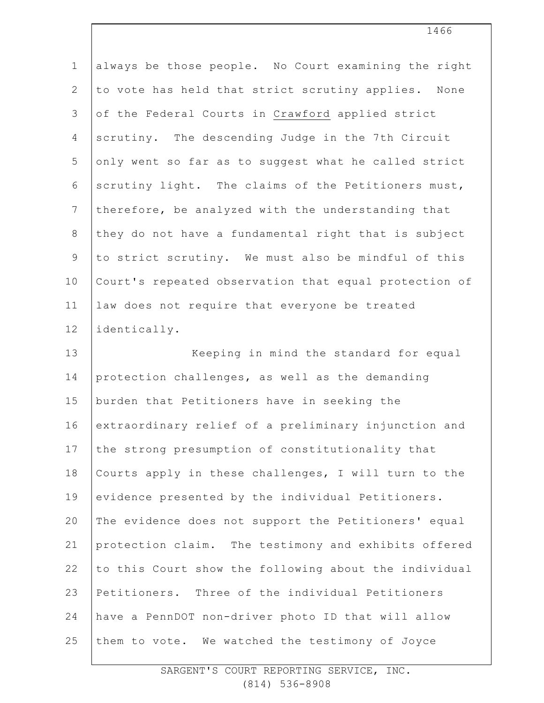| $\mathbf 1$    | always be those people. No Court examining the right  |
|----------------|-------------------------------------------------------|
| $\mathbf{2}$   | to vote has held that strict scrutiny applies. None   |
| $\mathfrak{Z}$ | of the Federal Courts in Crawford applied strict      |
| 4              | scrutiny. The descending Judge in the 7th Circuit     |
| 5              | only went so far as to suggest what he called strict  |
| 6              | scrutiny light. The claims of the Petitioners must,   |
| $7\phantom{.}$ | therefore, be analyzed with the understanding that    |
| $\,8\,$        | they do not have a fundamental right that is subject  |
| $\overline{9}$ | to strict scrutiny. We must also be mindful of this   |
| 10             | Court's repeated observation that equal protection of |
| 11             | law does not require that everyone be treated         |
| 12             | identically.                                          |
| 13             | Keeping in mind the standard for equal                |
| 14             | protection challenges, as well as the demanding       |
| 15             | burden that Petitioners have in seeking the           |
| 16             | extraordinary relief of a preliminary injunction and  |
| 17             | the strong presumption of constitutionality that      |
| 18             | Courts apply in these challenges, I will turn to the  |
| 19             | evidence presented by the individual Petitioners.     |
| 20             | The evidence does not support the Petitioners' equal  |
| 21             | protection claim. The testimony and exhibits offered  |
| 22             | to this Court show the following about the individual |
| 23             | Petitioners. Three of the individual Petitioners      |
| 24             | have a PennDOT non-driver photo ID that will allow    |
| 25             | them to vote. We watched the testimony of Joyce       |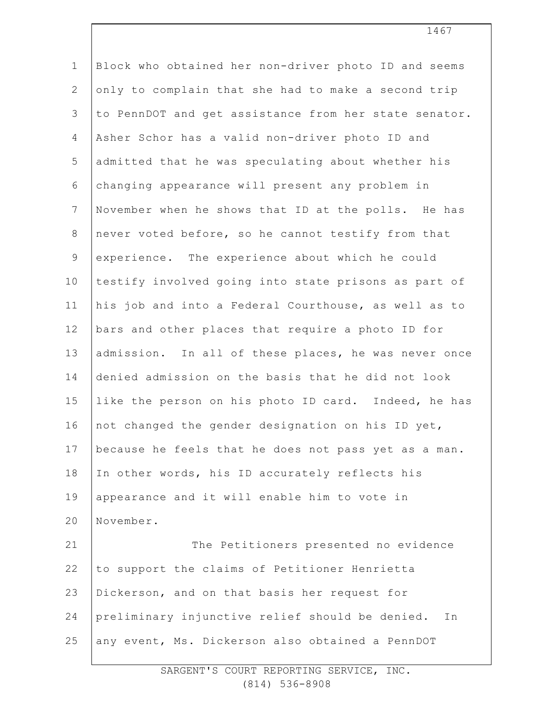| $1\,$          | Block who obtained her non-driver photo ID and seems  |
|----------------|-------------------------------------------------------|
| $\mathbf{2}$   | only to complain that she had to make a second trip   |
| 3              | to PennDOT and get assistance from her state senator. |
| 4              | Asher Schor has a valid non-driver photo ID and       |
| 5              | admitted that he was speculating about whether his    |
| 6              | changing appearance will present any problem in       |
| $7\phantom{.}$ | November when he shows that ID at the polls. He has   |
| 8              | never voted before, so he cannot testify from that    |
| $\mathsf 9$    | experience. The experience about which he could       |
| 10             | testify involved going into state prisons as part of  |
| 11             | his job and into a Federal Courthouse, as well as to  |
| 12             | bars and other places that require a photo ID for     |
| 13             | admission. In all of these places, he was never once  |
| 14             | denied admission on the basis that he did not look    |
| 15             | like the person on his photo ID card. Indeed, he has  |
| 16             | not changed the gender designation on his ID yet,     |
| 17             | because he feels that he does not pass yet as a man.  |
| 18             | In other words, his ID accurately reflects his        |
| 19             | appearance and it will enable him to vote in          |
| 20             | November.                                             |
| 21             | The Petitioners presented no evidence                 |
| 22             | to support the claims of Petitioner Henrietta         |
| 23             | Dickerson, and on that basis her request for          |
| 24             | preliminary injunctive relief should be denied.<br>Ιn |
| 25             | any event, Ms. Dickerson also obtained a PennDOT      |
|                |                                                       |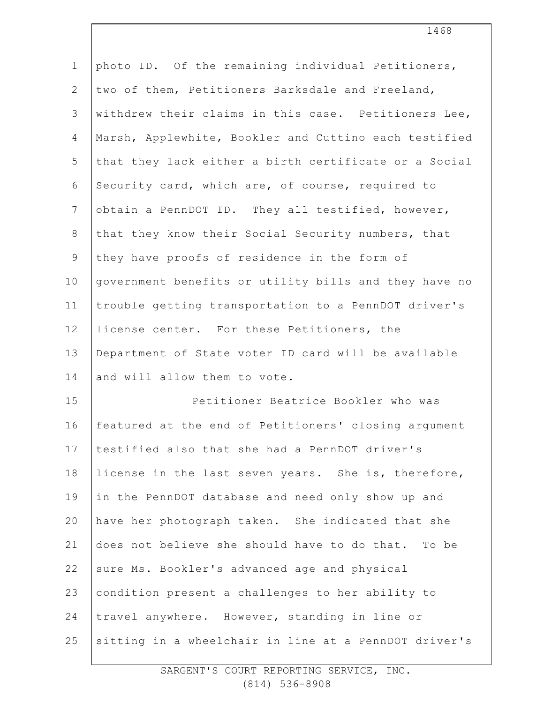| $\mathbf 1$    | photo ID. Of the remaining individual Petitioners,    |
|----------------|-------------------------------------------------------|
| $\overline{2}$ | two of them, Petitioners Barksdale and Freeland,      |
| 3              | withdrew their claims in this case. Petitioners Lee,  |
| 4              | Marsh, Applewhite, Bookler and Cuttino each testified |
| 5              | that they lack either a birth certificate or a Social |
| 6              | Security card, which are, of course, required to      |
| $7\phantom{.}$ | obtain a PennDOT ID. They all testified, however,     |
| $8\,$          | that they know their Social Security numbers, that    |
| 9              | they have proofs of residence in the form of          |
| 10             | government benefits or utility bills and they have no |
| 11             | trouble getting transportation to a PennDOT driver's  |
| 12             | license center. For these Petitioners, the            |
| 13             | Department of State voter ID card will be available   |
| 14             | and will allow them to vote.                          |
| 15             | Petitioner Beatrice Bookler who was                   |
| 16             | featured at the end of Petitioners' closing argument  |
| 17             | testified also that she had a PennDOT driver's        |
| 18             | license in the last seven years. She is, therefore,   |
| 19             | in the PennDOT database and need only show up and     |
| 20             | have her photograph taken. She indicated that she     |
| 21             | does not believe she should have to do that. To be    |
| 22             | sure Ms. Bookler's advanced age and physical          |
| 23             | condition present a challenges to her ability to      |
| 24             | travel anywhere. However, standing in line or         |
| 25             | sitting in a wheelchair in line at a PennDOT driver's |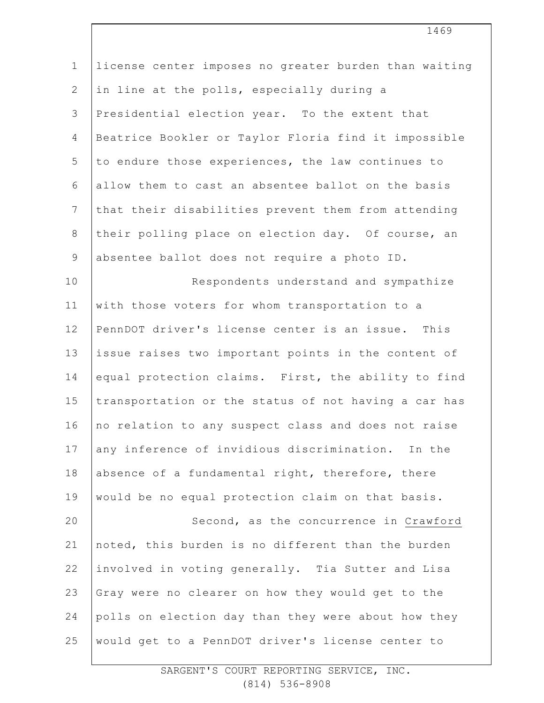| $\mathbf 1$     | license center imposes no greater burden than waiting |
|-----------------|-------------------------------------------------------|
| 2               | in line at the polls, especially during a             |
| $\mathfrak{Z}$  | Presidential election year. To the extent that        |
| 4               | Beatrice Bookler or Taylor Floria find it impossible  |
| 5               | to endure those experiences, the law continues to     |
| 6               | allow them to cast an absentee ballot on the basis    |
| $7\phantom{.0}$ | that their disabilities prevent them from attending   |
| $\,8\,$         | their polling place on election day. Of course, an    |
| $\mathcal{G}$   | absentee ballot does not require a photo ID.          |
| 10              | Respondents understand and sympathize                 |
| 11              | with those voters for whom transportation to a        |
| 12              | PennDOT driver's license center is an issue. This     |
| 13              | issue raises two important points in the content of   |
| 14              | equal protection claims. First, the ability to find   |
| 15              | transportation or the status of not having a car has  |
| 16              | no relation to any suspect class and does not raise   |
| 17              | any inference of invidious discrimination. In the     |
| 18              | absence of a fundamental right, therefore, there      |
| 19              | would be no equal protection claim on that basis.     |
| 20              | Second, as the concurrence in Crawford                |
| 21              | noted, this burden is no different than the burden    |
| 22              | involved in voting generally. Tia Sutter and Lisa     |
| 23              | Gray were no clearer on how they would get to the     |
| 24              | polls on election day than they were about how they   |
| 25              | would get to a PennDOT driver's license center to     |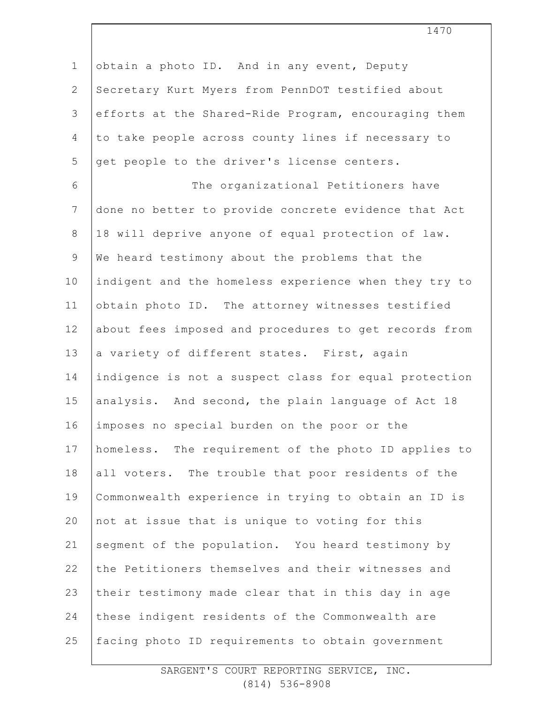1 2 3 4 5 6 7 8 9 10 11 12 13 14 15 16 17 18 19 20 21 22 23 24 25 obtain a photo ID. And in any event, Deputy Secretary Kurt Myers from PennDOT testified about efforts at the Shared-Ride Program, encouraging them to take people across county lines if necessary to get people to the driver's license centers. The organizational Petitioners have done no better to provide concrete evidence that Act 18 will deprive anyone of equal protection of law. We heard testimony about the problems that the indigent and the homeless experience when they try to obtain photo ID. The attorney witnesses testified about fees imposed and procedures to get records from a variety of different states. First, again indigence is not a suspect class for equal protection analysis. And second, the plain language of Act 18 imposes no special burden on the poor or the homeless. The requirement of the photo ID applies to all voters. The trouble that poor residents of the Commonwealth experience in trying to obtain an ID is not at issue that is unique to voting for this segment of the population. You heard testimony by the Petitioners themselves and their witnesses and their testimony made clear that in this day in age these indigent residents of the Commonwealth are facing photo ID requirements to obtain government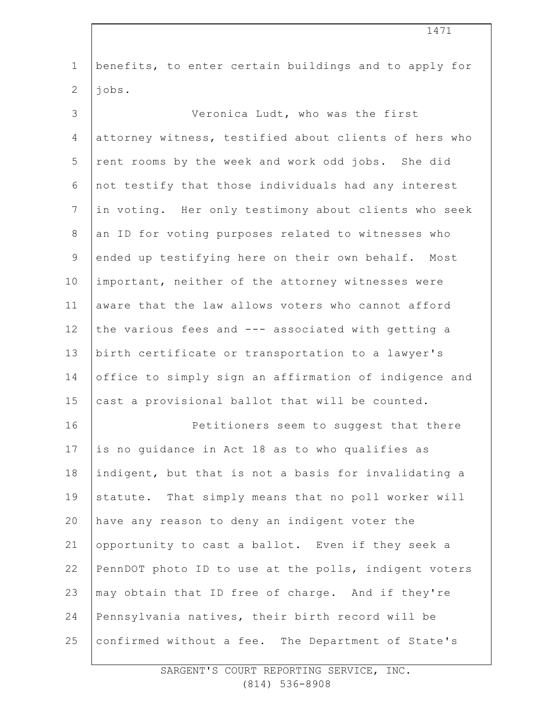| $\mathbf 1$    | benefits, to enter certain buildings and to apply for |
|----------------|-------------------------------------------------------|
| $\overline{2}$ | jobs.                                                 |
| 3              | Veronica Ludt, who was the first                      |
| 4              | attorney witness, testified about clients of hers who |
| 5              | rent rooms by the week and work odd jobs. She did     |
| 6              | not testify that those individuals had any interest   |
| 7              | in voting. Her only testimony about clients who seek  |
| $8\,$          | an ID for voting purposes related to witnesses who    |
| 9              | ended up testifying here on their own behalf. Most    |
| 10             | important, neither of the attorney witnesses were     |
| 11             | aware that the law allows voters who cannot afford    |
| 12             | the various fees and --- associated with getting a    |
| 13             | birth certificate or transportation to a lawyer's     |
| 14             | office to simply sign an affirmation of indigence and |
| 15             | cast a provisional ballot that will be counted.       |
| 16             | Petitioners seem to suggest that there                |
| 17             | is no quidance in Act 18 as to who qualifies as       |
| 18             | indigent, but that is not a basis for invalidating a  |
| 19             | statute. That simply means that no poll worker will   |
| 20             | have any reason to deny an indigent voter the         |
| 21             | opportunity to cast a ballot. Even if they seek a     |
| 22             | PennDOT photo ID to use at the polls, indigent voters |
| 23             | may obtain that ID free of charge. And if they're     |
| 24             | Pennsylvania natives, their birth record will be      |
| 25             | confirmed without a fee. The Department of State's    |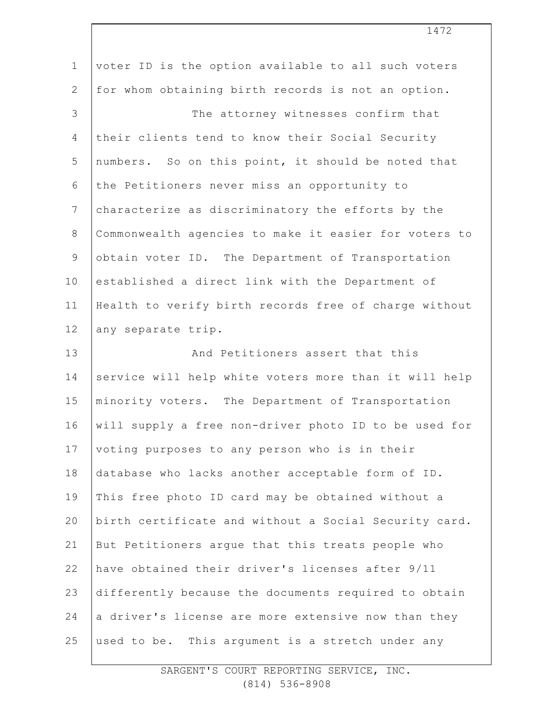| $\mathbf 1$    | voter ID is the option available to all such voters   |
|----------------|-------------------------------------------------------|
| $\mathbf{2}$   | for whom obtaining birth records is not an option.    |
| $\mathcal{S}$  | The attorney witnesses confirm that                   |
| 4              | their clients tend to know their Social Security      |
| 5              | numbers. So on this point, it should be noted that    |
| 6              | the Petitioners never miss an opportunity to          |
| $7\phantom{.}$ | characterize as discriminatory the efforts by the     |
| $\,8\,$        | Commonwealth agencies to make it easier for voters to |
| $\mathcal{G}$  | obtain voter ID. The Department of Transportation     |
| 10             | established a direct link with the Department of      |
| 11             | Health to verify birth records free of charge without |
| 12             | any separate trip.                                    |
|                |                                                       |
| 13             | And Petitioners assert that this                      |
| 14             | service will help white voters more than it will help |
| 15             | minority voters. The Department of Transportation     |
| 16             | will supply a free non-driver photo ID to be used for |
| 17             | voting purposes to any person who is in their         |
| 18             | database who lacks another acceptable form of ID.     |
| 19             | This free photo ID card may be obtained without a     |
| 20             | birth certificate and without a Social Security card. |
| 21             | But Petitioners argue that this treats people who     |
| 22             | have obtained their driver's licenses after 9/11      |
| 23             | differently because the documents required to obtain  |
| 24             | a driver's license are more extensive now than they   |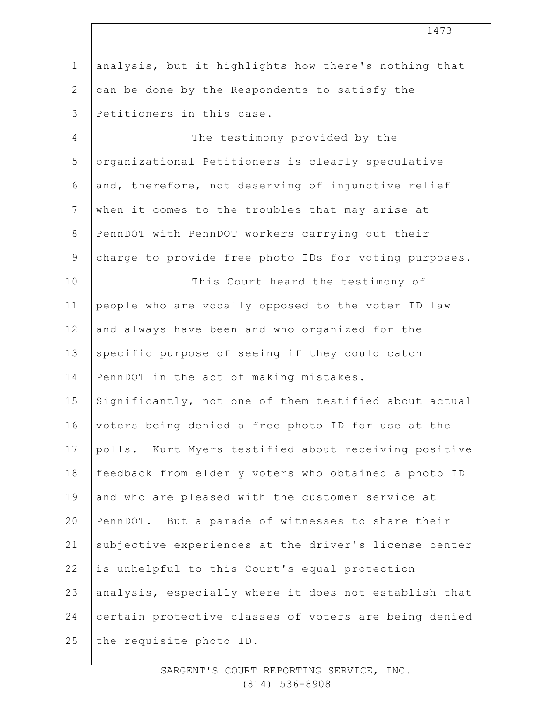|                | 1473                                                  |
|----------------|-------------------------------------------------------|
| $\mathbf 1$    | analysis, but it highlights how there's nothing that  |
| $\overline{2}$ | can be done by the Respondents to satisfy the         |
| 3              | Petitioners in this case.                             |
| 4              | The testimony provided by the                         |
| 5              | organizational Petitioners is clearly speculative     |
| 6              | and, therefore, not deserving of injunctive relief    |
| $7\phantom{.}$ | when it comes to the troubles that may arise at       |
| $8\,$          | PennDOT with PennDOT workers carrying out their       |
| $\mathsf 9$    | charge to provide free photo IDs for voting purposes. |
| 10             | This Court heard the testimony of                     |
| 11             | people who are vocally opposed to the voter ID law    |
| 12             | and always have been and who organized for the        |
| 13             | specific purpose of seeing if they could catch        |
| 14             | PennDOT in the act of making mistakes.                |
| 15             | Significantly, not one of them testified about actual |
| 16             | voters being denied a free photo ID for use at the    |
| 17             | polls. Kurt Myers testified about receiving positive  |
| 18             | feedback from elderly voters who obtained a photo ID  |
| 19             | and who are pleased with the customer service at      |
| 20             | PennDOT. But a parade of witnesses to share their     |
| 21             | subjective experiences at the driver's license center |
| 22             | is unhelpful to this Court's equal protection         |
| 23             | analysis, especially where it does not establish that |
| 24             | certain protective classes of voters are being denied |
| 25             | the requisite photo ID.                               |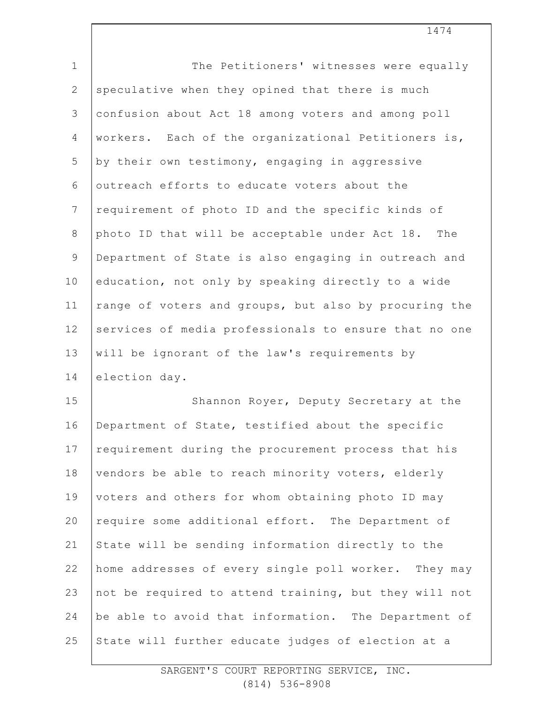| $\mathbf{1}$   | The Petitioners' witnesses were equally               |
|----------------|-------------------------------------------------------|
| $\mathbf{2}$   | speculative when they opined that there is much       |
| 3              | confusion about Act 18 among voters and among poll    |
| 4              | workers. Each of the organizational Petitioners is,   |
| 5              | by their own testimony, engaging in aggressive        |
| 6              | outreach efforts to educate voters about the          |
| $\overline{7}$ | requirement of photo ID and the specific kinds of     |
| 8              | photo ID that will be acceptable under Act 18. The    |
| $\mathsf 9$    | Department of State is also engaging in outreach and  |
| 10             | education, not only by speaking directly to a wide    |
| 11             | range of voters and groups, but also by procuring the |
| 12             | services of media professionals to ensure that no one |
| 13             | will be ignorant of the law's requirements by         |
| 14             | election day.                                         |
| 15             | Shannon Royer, Deputy Secretary at the                |
| 16             | Department of State, testified about the specific     |
| 17             | requirement during the procurement process that his   |
| 18             | vendors be able to reach minority voters, elderly     |
| 19             | voters and others for whom obtaining photo ID may     |
| 20             | require some additional effort. The Department of     |
| 21             | State will be sending information directly to the     |
| 22             | home addresses of every single poll worker. They may  |
| 23             | not be required to attend training, but they will not |
| 24             | be able to avoid that information. The Department of  |
| 25             | State will further educate judges of election at a    |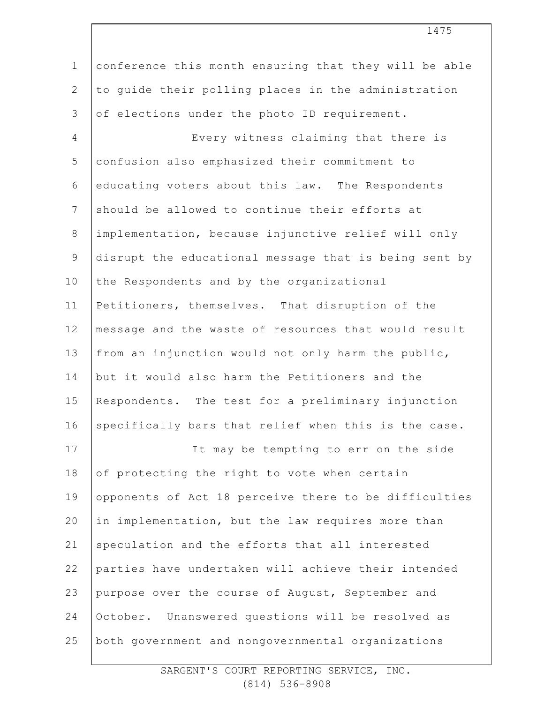| $\mathbf 1$    | conference this month ensuring that they will be able |
|----------------|-------------------------------------------------------|
| $\mathbf{2}$   | to quide their polling places in the administration   |
| 3              | of elections under the photo ID requirement.          |
| $\overline{4}$ | Every witness claiming that there is                  |
| 5              | confusion also emphasized their commitment to         |
| $\sqrt{6}$     | educating voters about this law. The Respondents      |
| $\overline{7}$ | should be allowed to continue their efforts at        |
| $\,8\,$        | implementation, because injunctive relief will only   |
| $\mathsf 9$    | disrupt the educational message that is being sent by |
| 10             | the Respondents and by the organizational             |
| 11             | Petitioners, themselves. That disruption of the       |
| 12             | message and the waste of resources that would result  |
| 13             | from an injunction would not only harm the public,    |
| 14             | but it would also harm the Petitioners and the        |
| 15             | Respondents. The test for a preliminary injunction    |
| 16             | specifically bars that relief when this is the case.  |
| 17             | It may be tempting to err on the side                 |
| 18             | of protecting the right to vote when certain          |
| 19             | opponents of Act 18 perceive there to be difficulties |
| 20             | in implementation, but the law requires more than     |
| 21             | speculation and the efforts that all interested       |
| 22             | parties have undertaken will achieve their intended   |
| 23             | purpose over the course of August, September and      |
| 24             | October. Unanswered questions will be resolved as     |
| 25             | both government and nongovernmental organizations     |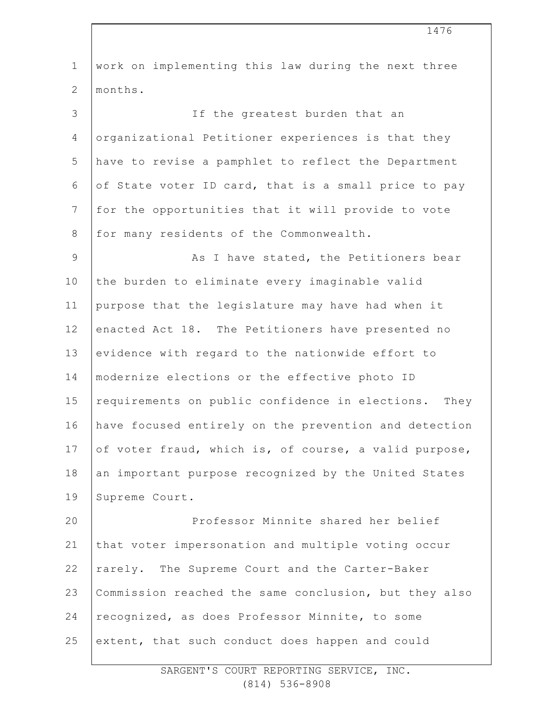| $\mathbf{1}$   | work on implementing this law during the next three     |
|----------------|---------------------------------------------------------|
| $\overline{2}$ | months.                                                 |
| 3              | If the greatest burden that an                          |
| 4              | organizational Petitioner experiences is that they      |
| 5              | have to revise a pamphlet to reflect the Department     |
| 6              | of State voter ID card, that is a small price to pay    |
| 7              | for the opportunities that it will provide to vote      |
| $\,8\,$        | for many residents of the Commonwealth.                 |
| $\mathcal{G}$  | As I have stated, the Petitioners bear                  |
| 10             | the burden to eliminate every imaginable valid          |
| 11             | purpose that the legislature may have had when it       |
| 12             | enacted Act 18. The Petitioners have presented no       |
| 13             | evidence with regard to the nationwide effort to        |
| 14             | modernize elections or the effective photo ID           |
| 15             | requirements on public confidence in elections.<br>They |
| 16             | have focused entirely on the prevention and detection   |
| 17             | of voter fraud, which is, of course, a valid purpose,   |
| 18             | an important purpose recognized by the United States    |
| 19             | Supreme Court.                                          |
| 20             | Professor Minnite shared her belief                     |
| 21             | that voter impersonation and multiple voting occur      |
| 22             | rarely. The Supreme Court and the Carter-Baker          |
| 23             | Commission reached the same conclusion, but they also   |
| 24             | recognized, as does Professor Minnite, to some          |
| 25             | extent, that such conduct does happen and could         |
|                |                                                         |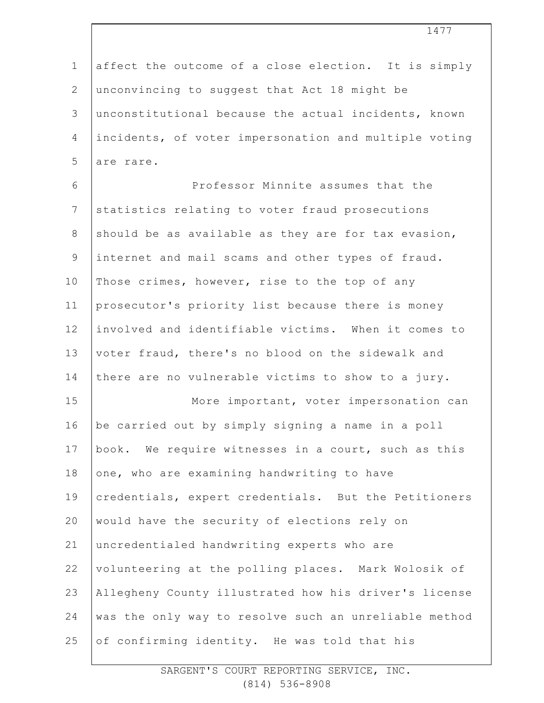1 2 3 4 5 6 7 8 9 10 11 12 13 14 15 16 17 18 19 20 21 22 23 24 25 affect the outcome of a close election. It is simply unconvincing to suggest that Act 18 might be unconstitutional because the actual incidents, known incidents, of voter impersonation and multiple voting are rare. Professor Minnite assumes that the statistics relating to voter fraud prosecutions should be as available as they are for tax evasion, internet and mail scams and other types of fraud. Those crimes, however, rise to the top of any prosecutor's priority list because there is money involved and identifiable victims. When it comes to voter fraud, there's no blood on the sidewalk and there are no vulnerable victims to show to a jury. More important, voter impersonation can be carried out by simply signing a name in a poll book. We require witnesses in a court, such as this one, who are examining handwriting to have credentials, expert credentials. But the Petitioners would have the security of elections rely on uncredentialed handwriting experts who are volunteering at the polling places. Mark Wolosik of Allegheny County illustrated how his driver's license was the only way to resolve such an unreliable method of confirming identity. He was told that his

1477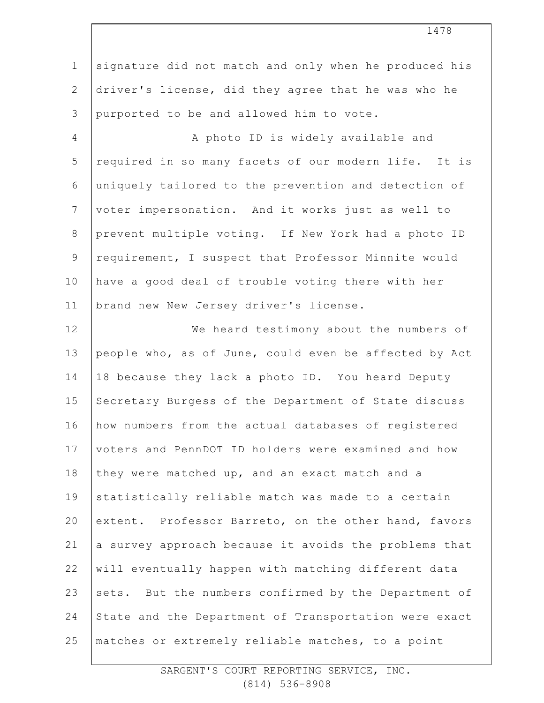1 2 3 4 5 6 7 8 9 10 11 12 13 14 15 16 17 18 19 20 21 22 23 24 25 signature did not match and only when he produced his driver's license, did they agree that he was who he purported to be and allowed him to vote. A photo ID is widely available and required in so many facets of our modern life. It is uniquely tailored to the prevention and detection of voter impersonation. And it works just as well to prevent multiple voting. If New York had a photo ID requirement, I suspect that Professor Minnite would have a good deal of trouble voting there with her brand new New Jersey driver's license. We heard testimony about the numbers of people who, as of June, could even be affected by Act 18 because they lack a photo ID. You heard Deputy Secretary Burgess of the Department of State discuss how numbers from the actual databases of registered voters and PennDOT ID holders were examined and how they were matched up, and an exact match and a statistically reliable match was made to a certain extent. Professor Barreto, on the other hand, favors a survey approach because it avoids the problems that will eventually happen with matching different data sets. But the numbers confirmed by the Department of State and the Department of Transportation were exact matches or extremely reliable matches, to a point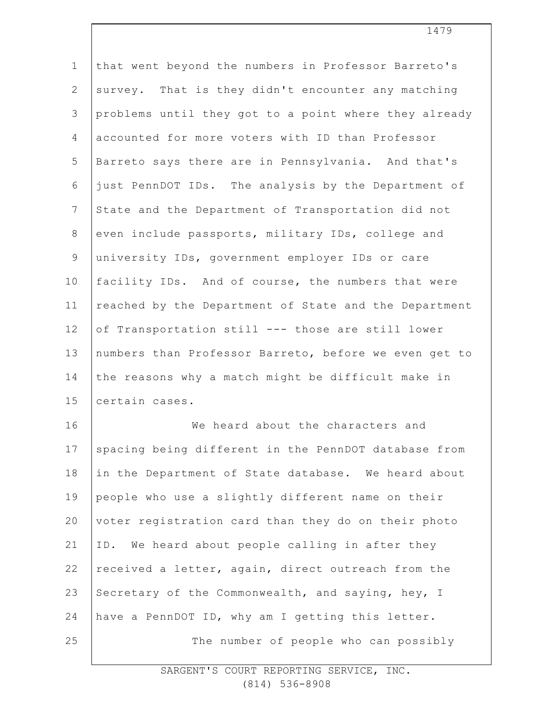| $\mathbf{1}$    | that went beyond the numbers in Professor Barreto's   |
|-----------------|-------------------------------------------------------|
| $\mathbf{2}$    | survey. That is they didn't encounter any matching    |
| 3               | problems until they got to a point where they already |
| 4               | accounted for more voters with ID than Professor      |
| 5               | Barreto says there are in Pennsylvania. And that's    |
| 6               | just PennDOT IDs. The analysis by the Department of   |
| $7\phantom{.0}$ | State and the Department of Transportation did not    |
| $8\,$           | even include passports, military IDs, college and     |
| $\mathsf 9$     | university IDs, government employer IDs or care       |
| 10              | facility IDs. And of course, the numbers that were    |
| 11              | reached by the Department of State and the Department |
| 12              | of Transportation still --- those are still lower     |
| 13              | numbers than Professor Barreto, before we even get to |
| 14              | the reasons why a match might be difficult make in    |
| 15              | certain cases.                                        |
| 16              | We heard about the characters and                     |
| 17              | spacing being different in the PennDOT database from  |
| 18              | in the Department of State database. We heard about   |
| 19              | people who use a slightly different name on their     |
| 20              | voter registration card than they do on their photo   |
| 21              | We heard about people calling in after they<br>ID.    |
| 22              | received a letter, again, direct outreach from the    |
| 23              | Secretary of the Commonwealth, and saying, hey, I     |
| 24              | have a PennDOT ID, why am I getting this letter.      |
| 25              | The number of people who can possibly                 |
|                 |                                                       |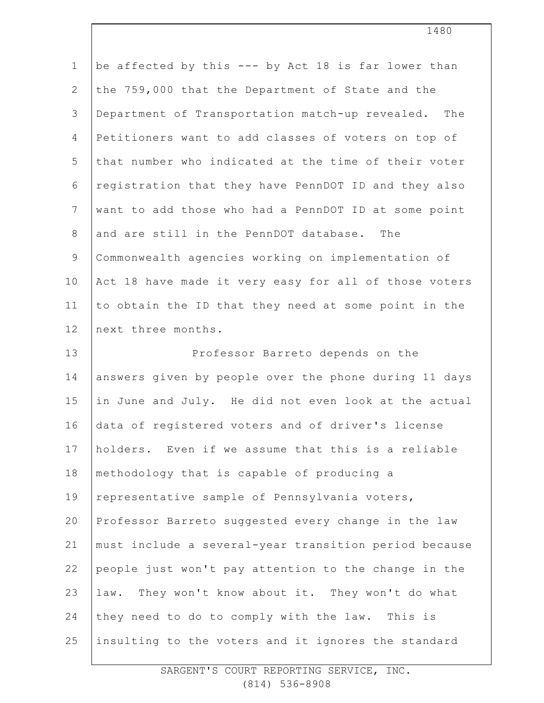| $\mathbf 1$    | be affected by this --- by Act 18 is far lower than   |
|----------------|-------------------------------------------------------|
| $\mathbf{2}$   | the 759,000 that the Department of State and the      |
| 3              | Department of Transportation match-up revealed. The   |
| $\overline{4}$ | Petitioners want to add classes of voters on top of   |
| 5              | that number who indicated at the time of their voter  |
| 6              | registration that they have PennDOT ID and they also  |
| $7\phantom{.}$ | want to add those who had a PennDOT ID at some point  |
| $8\,$          | and are still in the PennDOT database. The            |
| 9              | Commonwealth agencies working on implementation of    |
| 10             | Act 18 have made it very easy for all of those voters |
| 11             | to obtain the ID that they need at some point in the  |
| 12             | next three months.                                    |
| 13             | Professor Barreto depends on the                      |
| 14             | answers given by people over the phone during 11 days |
| 15             | in June and July. He did not even look at the actual  |
|                |                                                       |
| 16             | data of registered voters and of driver's license     |
| 17             | holders. Even if we assume that this is a reliable    |
| 18             | methodology that is capable of producing a            |
| 19             | representative sample of Pennsylvania voters,         |
| 20             | Professor Barreto suggested every change in the law   |
| 21             | must include a several-year transition period because |
| 22             | people just won't pay attention to the change in the  |
| 23             | law. They won't know about it. They won't do what     |
| 24             | they need to do to comply with the law. This is       |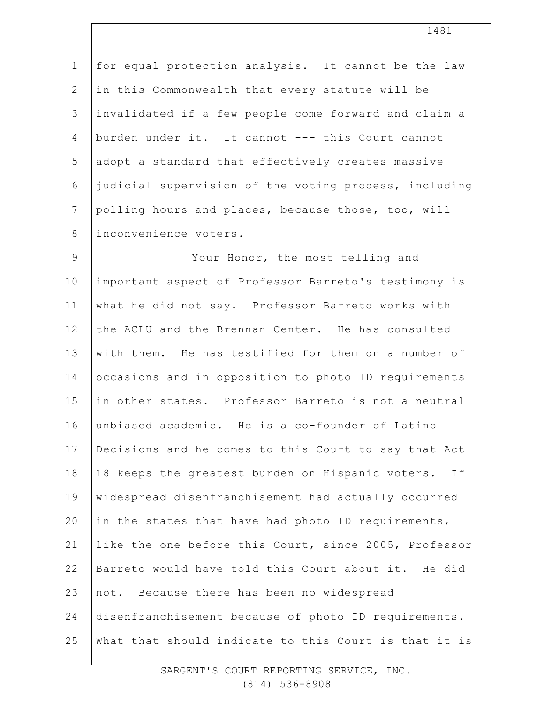1 2 3 4 5 6 7 8 for equal protection analysis. It cannot be the law in this Commonwealth that every statute will be invalidated if a few people come forward and claim a burden under it. It cannot --- this Court cannot adopt a standard that effectively creates massive judicial supervision of the voting process, including polling hours and places, because those, too, will inconvenience voters.

9 10 11 12 13 14 15 16 17 18 19 20 21 22 23 24 25 Your Honor, the most telling and important aspect of Professor Barreto's testimony is what he did not say. Professor Barreto works with the ACLU and the Brennan Center. He has consulted with them. He has testified for them on a number of occasions and in opposition to photo ID requirements in other states. Professor Barreto is not a neutral unbiased academic. He is a co-founder of Latino Decisions and he comes to this Court to say that Act 18 keeps the greatest burden on Hispanic voters. If widespread disenfranchisement had actually occurred in the states that have had photo ID requirements, like the one before this Court, since 2005, Professor Barreto would have told this Court about it. He did not. Because there has been no widespread disenfranchisement because of photo ID requirements. What that should indicate to this Court is that it is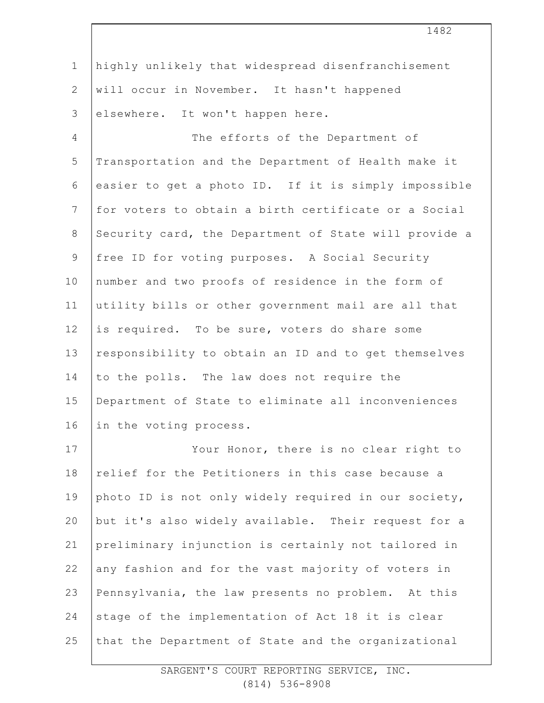| $\mathbf 1$     | highly unlikely that widespread disenfranchisement    |
|-----------------|-------------------------------------------------------|
| $\mathbf{2}$    | will occur in November. It hasn't happened            |
| 3               | elsewhere. It won't happen here.                      |
| $\overline{4}$  | The efforts of the Department of                      |
| 5               | Transportation and the Department of Health make it   |
| 6               | easier to get a photo ID. If it is simply impossible  |
| $7\phantom{.0}$ | for voters to obtain a birth certificate or a Social  |
| 8               | Security card, the Department of State will provide a |
| $\mathsf 9$     | free ID for voting purposes. A Social Security        |
| 10              | number and two proofs of residence in the form of     |
| 11              | utility bills or other government mail are all that   |
| 12              | is required. To be sure, voters do share some         |
| 13              | responsibility to obtain an ID and to get themselves  |
| 14              | to the polls. The law does not require the            |
| 15              | Department of State to eliminate all inconveniences   |
| 16              | in the voting process.                                |
| 17              | Your Honor, there is no clear right to                |
| 18              | relief for the Petitioners in this case because a     |
| 19              | photo ID is not only widely required in our society,  |
| 20              | but it's also widely available. Their request for a   |
| 21              | preliminary injunction is certainly not tailored in   |
| 22              | any fashion and for the vast majority of voters in    |
| 23              | Pennsylvania, the law presents no problem. At this    |
| 24              | stage of the implementation of Act 18 it is clear     |
| 25              | that the Department of State and the organizational   |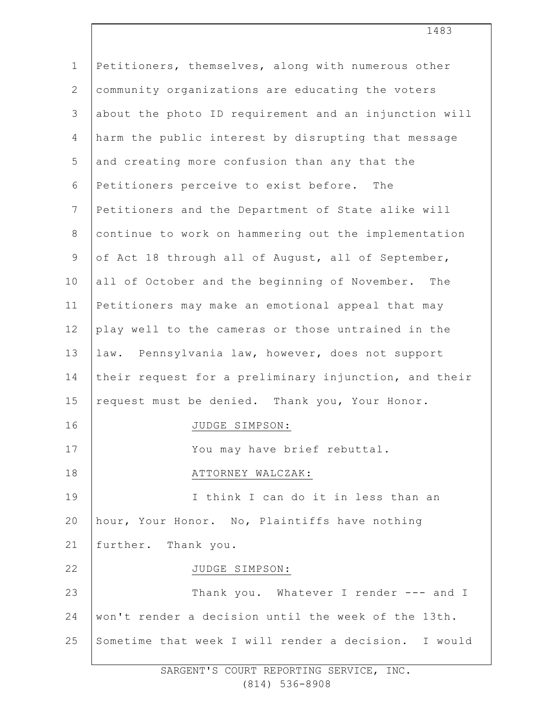1 2 3 4 5 6 7 8 9 10 11 12 13 14 15 16 17 18 19 20 21 22 23 24 25 Petitioners, themselves, along with numerous other community organizations are educating the voters about the photo ID requirement and an injunction will harm the public interest by disrupting that message and creating more confusion than any that the Petitioners perceive to exist before. The Petitioners and the Department of State alike will continue to work on hammering out the implementation of Act 18 through all of August, all of September, all of October and the beginning of November. The Petitioners may make an emotional appeal that may play well to the cameras or those untrained in the law. Pennsylvania law, however, does not support their request for a preliminary injunction, and their request must be denied. Thank you, Your Honor. JUDGE SIMPSON: You may have brief rebuttal. ATTORNEY WALCZAK: I think I can do it in less than an hour, Your Honor. No, Plaintiffs have nothing further. Thank you. JUDGE SIMPSON: Thank you. Whatever I render --- and I won't render a decision until the week of the 13th. Sometime that week I will render a decision. I would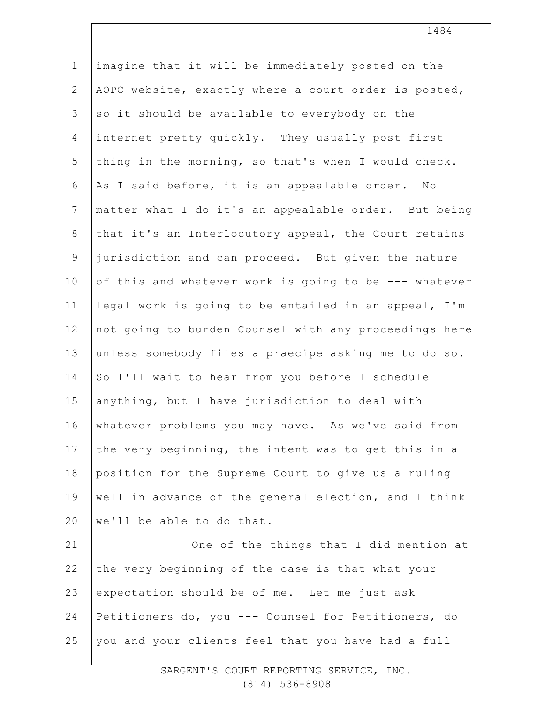1 2 3 4 5 6 7 8 9 10 11 12 13 14 15 16 17 18 19 20 21 22 23 24 25 imagine that it will be immediately posted on the AOPC website, exactly where a court order is posted, so it should be available to everybody on the internet pretty quickly. They usually post first thing in the morning, so that's when I would check. As I said before, it is an appealable order. No matter what I do it's an appealable order. But being that it's an Interlocutory appeal, the Court retains jurisdiction and can proceed. But given the nature of this and whatever work is going to be --- whatever legal work is going to be entailed in an appeal, I'm not going to burden Counsel with any proceedings here unless somebody files a praecipe asking me to do so. So I'll wait to hear from you before I schedule anything, but I have jurisdiction to deal with whatever problems you may have. As we've said from the very beginning, the intent was to get this in a position for the Supreme Court to give us a ruling well in advance of the general election, and I think we'll be able to do that. One of the things that I did mention at the very beginning of the case is that what your expectation should be of me. Let me just ask Petitioners do, you --- Counsel for Petitioners, do you and your clients feel that you have had a full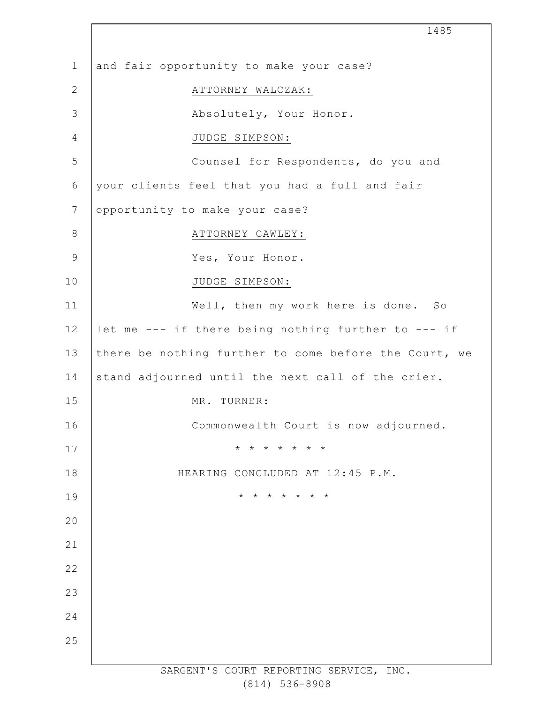|                | 1485                                                  |
|----------------|-------------------------------------------------------|
| $\mathbf{1}$   | and fair opportunity to make your case?               |
| $\mathbf{2}$   | ATTORNEY WALCZAK:                                     |
| 3              | Absolutely, Your Honor.                               |
| $\overline{4}$ | JUDGE SIMPSON:                                        |
| 5              | Counsel for Respondents, do you and                   |
| 6              | your clients feel that you had a full and fair        |
| 7              | opportunity to make your case?                        |
| $\,8\,$        | ATTORNEY CAWLEY:                                      |
| $\mathsf 9$    | Yes, Your Honor.                                      |
| 10             | JUDGE SIMPSON:                                        |
| 11             | Well, then my work here is done. So                   |
| 12             | let me --- if there being nothing further to --- if   |
| 13             | there be nothing further to come before the Court, we |
| 14             | stand adjourned until the next call of the crier.     |
| 15             | MR.<br>TURNER:                                        |
| 16             | Commonwealth Court is now adjourned.                  |
| 17             | * * * * * * *                                         |
| 18             | HEARING CONCLUDED AT 12:45 P.M.                       |
| 19             | * * * * * * *                                         |
| 20             |                                                       |
| 21             |                                                       |
| 22             |                                                       |
| 23             |                                                       |
| 24             |                                                       |
| 25             |                                                       |
|                | SARGENT'S COURT REPORTING SERVICE, INC.               |